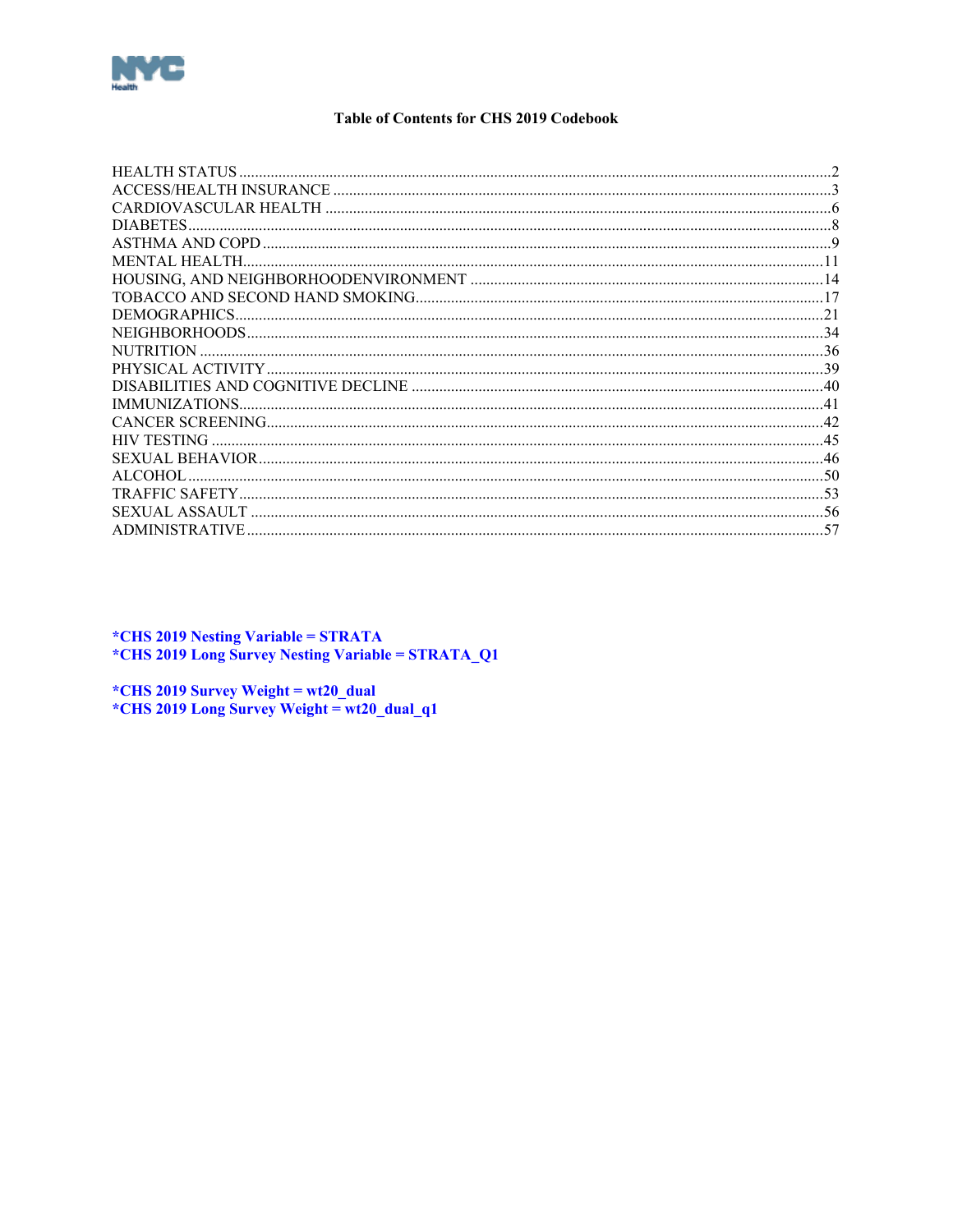<span id="page-0-0"></span>

### **Table of Contents for CHS 2019 Codebook**

| <b>NUTRITION</b>   |  |
|--------------------|--|
|                    |  |
|                    |  |
|                    |  |
|                    |  |
| <b>HIV TESTING</b> |  |
|                    |  |
| ALCOHOL.           |  |
|                    |  |
|                    |  |
|                    |  |
|                    |  |

*\*CHS 2019 Nesting Variable = STRATA* \*CHS 2019 Long Survey Nesting Variable = STRATA\_Q1

\*CHS 2019 Survey Weight =  $wt20$ \_dual \*CHS 2019 Long Survey Weight = wt20\_dual\_q1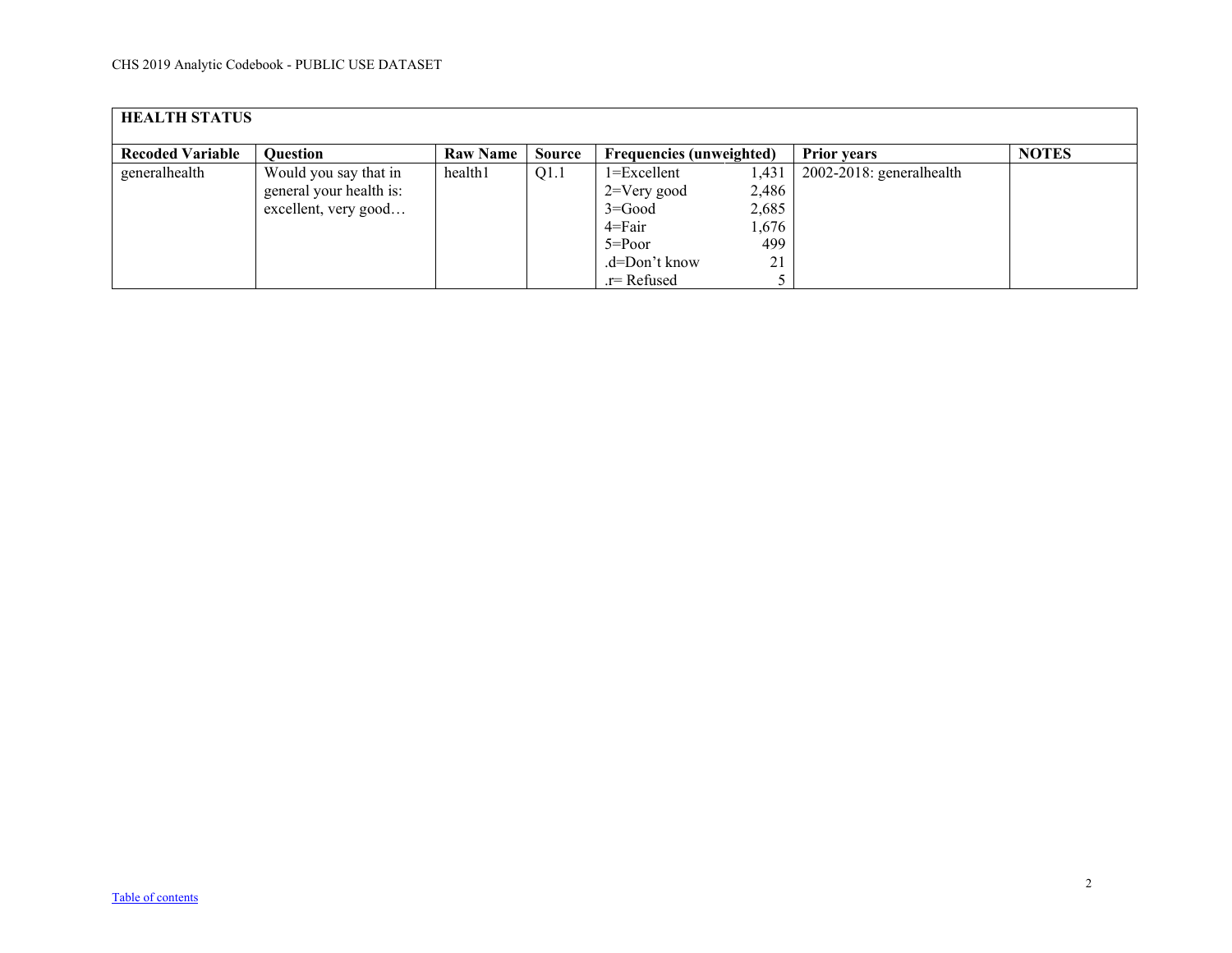<span id="page-1-0"></span>

| <b>HEALTH STATUS</b>    |                                                                          |                 |               |                                                                           |                                         |                          |              |  |  |  |
|-------------------------|--------------------------------------------------------------------------|-----------------|---------------|---------------------------------------------------------------------------|-----------------------------------------|--------------------------|--------------|--|--|--|
| <b>Recoded Variable</b> | <b>Ouestion</b>                                                          | <b>Raw Name</b> | <b>Source</b> | <b>Frequencies (unweighted)</b>                                           |                                         | <b>Prior years</b>       | <b>NOTES</b> |  |  |  |
| generalhealth           | Would you say that in<br>general your health is:<br>excellent, very good | health1         | Q1.1          | $1 = Excellent$<br>$2 = V$ ery good<br>$3 = Good$<br>4=Fair<br>$5 = Poor$ | 1,431<br>2,486<br>2,685<br>1,676<br>499 | 2002-2018: generalhealth |              |  |  |  |
|                         |                                                                          |                 |               | .d=Don't know<br>$r =$ Refused                                            | 21                                      |                          |              |  |  |  |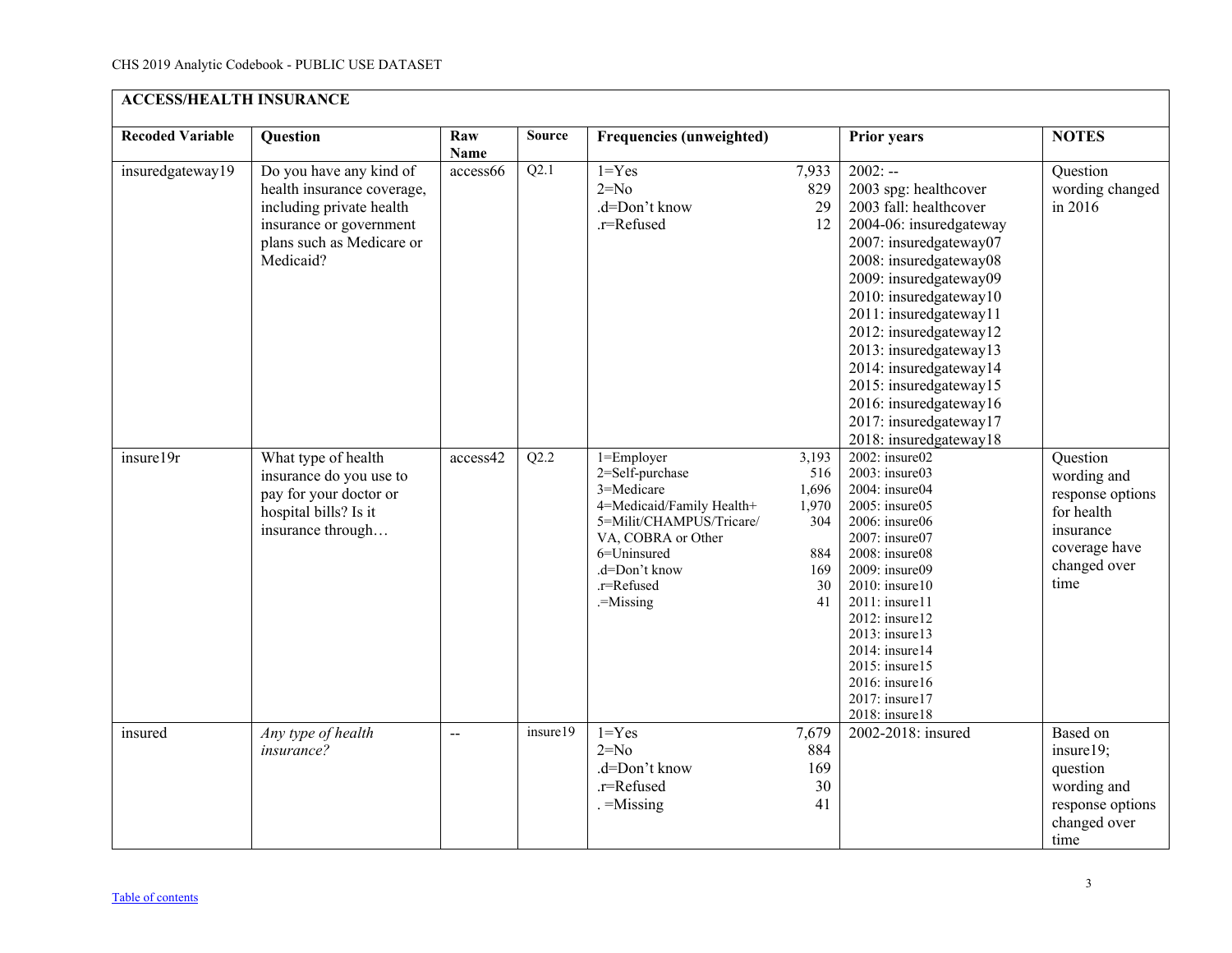<span id="page-2-0"></span>

| <b>ACCESS/HEALTH INSURANCE</b> |                                                                                                                                                        |                    |               |                                                                                                                                                                                       |                                                                 |                                                                                                                                                                                                                                                                                                                                                                                                                 |                                                                                                                 |  |  |  |
|--------------------------------|--------------------------------------------------------------------------------------------------------------------------------------------------------|--------------------|---------------|---------------------------------------------------------------------------------------------------------------------------------------------------------------------------------------|-----------------------------------------------------------------|-----------------------------------------------------------------------------------------------------------------------------------------------------------------------------------------------------------------------------------------------------------------------------------------------------------------------------------------------------------------------------------------------------------------|-----------------------------------------------------------------------------------------------------------------|--|--|--|
| <b>Recoded Variable</b>        | Question                                                                                                                                               | Raw<br><b>Name</b> | <b>Source</b> | <b>Frequencies (unweighted)</b>                                                                                                                                                       |                                                                 | <b>Prior years</b>                                                                                                                                                                                                                                                                                                                                                                                              | <b>NOTES</b>                                                                                                    |  |  |  |
| insuredgateway19               | Do you have any kind of<br>health insurance coverage,<br>including private health<br>insurance or government<br>plans such as Medicare or<br>Medicaid? | access66           | Q2.1          | $1 = Yes$<br>$2=N0$<br>.d=Don't know<br>.r=Refused                                                                                                                                    | 7,933<br>829<br>29<br>12                                        | $2002: -$<br>2003 spg: healthcover<br>2003 fall: healthcover<br>2004-06: insuredgateway<br>2007: insuredgateway07<br>2008: insuredgateway08<br>2009: insuredgateway09<br>2010: insuredgateway10<br>2011: insuredgateway11<br>2012: insuredgateway12<br>2013: insuredgateway13<br>2014: insuredgateway14<br>2015: insuredgateway15<br>2016: insuredgateway16<br>2017: insuredgateway17<br>2018: insuredgateway18 | Question<br>wording changed<br>in 2016                                                                          |  |  |  |
| insure19r                      | What type of health<br>insurance do you use to<br>pay for your doctor or<br>hospital bills? Is it<br>insurance through                                 | access42           | Q2.2          | 1=Employer<br>2=Self-purchase<br>3=Medicare<br>4=Medicaid/Family Health+<br>5=Milit/CHAMPUS/Tricare/<br>VA, COBRA or Other<br>6=Uninsured<br>.d=Don't know<br>.r=Refused<br>.=Missing | 3,193<br>516<br>1,696<br>1,970<br>304<br>884<br>169<br>30<br>41 | 2002: insure02<br>2003: insure03<br>2004: insure04<br>2005: insure05<br>2006: insure06<br>2007: insure07<br>2008: insure08<br>2009: insure09<br>$2010$ : insure10<br>$2011:$ insure11<br>$2012$ : insure12<br>2013: insure13<br>2014: insure14<br>2015: insure15<br>$2016$ : insure16<br>2017: insure17<br>2018: insure18                                                                                       | Question<br>wording and<br>response options<br>for health<br>insurance<br>coverage have<br>changed over<br>time |  |  |  |
| insured                        | Any type of health<br>insurance?                                                                                                                       | $\overline{a}$     | insure19      | $1 = Yes$<br>$2=N0$<br>.d=Don't know<br>.r=Refused<br>$-$ Missing                                                                                                                     | 7,679<br>884<br>169<br>30<br>41                                 | 2002-201 $\overline{8:}$ insured                                                                                                                                                                                                                                                                                                                                                                                | Based on<br>insure19;<br>question<br>wording and<br>response options<br>changed over<br>time                    |  |  |  |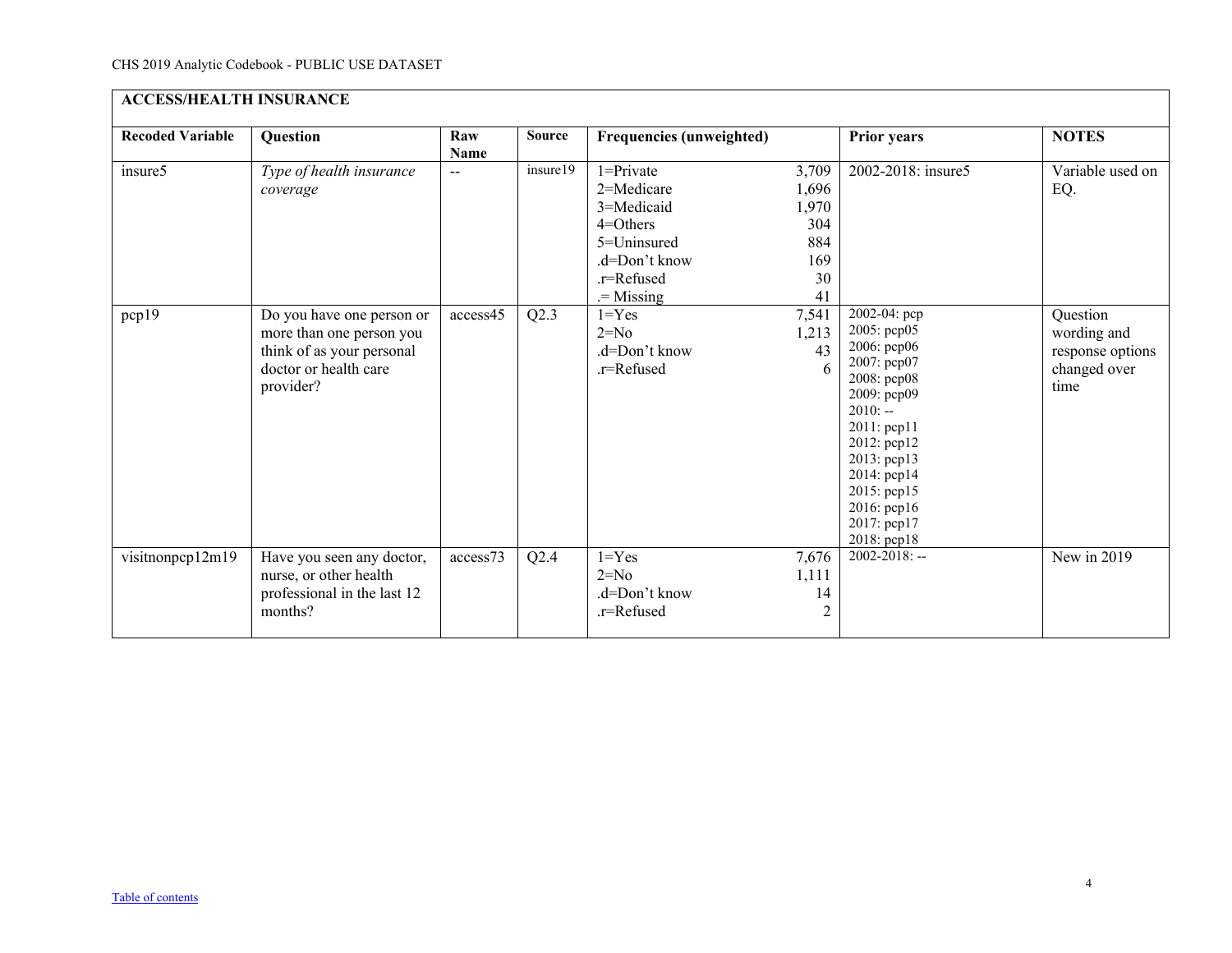| <b>ACCESS/HEALTH INSURANCE</b> |                                                                                                                                                                  |                    |                  |                                                                                                                                                                              |                                                                                       |                                                                                                                                                  |                                                                                                |  |  |
|--------------------------------|------------------------------------------------------------------------------------------------------------------------------------------------------------------|--------------------|------------------|------------------------------------------------------------------------------------------------------------------------------------------------------------------------------|---------------------------------------------------------------------------------------|--------------------------------------------------------------------------------------------------------------------------------------------------|------------------------------------------------------------------------------------------------|--|--|
| <b>Recoded Variable</b>        | <b>Question</b>                                                                                                                                                  | Raw<br><b>Name</b> | <b>Source</b>    | <b>Frequencies (unweighted)</b>                                                                                                                                              |                                                                                       | <b>Prior years</b>                                                                                                                               | <b>NOTES</b>                                                                                   |  |  |
| insure5<br>pcp19               | Type of health insurance<br>coverage<br>Do you have one person or<br>more than one person you<br>think of as your personal<br>doctor or health care<br>provider? | --<br>access45     | insure19<br>Q2.3 | $1 =$ Private<br>2=Medicare<br>3=Medicaid<br>$4 =$ Others<br>5=Uninsured<br>.d=Don't know<br>.r=Refused<br>$=$ Missing<br>$1 = Yes$<br>$2=No$<br>.d=Don't know<br>.r=Refused | 3,709<br>1,696<br>1,970<br>304<br>884<br>169<br>30<br>41<br>7,541<br>1,213<br>43<br>6 | 2002-2018: insure5<br>2002-04: pcp<br>2005: pcp05<br>2006: рер06<br>2007: pcp07<br>2008: pcp08                                                   | Variable used on<br>EQ.<br>Question<br>wording and<br>response options<br>changed over<br>time |  |  |
|                                |                                                                                                                                                                  |                    |                  |                                                                                                                                                                              |                                                                                       | 2009: рер09<br>$2010: -$<br>2011: pcp11<br>2012: pcp12<br>2013: pcp13<br>2014: pcp14<br>2015: pcp15<br>2016: pcp16<br>2017: pcp17<br>2018: pcp18 |                                                                                                |  |  |
| visitnonpcp12m19               | Have you seen any doctor,<br>nurse, or other health<br>professional in the last 12<br>months?                                                                    | access73           | Q2.4             | $1 = Yes$<br>$2=No$<br>.d=Don't know<br>.r=Refused                                                                                                                           | 7,676<br>1,111<br>14<br>$\overline{2}$                                                | $2002 - 2018$ : --                                                                                                                               | New in 2019                                                                                    |  |  |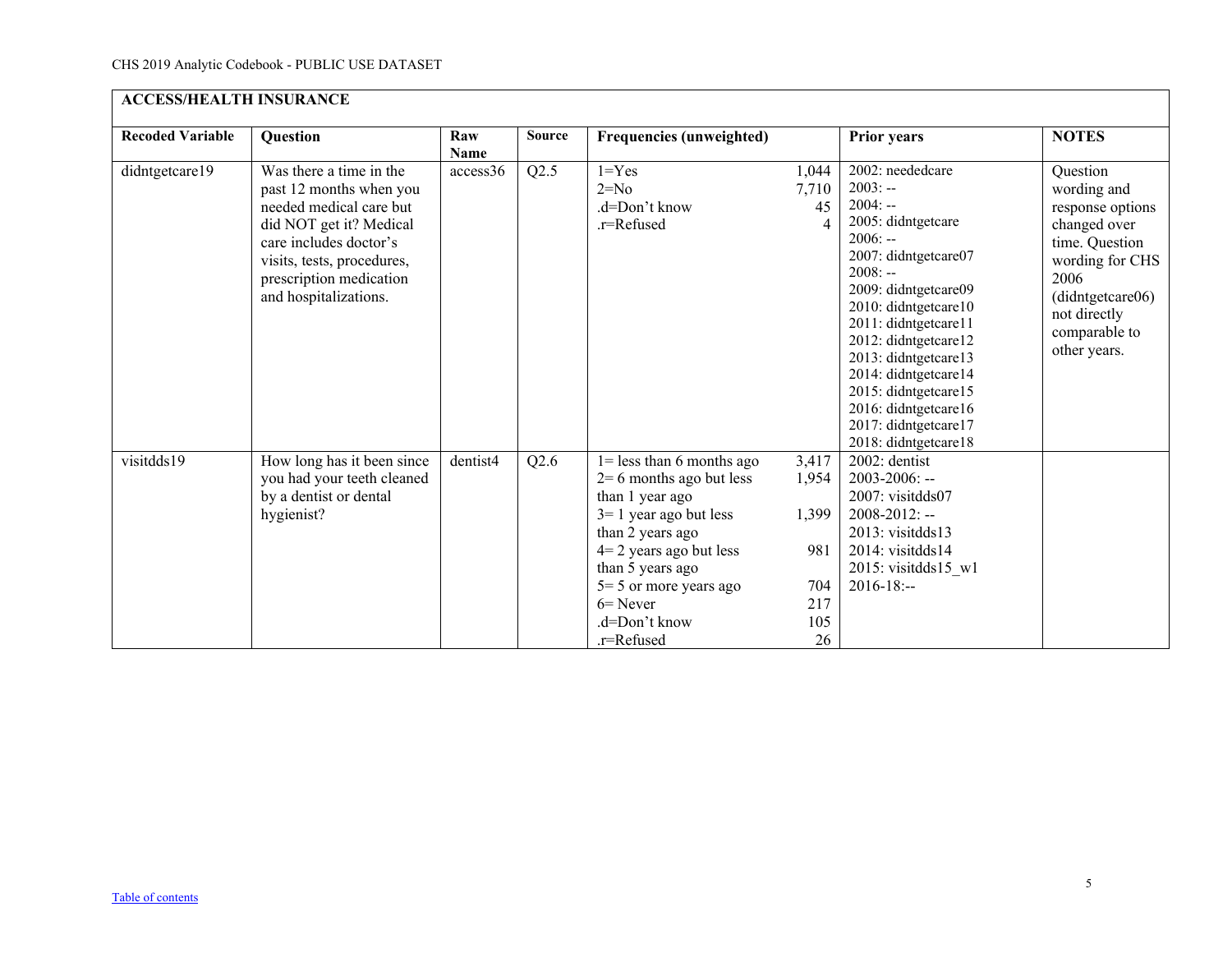| <b>ACCESS/HEALTH INSURANCE</b> |                                                                                                                                                                                                                      |                    |               |                                                                                                                                                                                                                                                        |                                                           |                                                                                                                                                                                                                                                                                                                                                                    |                                                                                                                                                                               |  |  |
|--------------------------------|----------------------------------------------------------------------------------------------------------------------------------------------------------------------------------------------------------------------|--------------------|---------------|--------------------------------------------------------------------------------------------------------------------------------------------------------------------------------------------------------------------------------------------------------|-----------------------------------------------------------|--------------------------------------------------------------------------------------------------------------------------------------------------------------------------------------------------------------------------------------------------------------------------------------------------------------------------------------------------------------------|-------------------------------------------------------------------------------------------------------------------------------------------------------------------------------|--|--|
| <b>Recoded Variable</b>        | <b>Question</b>                                                                                                                                                                                                      | Raw<br><b>Name</b> | <b>Source</b> | <b>Frequencies (unweighted)</b>                                                                                                                                                                                                                        |                                                           | <b>Prior years</b>                                                                                                                                                                                                                                                                                                                                                 | <b>NOTES</b>                                                                                                                                                                  |  |  |
| didntgetcare19                 | Was there a time in the<br>past 12 months when you<br>needed medical care but<br>did NOT get it? Medical<br>care includes doctor's<br>visits, tests, procedures,<br>prescription medication<br>and hospitalizations. | access36           | Q2.5          | $1 = Yes$<br>$2=N0$<br>.d=Don't know<br>.r=Refused                                                                                                                                                                                                     | 1,044<br>7,710<br>45<br>$\overline{\mathcal{A}}$          | 2002: neededcare<br>$2003: -$<br>$2004: -$<br>2005: didntgetcare<br>$2006: -$<br>2007: didntgetcare07<br>$2008: -$<br>2009: didntgetcare09<br>2010: didntgetcare10<br>2011: didntgetcare11<br>2012: didntgetcare12<br>2013: didntgetcare13<br>2014: didntgetcare14<br>2015: didntgetcare15<br>2016: didntgetcare16<br>2017: didntgetcare17<br>2018: didntgetcare18 | Question<br>wording and<br>response options<br>changed over<br>time. Question<br>wording for CHS<br>2006<br>(didntgetcare06)<br>not directly<br>comparable to<br>other years. |  |  |
| visitdds19                     | How long has it been since<br>you had your teeth cleaned<br>by a dentist or dental<br>hygienist?                                                                                                                     | dentist4           | Q2.6          | $1 =$ less than 6 months ago<br>$2=6$ months ago but less<br>than 1 year ago<br>$3=1$ year ago but less<br>than 2 years ago<br>$4=2$ years ago but less<br>than 5 years ago<br>$5 = 5$ or more years ago<br>$6 =$ Never<br>.d=Don't know<br>.r=Refused | 3,417<br>1,954<br>1,399<br>981<br>704<br>217<br>105<br>26 | 2002: dentist<br>$2003 - 2006$ : --<br>2007: visitdds07<br>$2008 - 2012$ : --<br>$2013$ : visitdds $13$<br>2014: visitdds14<br>2015: visitdds15_w1<br>$2016 - 18$ :--                                                                                                                                                                                              |                                                                                                                                                                               |  |  |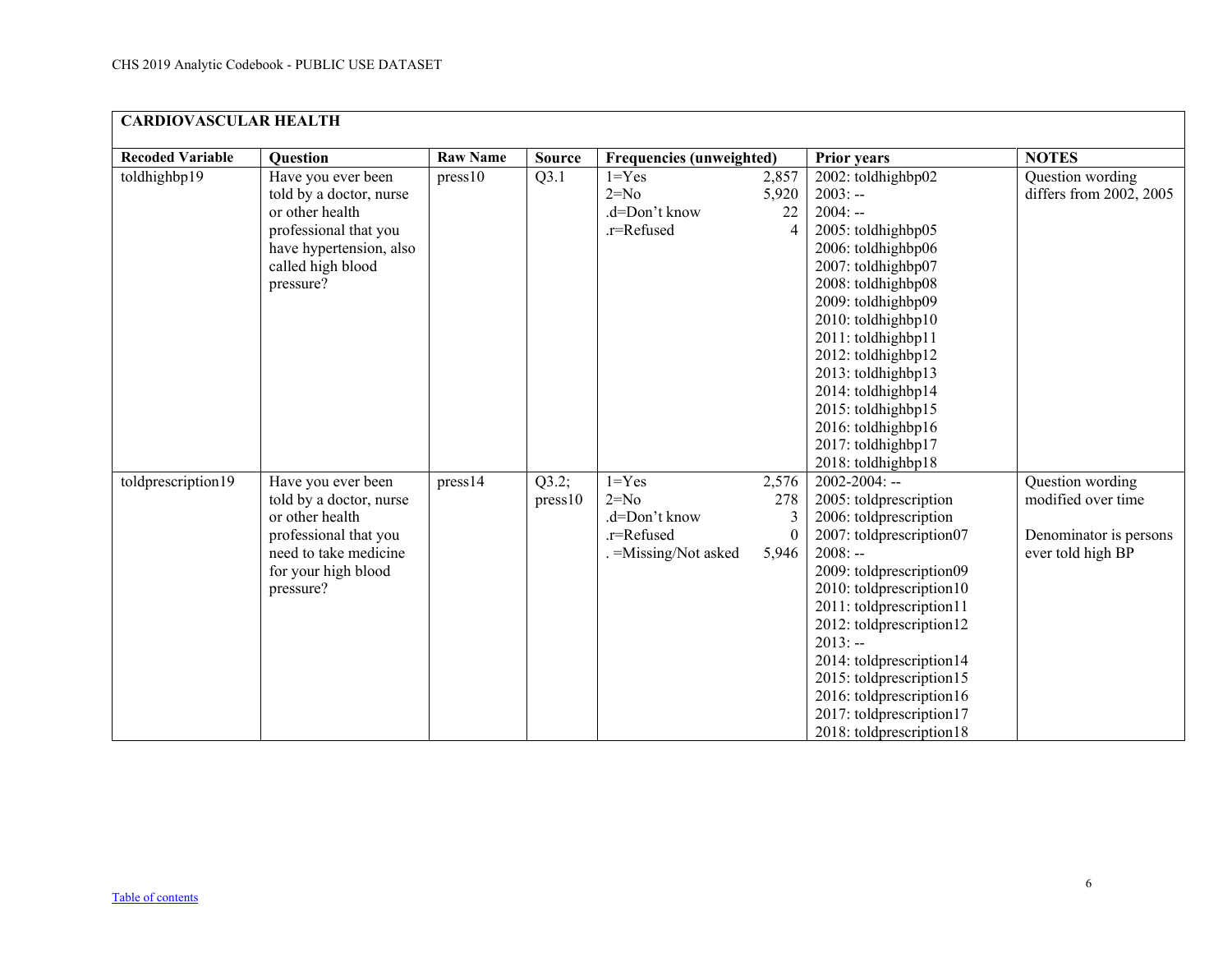<span id="page-5-0"></span>

| <b>CARDIOVASCULAR HEALTH</b> |                                                                                                                                                        |                 |                 |                                                                             |                                        |                                                                                                                                                                                                                                                                                                                                                                                          |                                                                                       |  |  |
|------------------------------|--------------------------------------------------------------------------------------------------------------------------------------------------------|-----------------|-----------------|-----------------------------------------------------------------------------|----------------------------------------|------------------------------------------------------------------------------------------------------------------------------------------------------------------------------------------------------------------------------------------------------------------------------------------------------------------------------------------------------------------------------------------|---------------------------------------------------------------------------------------|--|--|
| <b>Recoded Variable</b>      | <b>Question</b>                                                                                                                                        | <b>Raw Name</b> | <b>Source</b>   | <b>Frequencies (unweighted)</b>                                             |                                        | <b>Prior years</b>                                                                                                                                                                                                                                                                                                                                                                       | <b>NOTES</b>                                                                          |  |  |
| toldhighbp19                 | Have you ever been<br>told by a doctor, nurse<br>or other health<br>professional that you<br>have hypertension, also<br>called high blood<br>pressure? | press10         | Q3.1            | $1 = Yes$<br>$2=N0$<br>.d=Don't know<br>.r=Refused                          | 2,857<br>5,920<br>22<br>$\overline{4}$ | 2002: toldhighbp02<br>$2003: -$<br>$2004: -$<br>2005: toldhighbp05<br>2006: toldhighbp06<br>2007: toldhighbp07<br>2008: toldhighbp08<br>2009: toldhighbp09<br>2010: toldhighbp10<br>2011: toldhighbp11<br>2012: toldhighbp12<br>2013: toldhighbp13<br>2014: toldhighbp14<br>2015: toldhighbp15<br>2016: toldhighbp16<br>2017: toldhighbp17<br>2018: toldhighbp18                         | Question wording<br>differs from 2002, 2005                                           |  |  |
| toldprescription19           | Have you ever been<br>told by a doctor, nurse<br>or other health<br>professional that you<br>need to take medicine<br>for your high blood<br>pressure? | press14         | Q3.2;<br>pres10 | $1 = Yes$<br>$2=N0$<br>.d=Don't know<br>.r=Refused<br>. = Missing/Not asked | 2,576<br>278<br>3<br>$\Omega$<br>5,946 | $2002 - 2004$ : --<br>2005: toldprescription<br>2006: toldprescription<br>2007: toldprescription07<br>$2008: -$<br>2009: toldprescription09<br>2010: toldprescription10<br>2011: toldprescription11<br>2012: toldprescription12<br>$2013: -$<br>2014: toldprescription14<br>2015: toldprescription15<br>2016: toldprescription16<br>2017: toldprescription17<br>2018: toldprescription18 | Question wording<br>modified over time<br>Denominator is persons<br>ever told high BP |  |  |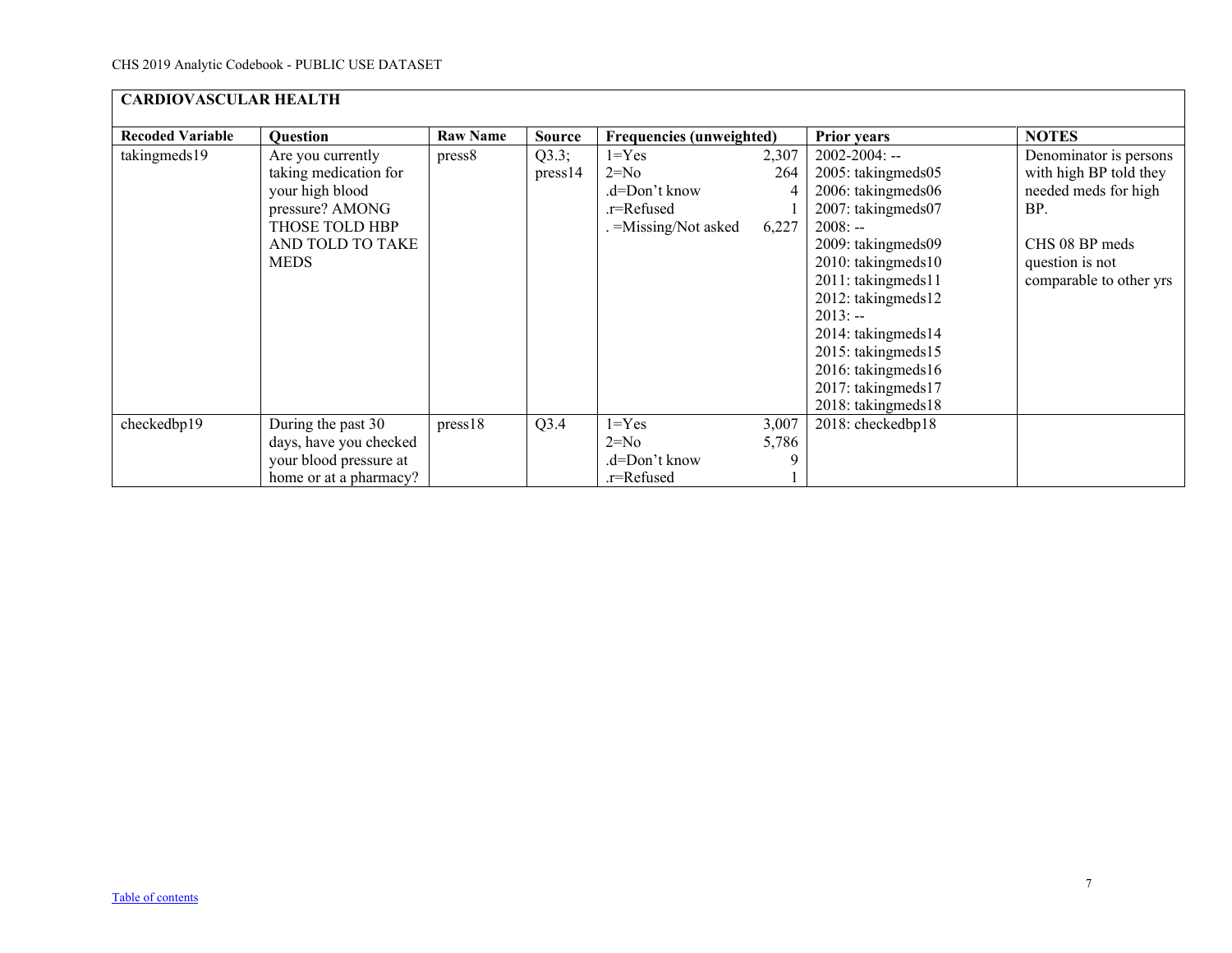| <b>CARDIOVASCULAR HEALTH</b> |                                                                                                                                       |                 |                  |                                                                            |                            |                                                                                                                                                                                                                                                                                                                             |                                                                                                                                                 |  |  |
|------------------------------|---------------------------------------------------------------------------------------------------------------------------------------|-----------------|------------------|----------------------------------------------------------------------------|----------------------------|-----------------------------------------------------------------------------------------------------------------------------------------------------------------------------------------------------------------------------------------------------------------------------------------------------------------------------|-------------------------------------------------------------------------------------------------------------------------------------------------|--|--|
| <b>Recoded Variable</b>      | <b>Question</b>                                                                                                                       | <b>Raw Name</b> | <b>Source</b>    | <b>Frequencies (unweighted)</b>                                            |                            | <b>Prior years</b>                                                                                                                                                                                                                                                                                                          | <b>NOTES</b>                                                                                                                                    |  |  |
| takingmeds19                 | Are you currently<br>taking medication for<br>your high blood<br>pressure? AMONG<br>THOSE TOLD HBP<br>AND TOLD TO TAKE<br><b>MEDS</b> | press8          | Q3.3;<br>press14 | $1 = Yes$<br>$2=N0$<br>.d=Don't know<br>.r=Refused<br>. =Missing/Not asked | 2,307<br>264<br>4<br>6,227 | $2002 - 2004$ : --<br>2005: takingmeds05<br>2006: takingmeds06<br>2007: takingmeds07<br>$2008: -$<br>2009: takingmeds09<br>$2010$ : taking meds $10$<br>2011: takingmeds11<br>2012: takingmeds12<br>$2013: -$<br>2014: takingmeds14<br>2015: takingmeds15<br>2016: takingmeds16<br>2017: takingmeds17<br>2018: takingmeds18 | Denominator is persons<br>with high BP told they<br>needed meds for high<br>BP.<br>CHS 08 BP meds<br>question is not<br>comparable to other yrs |  |  |
| checkedbp19                  | During the past 30                                                                                                                    | press18         | Q3.4             | $1 = Yes$                                                                  | 3,007                      | 2018: checkedbp18                                                                                                                                                                                                                                                                                                           |                                                                                                                                                 |  |  |
|                              | days, have you checked                                                                                                                |                 |                  | $2=N0$                                                                     | 5,786                      |                                                                                                                                                                                                                                                                                                                             |                                                                                                                                                 |  |  |
|                              | your blood pressure at                                                                                                                |                 |                  | .d=Don't know                                                              |                            |                                                                                                                                                                                                                                                                                                                             |                                                                                                                                                 |  |  |
|                              | home or at a pharmacy?                                                                                                                |                 |                  | .r=Refused                                                                 |                            |                                                                                                                                                                                                                                                                                                                             |                                                                                                                                                 |  |  |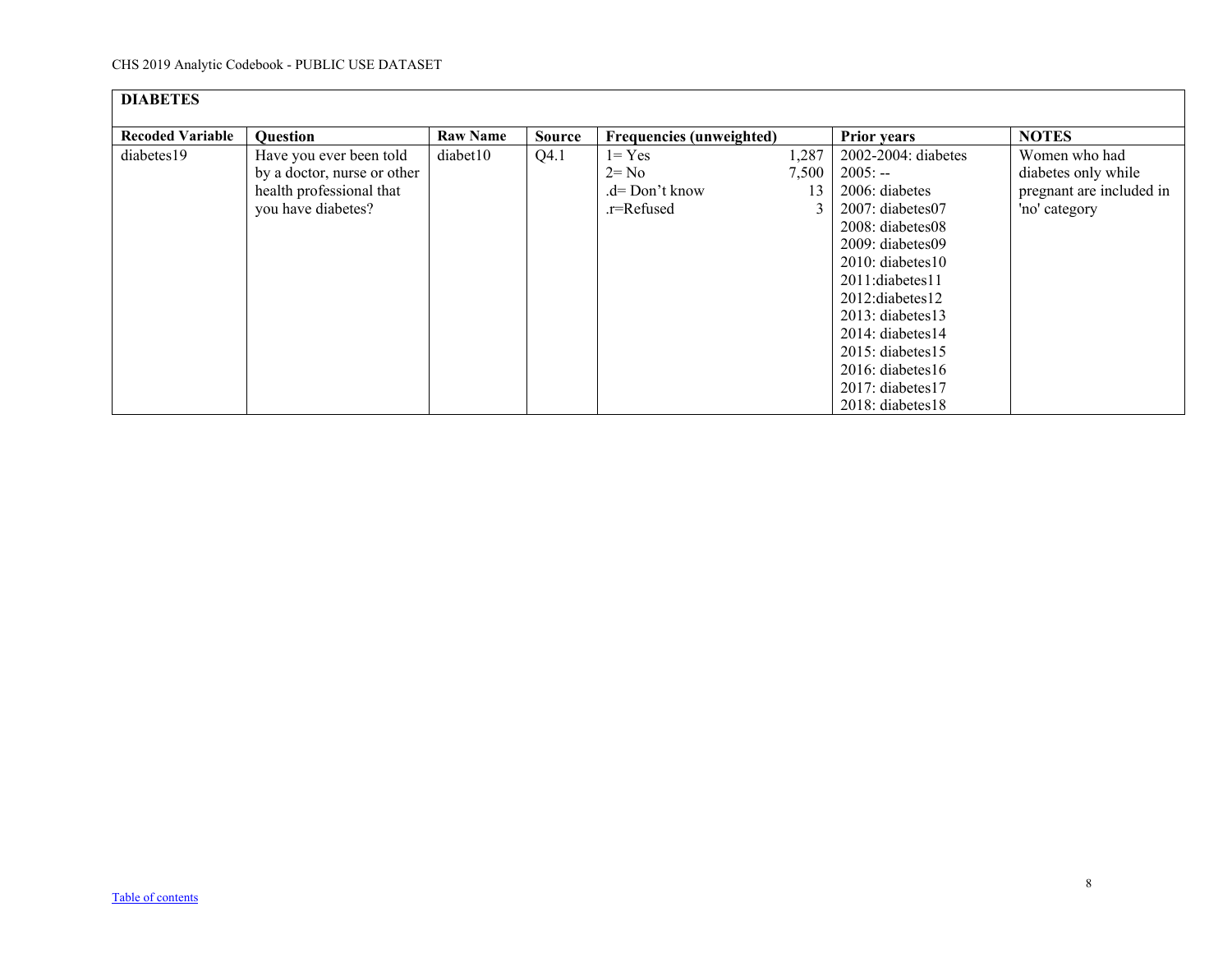<span id="page-7-0"></span>

| <b>DIABETES</b>         |                             |                 |        |                          |       |                       |                          |
|-------------------------|-----------------------------|-----------------|--------|--------------------------|-------|-----------------------|--------------------------|
| <b>Recoded Variable</b> | <b>Question</b>             | <b>Raw Name</b> | Source | Frequencies (unweighted) |       | <b>Prior years</b>    | <b>NOTES</b>             |
| diabetes19              | Have you ever been told     | diabet10        | Q4.1   | $1 = Yes$                | 1,287 | 2002-2004: diabetes   | Women who had            |
|                         | by a doctor, nurse or other |                 |        | 2= No                    | 7,500 | $2005: -$             | diabetes only while      |
|                         | health professional that    |                 |        | .d= Don't know           | 13    | 2006: diabetes        | pregnant are included in |
|                         | you have diabetes?          |                 |        | .r=Refused               |       | 2007: diabetes07      | 'no' category            |
|                         |                             |                 |        |                          |       | 2008: diabetes08      |                          |
|                         |                             |                 |        |                          |       | 2009: diabetes09      |                          |
|                         |                             |                 |        |                          |       | $2010:$ diabetes $10$ |                          |
|                         |                             |                 |        |                          |       | 2011:diabetes11       |                          |
|                         |                             |                 |        |                          |       | 2012:diabetes12       |                          |
|                         |                             |                 |        |                          |       | 2013: diabetes13      |                          |
|                         |                             |                 |        |                          |       | 2014: diabetes14      |                          |
|                         |                             |                 |        |                          |       | 2015: diabetes15      |                          |
|                         |                             |                 |        |                          |       | $2016$ : diabetes 16  |                          |
|                         |                             |                 |        |                          |       | 2017: diabetes17      |                          |
|                         |                             |                 |        |                          |       | 2018: diabetes18      |                          |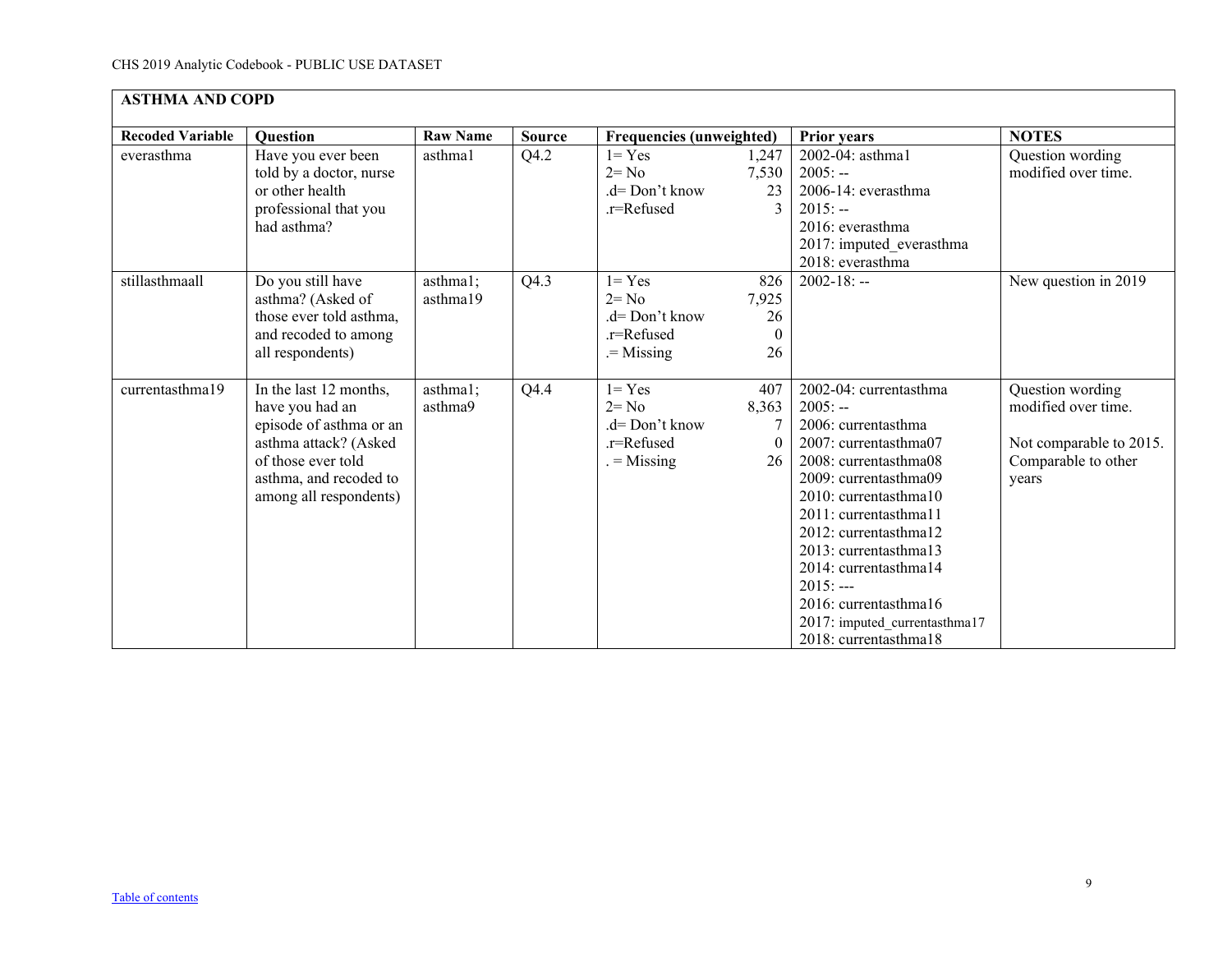<span id="page-8-0"></span>

| <b>ASTHMA AND COPD</b>  |                                                                                                                                                                         |                      |                   |                                                                        |                                      |                                                                                                                                                                                                                                                                                                                                                                     |                                                                                                    |  |  |
|-------------------------|-------------------------------------------------------------------------------------------------------------------------------------------------------------------------|----------------------|-------------------|------------------------------------------------------------------------|--------------------------------------|---------------------------------------------------------------------------------------------------------------------------------------------------------------------------------------------------------------------------------------------------------------------------------------------------------------------------------------------------------------------|----------------------------------------------------------------------------------------------------|--|--|
| <b>Recoded Variable</b> | <b>Question</b>                                                                                                                                                         | <b>Raw Name</b>      | <b>Source</b>     | <b>Frequencies (unweighted)</b>                                        |                                      | <b>Prior years</b>                                                                                                                                                                                                                                                                                                                                                  | <b>NOTES</b>                                                                                       |  |  |
| everasthma              | Have you ever been<br>told by a doctor, nurse<br>or other health<br>professional that you<br>had asthma?                                                                | asthma1              | Q4.2              | $1 = Yes$<br>$2 = No$<br>$.d = Don't know$<br>.r=Refused               | 1,247<br>7,530<br>23                 | 2002-04: asthma1<br>$2005: -$<br>2006-14: everasthma<br>$2015: -$<br>2016: everasthma<br>2017: imputed_everasthma<br>2018: everasthma                                                                                                                                                                                                                               | Question wording<br>modified over time.                                                            |  |  |
| stillasthmaall          | Do you still have<br>asthma? (Asked of<br>those ever told asthma,<br>and recoded to among<br>all respondents)                                                           | asthma1;<br>asthma19 | $Q4.\overline{3}$ | $1 = Yes$<br>$2 = No$<br>$d = Don't know$<br>.r=Refused<br>$=$ Missing | 826<br>7,925<br>26<br>$\Omega$<br>26 | $2002 - 18: -$                                                                                                                                                                                                                                                                                                                                                      | New question in 2019                                                                               |  |  |
| currentasthma19         | In the last 12 months,<br>have you had an<br>episode of asthma or an<br>asthma attack? (Asked<br>of those ever told<br>asthma, and recoded to<br>among all respondents) | asthma1;<br>asthma9  | Q4.4              | $1 = Yes$<br>$2 = No$<br>$d = Don't know$<br>.r=Refused<br>$=$ Missing | 407<br>8,363<br>26                   | 2002-04: currentasthma<br>$2005: -$<br>2006: currentasthma<br>2007: currentasthma07<br>2008: currentasthma08<br>2009: currentasthma09<br>2010: currentasthma10<br>2011: currentasthma11<br>2012: currentasthma12<br>2013: currentasthma13<br>2014: currentasthma14<br>$2015: --$<br>2016: currentasthma16<br>2017: imputed_currentasthma17<br>2018: currentasthma18 | Question wording<br>modified over time.<br>Not comparable to 2015.<br>Comparable to other<br>years |  |  |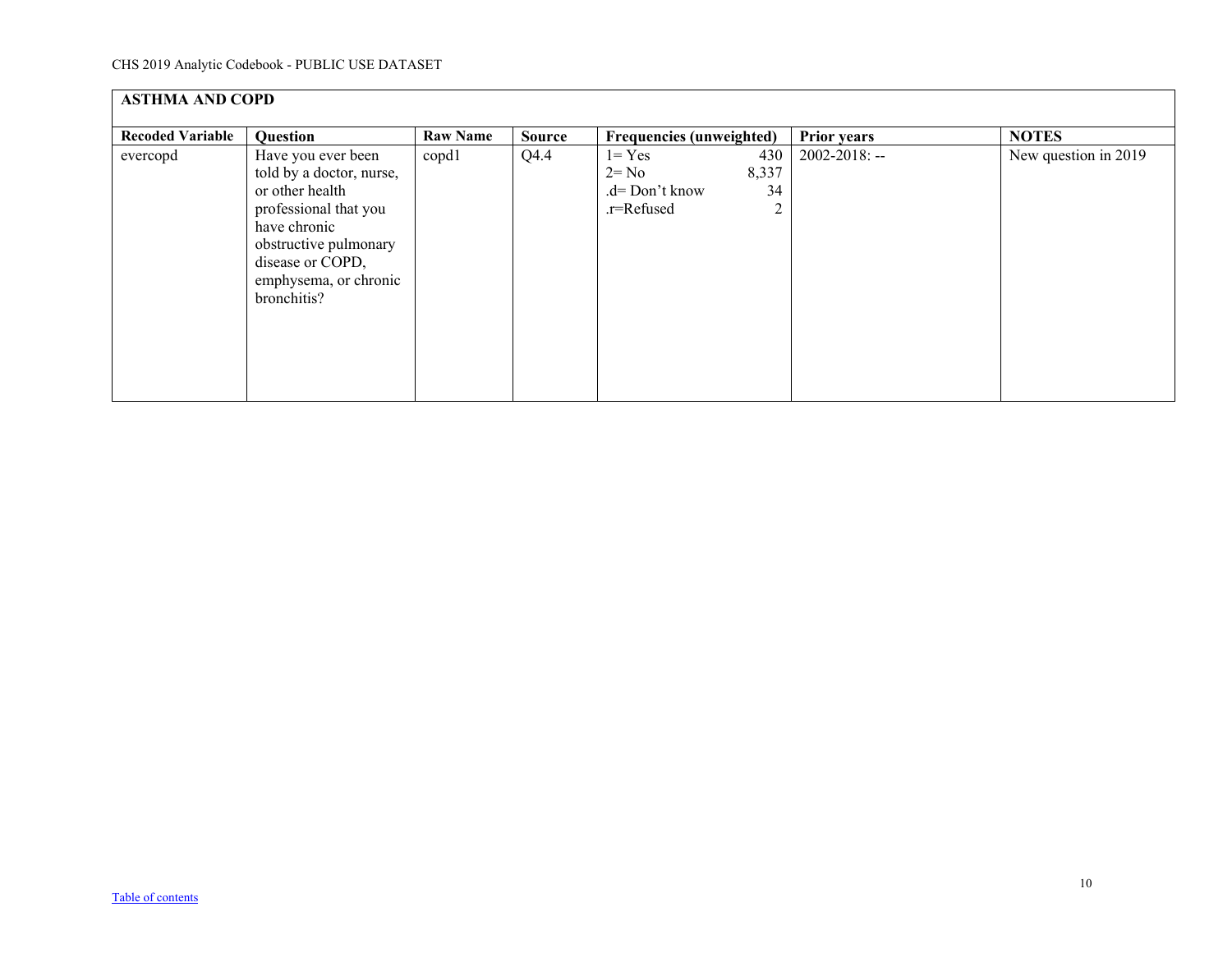| <b>ASTHMA AND COPD</b>  |                                                                                                                                                                                                 |                 |               |                                                                             |                    |                      |  |  |  |
|-------------------------|-------------------------------------------------------------------------------------------------------------------------------------------------------------------------------------------------|-----------------|---------------|-----------------------------------------------------------------------------|--------------------|----------------------|--|--|--|
| <b>Recoded Variable</b> | Question                                                                                                                                                                                        | <b>Raw Name</b> | <b>Source</b> | Frequencies (unweighted)                                                    | <b>Prior years</b> | <b>NOTES</b>         |  |  |  |
| evercopd                | Have you ever been<br>told by a doctor, nurse,<br>or other health<br>professional that you<br>have chronic<br>obstructive pulmonary<br>disease or COPD,<br>emphysema, or chronic<br>bronchitis? | copd1           | Q4.4          | $l = Yes$<br>430<br>8,337<br>$2 = No$<br>34<br>.d= Don't know<br>.r=Refused | $2002 - 2018$ : -- | New question in 2019 |  |  |  |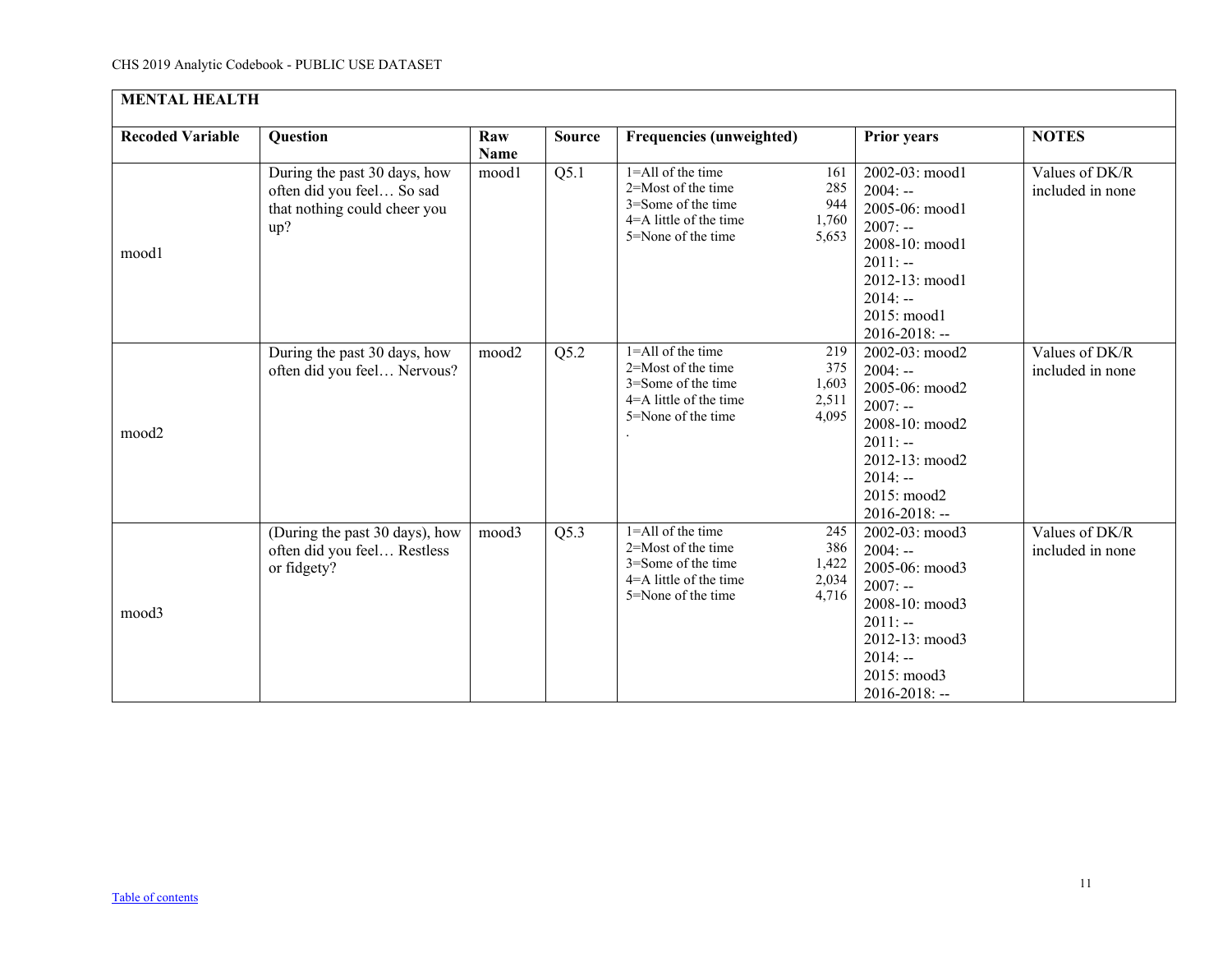<span id="page-10-0"></span>

| <b>MENTAL HEALTH</b>    |                                                                                                  |                    |               |                                                                                                                                                                    |                                                                                                                                                               |                                    |  |  |  |
|-------------------------|--------------------------------------------------------------------------------------------------|--------------------|---------------|--------------------------------------------------------------------------------------------------------------------------------------------------------------------|---------------------------------------------------------------------------------------------------------------------------------------------------------------|------------------------------------|--|--|--|
| <b>Recoded Variable</b> | <b>Question</b>                                                                                  | Raw<br><b>Name</b> | <b>Source</b> | Frequencies (unweighted)                                                                                                                                           | <b>Prior years</b>                                                                                                                                            | <b>NOTES</b>                       |  |  |  |
| mood1                   | During the past 30 days, how<br>often did you feel So sad<br>that nothing could cheer you<br>up? | mood1              | Q5.1          | 1=All of the time<br>161<br>2=Most of the time<br>285<br>3=Some of the time<br>944<br>4=A little of the time<br>1,760<br>5=None of the time<br>5,653               | 2002-03: mood1<br>$2004: -$<br>2005-06: mood1<br>$2007: -$<br>2008-10: mood1<br>$2011: -$<br>2012-13: mood1<br>$2014: -$<br>2015: mood1<br>$2016 - 2018$ : -- | Values of DK/R<br>included in none |  |  |  |
| mood2                   | During the past 30 days, how<br>often did you feel Nervous?                                      | mood2              | Q5.2          | 1=All of the time<br>219<br>2=Most of the time<br>375<br>3=Some of the time<br>1,603<br>$4 = A$ little of the time<br>2,511<br>4,095<br>5=None of the time         | 2002-03: mood2<br>$2004: -$<br>2005-06: mood2<br>$2007: -$<br>2008-10: mood2<br>$2011: -$<br>2012-13: mood2<br>$2014: -$<br>2015: mood2<br>$2016 - 2018$ : -- | Values of DK/R<br>included in none |  |  |  |
| mood3                   | (During the past 30 days), how<br>often did you feel Restless<br>or fidgety?                     | mood3              | Q5.3          | $1 =$ All of the time<br>245<br>$2 =$ Most of the time<br>386<br>3=Some of the time<br>1,422<br>$4 = A$ little of the time<br>2,034<br>4,716<br>5=None of the time | 2002-03: mood3<br>$2004: -$<br>2005-06: mood3<br>$2007: -$<br>2008-10: mood3<br>$2011: -$<br>2012-13: mood3<br>$2014: -$<br>2015: mood3<br>2016-2018: --      | Values of DK/R<br>included in none |  |  |  |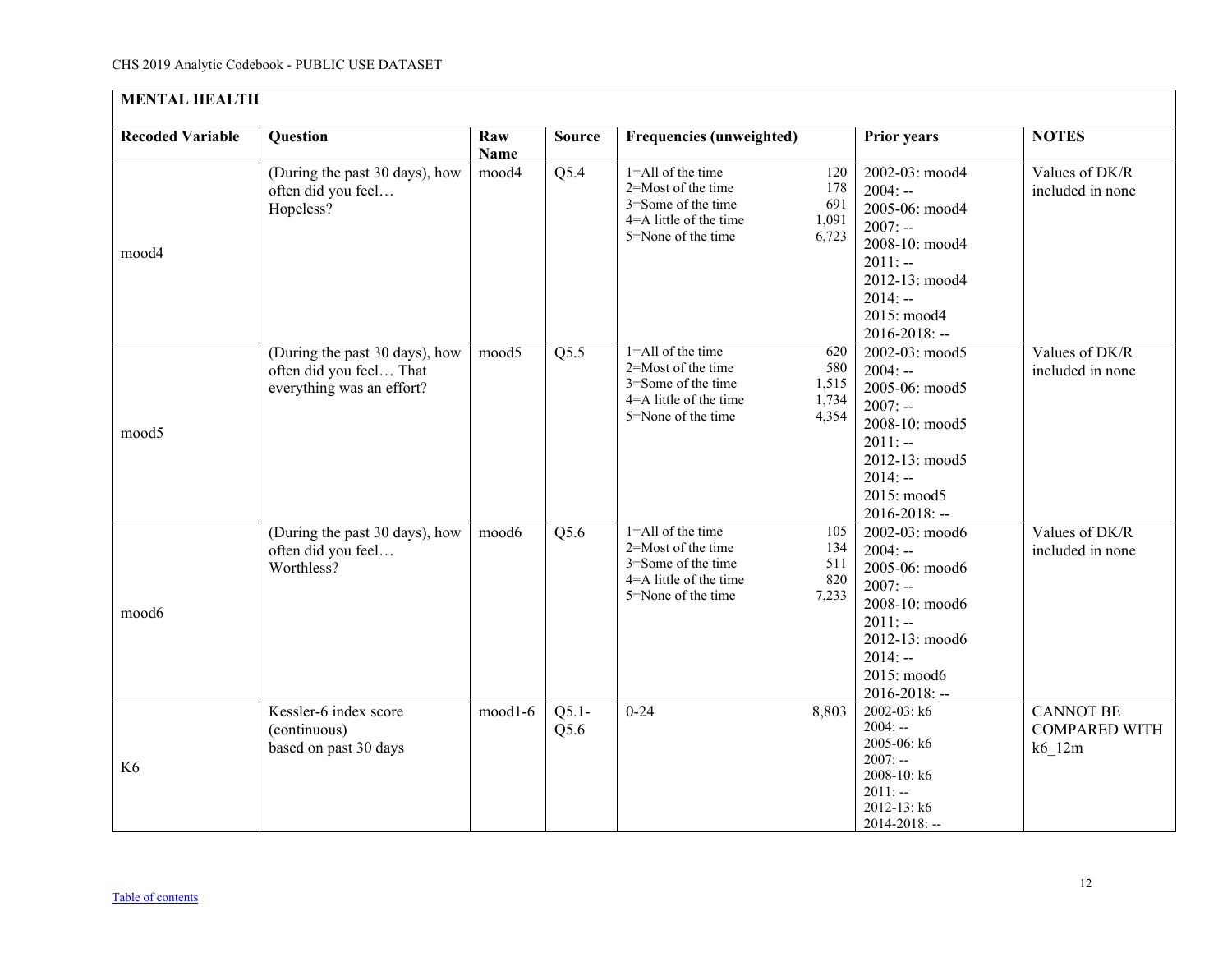| <b>MENTAL HEALTH</b>    |                                                                                        |                    |                 |                                                                                                                                                            |                                                                                                                                                               |                                                                 |  |  |  |
|-------------------------|----------------------------------------------------------------------------------------|--------------------|-----------------|------------------------------------------------------------------------------------------------------------------------------------------------------------|---------------------------------------------------------------------------------------------------------------------------------------------------------------|-----------------------------------------------------------------|--|--|--|
| <b>Recoded Variable</b> | <b>Question</b>                                                                        | Raw<br><b>Name</b> | <b>Source</b>   | Frequencies (unweighted)                                                                                                                                   | <b>Prior years</b>                                                                                                                                            | <b>NOTES</b>                                                    |  |  |  |
| mood4                   | (During the past 30 days), how<br>often did you feel<br>Hopeless?                      | mood4              | Q5.4            | $1 =$ All of the time<br>120<br>2=Most of the time<br>178<br>3=Some of the time<br>691<br>4=A little of the time<br>1,091<br>5=None of the time<br>6,723   | 2002-03: mood4<br>$2004: -$<br>2005-06: mood4<br>$2007: -$<br>2008-10: mood4<br>$2011: -$<br>2012-13: mood4<br>$2014: -$<br>2015: mood4<br>2016-2018: --      | Values of DK/R<br>included in none                              |  |  |  |
| mood5                   | (During the past 30 days), how<br>often did you feel That<br>everything was an effort? | mood5              | Q5.5            | $1 =$ All of the time<br>620<br>2=Most of the time<br>580<br>3=Some of the time<br>1,515<br>4=A little of the time<br>1,734<br>4,354<br>5=None of the time | 2002-03: mood5<br>$2004: -$<br>2005-06: mood5<br>$2007: -$<br>2008-10: mood5<br>$2011: -$<br>2012-13: mood5<br>$2014: -$<br>2015: mood5<br>$2016 - 2018$ : -- | Values of DK/R<br>included in none                              |  |  |  |
| mood6                   | (During the past 30 days), how<br>often did you feel<br>Worthless?                     | mood6              | Q5.6            | 1=All of the time<br>105<br>2=Most of the time<br>134<br>3=Some of the time<br>511<br>4=A little of the time<br>820<br>7,233<br>5=None of the time         | 2002-03: mood6<br>$2004: -$<br>2005-06: mood6<br>$2007: -$<br>2008-10: mood6<br>$2011: -$<br>2012-13: mood6<br>$2014: -$<br>2015: mood6<br>2016-2018: --      | Values of DK/R<br>included in none                              |  |  |  |
| K <sub>6</sub>          | Kessler-6 index score<br>(continuous)<br>based on past 30 days                         | mood1-6            | $Q5.1-$<br>Q5.6 | $0 - 24$<br>8,803                                                                                                                                          | $2002 - 03$ : k6<br>$2004: -$<br>2005-06: k6<br>$2007: -$<br>2008-10: k6<br>$2011: -$<br>2012-13: k6<br>$2014 - 2018$ : --                                    | <b>CANNOT BE</b><br><b>COMPARED WITH</b><br>$k6$ <sup>12m</sup> |  |  |  |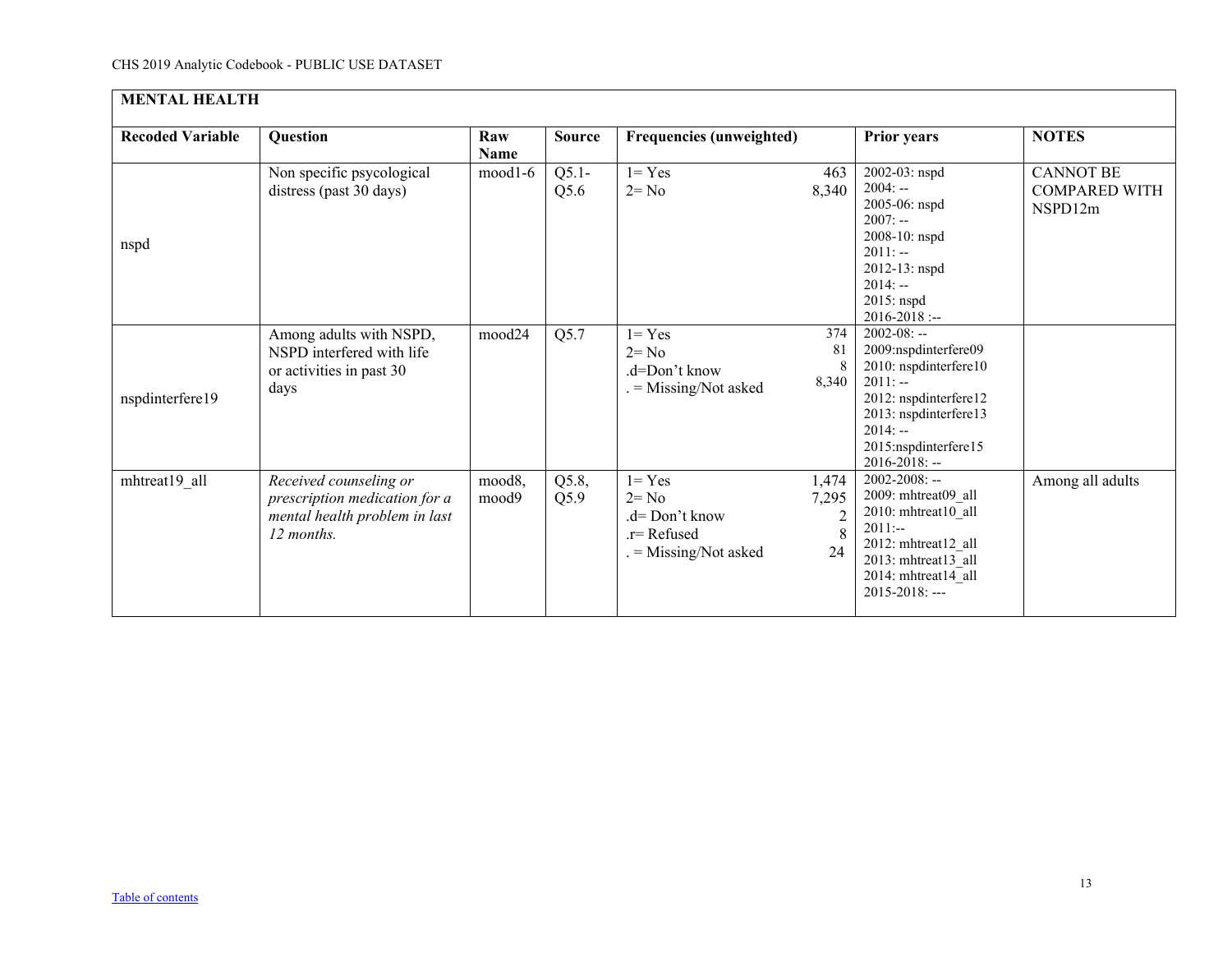| <b>MENTAL HEALTH</b>    |                                                                                                        |                    |                 |                                                                                   |                                             |                                                                                                                                                                                           |                                                     |  |  |  |
|-------------------------|--------------------------------------------------------------------------------------------------------|--------------------|-----------------|-----------------------------------------------------------------------------------|---------------------------------------------|-------------------------------------------------------------------------------------------------------------------------------------------------------------------------------------------|-----------------------------------------------------|--|--|--|
| <b>Recoded Variable</b> | Question                                                                                               | Raw<br><b>Name</b> | <b>Source</b>   | <b>Frequencies (unweighted)</b>                                                   |                                             | <b>Prior years</b>                                                                                                                                                                        | <b>NOTES</b>                                        |  |  |  |
| nspd                    | Non specific psycological<br>distress (past 30 days)                                                   | mood1-6            | $Q5.1-$<br>Q5.6 | $1 = Yes$<br>$2 = No$                                                             | 463<br>8,340                                | 2002-03: nspd<br>$2004: -$<br>2005-06: nspd<br>$2007: -$<br>2008-10: nspd<br>$2011: -$<br>2012-13: nspd<br>$2014: -$<br>2015: nspd<br>$2016 - 2018$ :                                     | <b>CANNOT BE</b><br><b>COMPARED WITH</b><br>NSPD12m |  |  |  |
| nspdinterfere19         | Among adults with NSPD,<br>NSPD interfered with life<br>or activities in past 30<br>days               | mood24             | Q5.7            | $1 = Yes$<br>$2 = No$<br>.d=Don't know<br>= Missing/Not asked                     | 374<br>81<br>8<br>8,340                     | $2002 - 08: -$<br>2009:nspdinterfere09<br>2010: nspdinterfere10<br>$2011: -$<br>2012: nspdinterfere12<br>2013: nspdinterfere13<br>$2014: -$<br>2015:nspdinterfere15<br>$2016 - 2018$ : -- |                                                     |  |  |  |
| mhtreat19 all           | Received counseling or<br>prescription medication for a<br>mental health problem in last<br>12 months. | mood8,<br>mood9    | Q5.8,<br>Q5.9   | $1 = Yes$<br>$2 = No$<br>$d=Don't know$<br>$r =$ Refused<br>$=$ Missing/Not asked | 1,474<br>7,295<br>$\overline{2}$<br>8<br>24 | $2002 - 2008$ : --<br>2009: mhtreat09 all<br>2010: mhtreat10_all<br>$2011:-$<br>2012: mhtreat12 all<br>2013: mhtreat13 all<br>2014: mhtreat14 all<br>$2015 - 2018$ : ---                  | Among all adults                                    |  |  |  |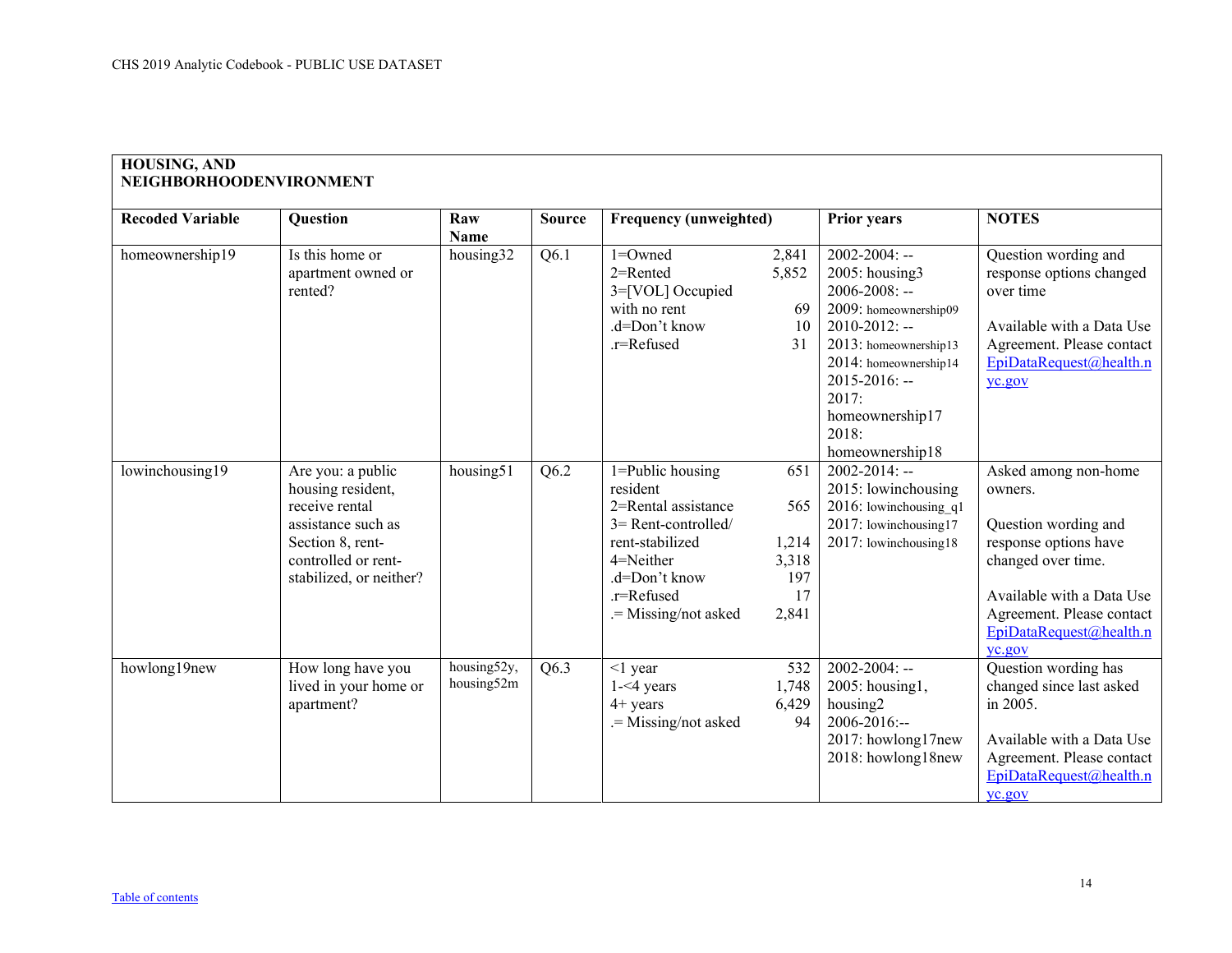<span id="page-13-0"></span>

| <b>Recoded Variable</b> | Question                                                                                                                                             | Raw<br>Name               | <b>Source</b> | <b>Frequency (unweighted)</b>                                                                                                                                            |                                                    | <b>Prior years</b>                                                                                                                                                                                                                            | <b>NOTES</b>                                                                                                                                                                                          |
|-------------------------|------------------------------------------------------------------------------------------------------------------------------------------------------|---------------------------|---------------|--------------------------------------------------------------------------------------------------------------------------------------------------------------------------|----------------------------------------------------|-----------------------------------------------------------------------------------------------------------------------------------------------------------------------------------------------------------------------------------------------|-------------------------------------------------------------------------------------------------------------------------------------------------------------------------------------------------------|
| homeownership19         | Is this home or<br>apartment owned or<br>rented?                                                                                                     | housing32                 | Q6.1          | $1 =$ Owned<br>2=Rented<br>3=[VOL] Occupied<br>with no rent<br>.d=Don't know<br>.r=Refused                                                                               | 2,841<br>5,852<br>69<br>10<br>31                   | $2002 - 2004$ : --<br>$2005$ : housing 3<br>$2006 - 2008$ : --<br>2009: homeownership09<br>$2010 - 2012$ : --<br>2013: homeownership13<br>2014: homeownership14<br>$2015 - 2016$ : --<br>2017:<br>homeownership17<br>2018:<br>homeownership18 | Question wording and<br>response options changed<br>over time<br>Available with a Data Use<br>Agreement. Please contact<br>EpiDataRequest@health.n<br>yc.gov                                          |
| lowinchousing19         | Are you: a public<br>housing resident,<br>receive rental<br>assistance such as<br>Section 8, rent-<br>controlled or rent-<br>stabilized, or neither? | housing51                 | Q6.2          | $1 =$ Public housing<br>resident<br>2=Rental assistance<br>$3$ = Rent-controlled/<br>rent-stabilized<br>4=Neither<br>.d=Don't know<br>.r=Refused<br>.= Missing/not asked | 651<br>565<br>1,214<br>3,318<br>197<br>17<br>2,841 | $2002 - 2014$ : --<br>2015: lowinchousing<br>$2016$ : lowinchousing q1<br>2017: lowinchousing17<br>2017: lowinchousing18                                                                                                                      | Asked among non-home<br>owners.<br>Question wording and<br>response options have<br>changed over time.<br>Available with a Data Use<br>Agreement. Please contact<br>EpiDataRequest@health.n<br>yc.gov |
| howlong19new            | How long have you<br>lived in your home or<br>apartment?                                                                                             | housing52y,<br>housing52m | Q6.3          | $<$ 1 year<br>$1 - 4$ years<br>$4+$ years<br>.= Missing/not asked                                                                                                        | 532<br>1,748<br>6,429<br>94                        | $2002 - 2004$ : --<br>2005: housing1,<br>housing <sub>2</sub><br>$2006 - 2016$ :--<br>2017: howlong17new<br>2018: howlong18new                                                                                                                | Question wording has<br>changed since last asked<br>in 2005.<br>Available with a Data Use<br>Agreement. Please contact<br>EpiDataRequest@health.n<br>yc.gov                                           |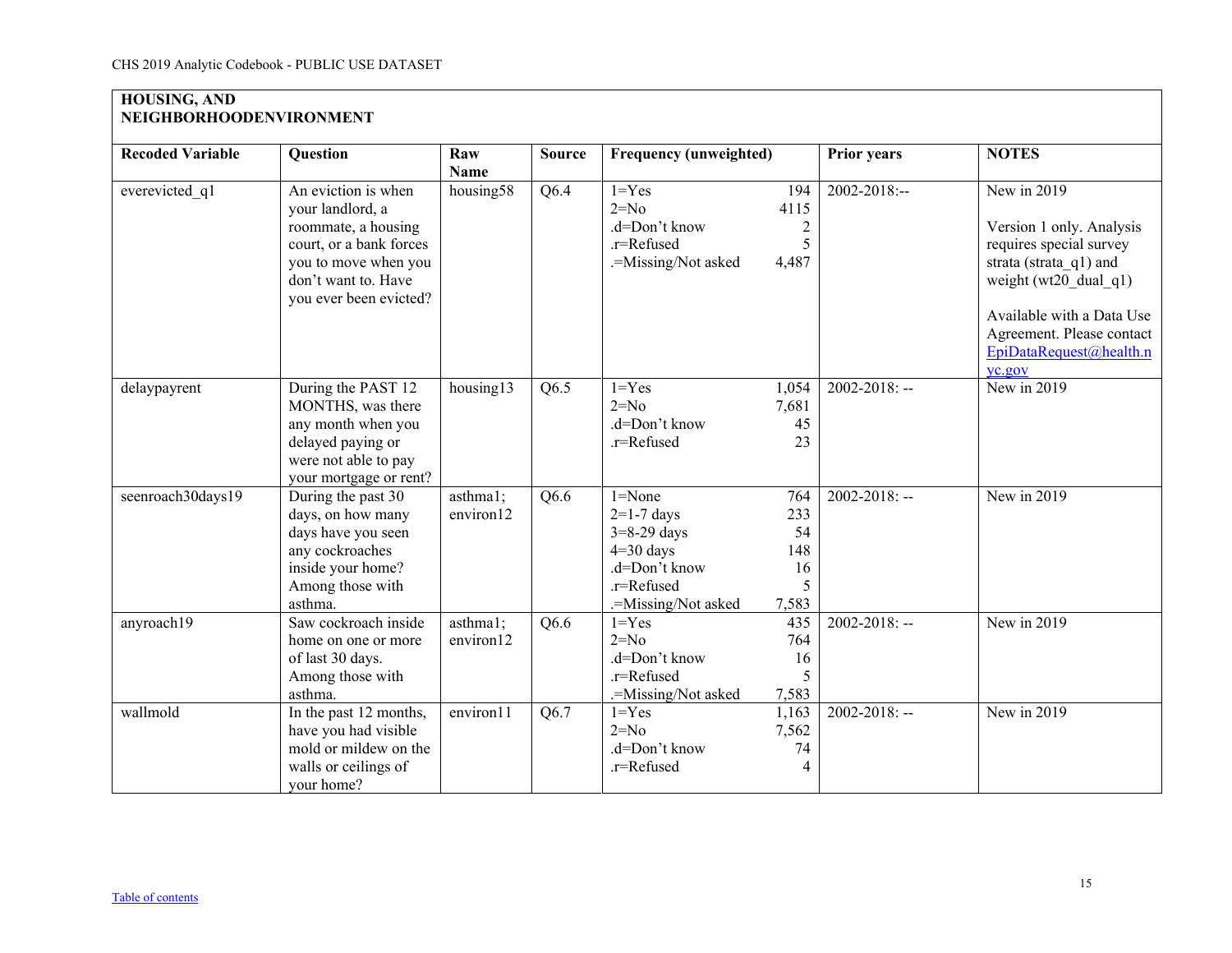# **HOUSING, AND NEIGHBORHOODENVIRONMENT**

| <b>Recoded Variable</b> | <b>Question</b>         | Raw         | <b>Source</b> | <b>Frequency (unweighted)</b> |                | <b>Prior years</b> | <b>NOTES</b>              |
|-------------------------|-------------------------|-------------|---------------|-------------------------------|----------------|--------------------|---------------------------|
|                         |                         | <b>Name</b> |               |                               |                |                    |                           |
| everevicted q1          | An eviction is when     | housing58   | Q6.4          | $1 = Yes$                     | 194            | 2002-2018:--       | New in 2019               |
|                         | your landlord, a        |             |               | $2=N0$                        | 4115           |                    |                           |
|                         | roommate, a housing     |             |               | .d=Don't know                 | $\overline{c}$ |                    | Version 1 only. Analysis  |
|                         | court, or a bank forces |             |               | .r=Refused                    | 5              |                    | requires special survey   |
|                         | you to move when you    |             |               | .=Missing/Not asked           | 4,487          |                    | strata (strata q1) and    |
|                         | don't want to. Have     |             |               |                               |                |                    | weight ( $wt20$ dual q1)  |
|                         | you ever been evicted?  |             |               |                               |                |                    | Available with a Data Use |
|                         |                         |             |               |                               |                |                    | Agreement. Please contact |
|                         |                         |             |               |                               |                |                    | EpiDataRequest@health.n   |
|                         |                         |             |               |                               |                |                    | yc.gov                    |
| delaypayrent            | During the PAST 12      | housing13   | Q6.5          | $1 = Yes$                     | 1,054          | $2002 - 2018$ : -- | New in 2019               |
|                         | MONTHS, was there       |             |               | $2=N0$                        | 7,681          |                    |                           |
|                         | any month when you      |             |               | .d=Don't know                 | 45             |                    |                           |
|                         | delayed paying or       |             |               | .r=Refused                    | 23             |                    |                           |
|                         | were not able to pay    |             |               |                               |                |                    |                           |
|                         | your mortgage or rent?  |             |               |                               |                |                    |                           |
| seenroach30days19       | During the past 30      | asthma1;    | Q6.6          | $1 = None$                    | 764            | $2002 - 2018$ : -- | New in 2019               |
|                         | days, on how many       | environ12   |               | $2=1-7$ days                  | 233            |                    |                           |
|                         | days have you seen      |             |               | $3=8-29$ days                 | 54             |                    |                           |
|                         | any cockroaches         |             |               | $4=30$ days                   | 148            |                    |                           |
|                         | inside your home?       |             |               | .d=Don't know                 | 16             |                    |                           |
|                         | Among those with        |             |               | .r=Refused                    | 5              |                    |                           |
|                         | asthma.                 |             |               | .=Missing/Not asked           | 7,583          |                    |                           |
| anyroach19              | Saw cockroach inside    | asthma1;    | Q6.6          | $1 = Yes$                     | 435            | $2002 - 2018$ : -- | New in 2019               |
|                         | home on one or more     | environ12   |               | $2=No$                        | 764            |                    |                           |
|                         | of last 30 days.        |             |               | .d=Don't know                 | 16             |                    |                           |
|                         | Among those with        |             |               | .r=Refused                    | 5              |                    |                           |
|                         | asthma.                 |             |               | .=Missing/Not asked           | 7,583          |                    |                           |
| wallmold                | In the past 12 months,  | environ11   | Q6.7          | $1 = Yes$                     | 1,163          | $2002 - 2018$ : -- | New in 2019               |
|                         | have you had visible    |             |               | $2=No$                        | 7,562          |                    |                           |
|                         | mold or mildew on the   |             |               | .d=Don't know                 | 74             |                    |                           |
|                         | walls or ceilings of    |             |               | .r=Refused                    | $\overline{4}$ |                    |                           |
|                         | your home?              |             |               |                               |                |                    |                           |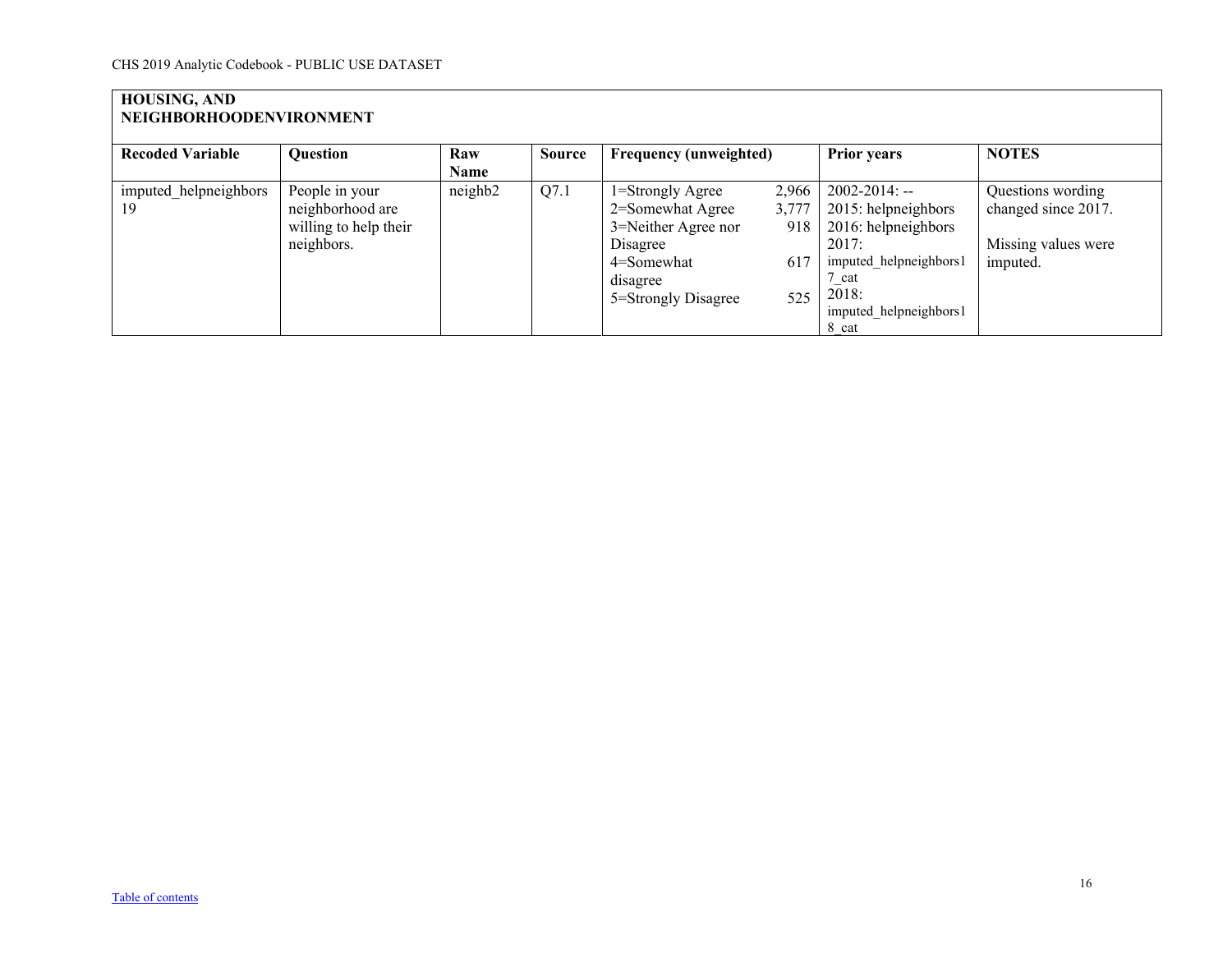## **HOUSING, AND NEIGHBORHOODENVIRONMENT**

| <b>Recoded Variable</b> | <b>Question</b>       | Raw     | <b>Source</b> | <b>Frequency (unweighted)</b> |       | <b>Prior years</b>     | <b>NOTES</b>        |
|-------------------------|-----------------------|---------|---------------|-------------------------------|-------|------------------------|---------------------|
|                         |                       | Name    |               |                               |       |                        |                     |
| imputed helpneighbors   | People in your        | neighb2 | Q7.1          | 1=Strongly Agree              | 2,966 | $2002 - 2014$ : --     | Questions wording   |
| 19                      | neighborhood are      |         |               | 2=Somewhat Agree              | 3,777 | 2015: helpneighbors    | changed since 2017. |
|                         | willing to help their |         |               | 3=Neither Agree nor           | 918   | 2016: helpneighbors    |                     |
|                         | neighbors.            |         |               | Disagree                      |       | 2017:                  | Missing values were |
|                         |                       |         |               | 4=Somewhat                    | 617   | imputed helpneighbors1 | imputed.            |
|                         |                       |         |               | disagree                      |       | cat                    |                     |
|                         |                       |         |               | 5=Strongly Disagree           | 525   | 2018:                  |                     |
|                         |                       |         |               |                               |       | imputed helpneighbors1 |                     |
|                         |                       |         |               |                               |       | 8 cat                  |                     |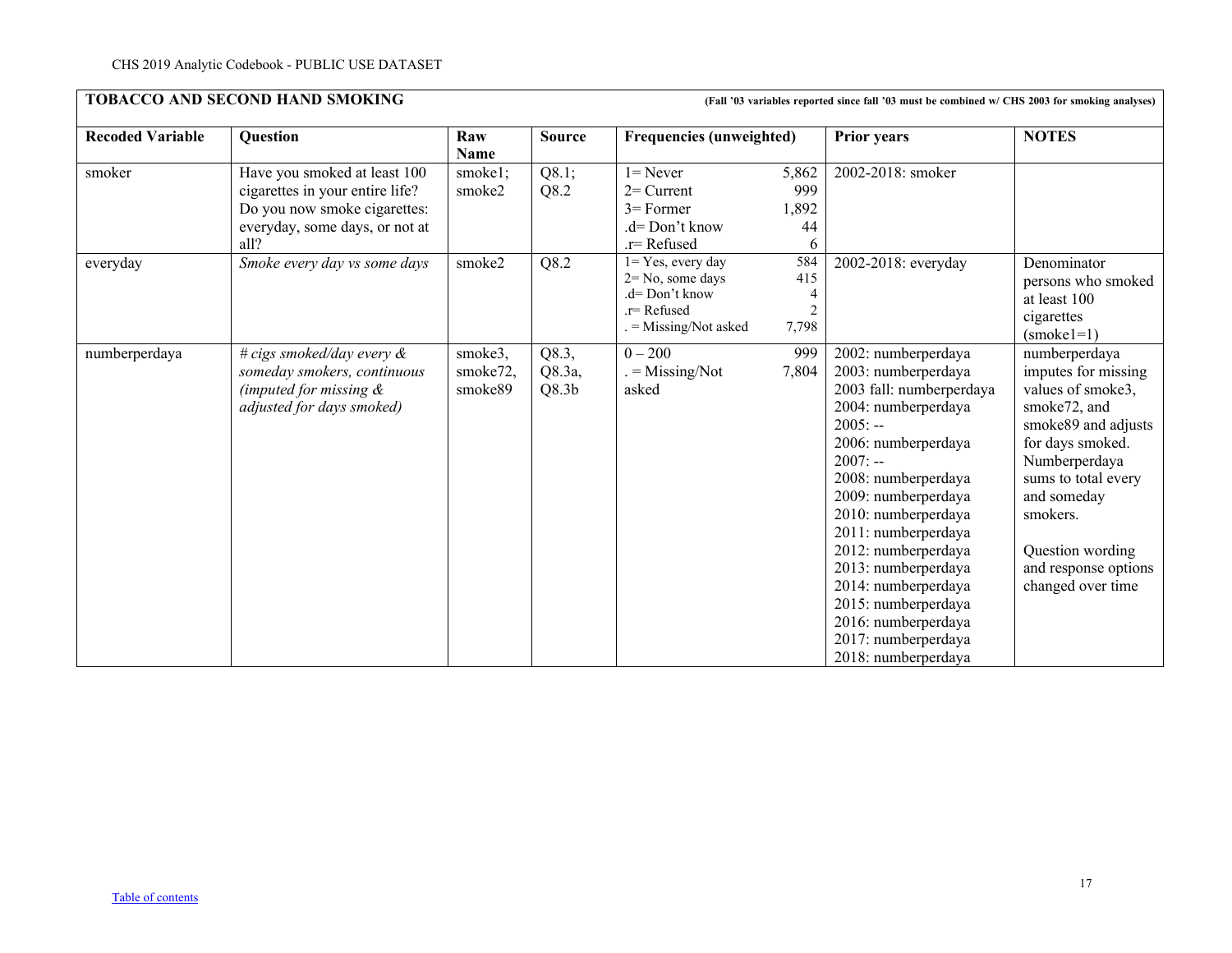<span id="page-16-0"></span>

| <b>Recoded Variable</b> | Question                                                                                                                                  | Raw<br>Name                    | <b>Source</b><br>Q8.1;<br>Q8.2       | <b>Frequencies (unweighted)</b>                                                                         |                                            | <b>Prior years</b>                                                                                                                                                                                                                                                                                                                                                                                          | <b>NOTES</b>                                                                                                                                                                                                                                             |
|-------------------------|-------------------------------------------------------------------------------------------------------------------------------------------|--------------------------------|--------------------------------------|---------------------------------------------------------------------------------------------------------|--------------------------------------------|-------------------------------------------------------------------------------------------------------------------------------------------------------------------------------------------------------------------------------------------------------------------------------------------------------------------------------------------------------------------------------------------------------------|----------------------------------------------------------------------------------------------------------------------------------------------------------------------------------------------------------------------------------------------------------|
| smoker                  | Have you smoked at least 100<br>cigarettes in your entire life?<br>Do you now smoke cigarettes:<br>everyday, some days, or not at<br>all? | smoke1;<br>smoke2              |                                      | $l =$ Never<br>$2=$ Current<br>$3=$ Former<br>.d= Don't know<br>.r=Refused                              | 5,862<br>999<br>1,892<br>44<br>6           | 2002-2018: smoker                                                                                                                                                                                                                                                                                                                                                                                           |                                                                                                                                                                                                                                                          |
| everyday                | Smoke every day vs some days                                                                                                              | smoke2                         | Q8.2                                 | $1 = Yes$ , every day<br>$2 = No$ , some days<br>.d= Don't know<br>.r= Refused<br>. = Missing/Not asked | 584<br>415<br>4<br>$\overline{c}$<br>7,798 | 2002-2018: everyday                                                                                                                                                                                                                                                                                                                                                                                         | Denominator<br>persons who smoked<br>at least 100<br>cigarettes<br>$(smoke1=1)$                                                                                                                                                                          |
| numberperdaya           | # cigs smoked/day every $\&$<br>someday smokers, continuous<br>(imputed for missing $\&$<br>adjusted for days smoked)                     | smoke3,<br>smoke72,<br>smoke89 | Q8.3,<br>Q8.3a,<br>Q8.3 <sub>b</sub> | $0 - 200$<br>$=$ Missing/Not<br>asked                                                                   | 999<br>7,804                               | 2002: numberperdaya<br>2003: numberperdaya<br>2003 fall: numberperdaya<br>2004: numberperdaya<br>$2005: -$<br>2006: numberperdaya<br>$2007: -$<br>2008: numberperdaya<br>2009: numberperdaya<br>2010: numberperdaya<br>2011: numberperdaya<br>2012: numberperdaya<br>2013: numberperdaya<br>2014: numberperdaya<br>2015: numberperdaya<br>2016: numberperdaya<br>2017: numberperdaya<br>2018: numberperdaya | numberperdaya<br>imputes for missing<br>values of smoke3,<br>smoke72, and<br>smoke89 and adjusts<br>for days smoked.<br>Numberperdaya<br>sums to total every<br>and someday<br>smokers.<br>Question wording<br>and response options<br>changed over time |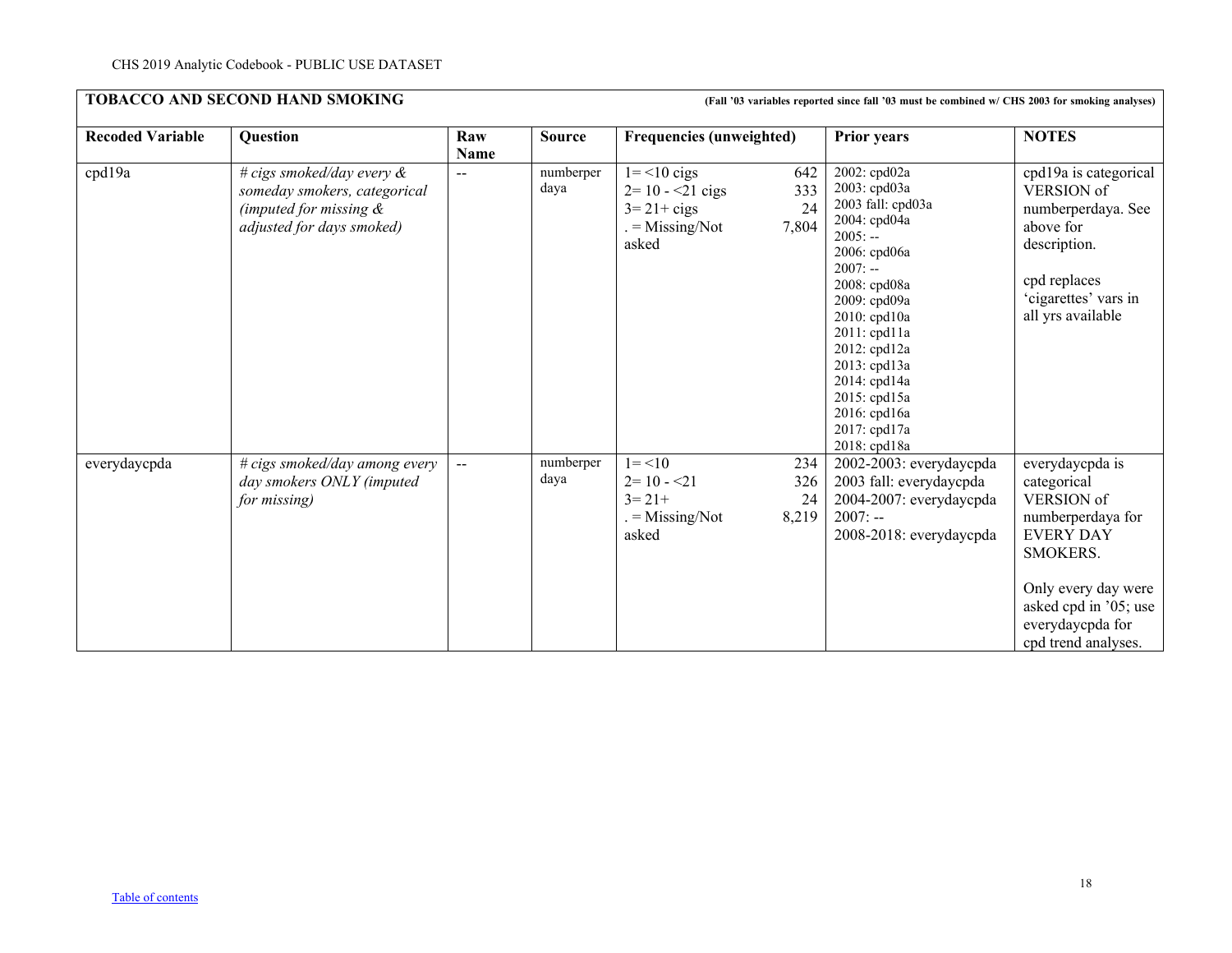| <b>Recoded Variable</b> | Question                                                                                                               | Raw<br><b>Name</b> | <b>Source</b>     | <b>Frequencies (unweighted)</b>                                                                           | <b>Prior years</b>                                                                                                                                                                                                                                                                          | <b>NOTES</b>                                                                                                                                                                                 |
|-------------------------|------------------------------------------------------------------------------------------------------------------------|--------------------|-------------------|-----------------------------------------------------------------------------------------------------------|---------------------------------------------------------------------------------------------------------------------------------------------------------------------------------------------------------------------------------------------------------------------------------------------|----------------------------------------------------------------------------------------------------------------------------------------------------------------------------------------------|
| cpd19a                  | # cigs smoked/day every $\&$<br>someday smokers, categorical<br>(imputed for missing $\&$<br>adjusted for days smoked) | $\qquad \qquad -$  | numberper<br>daya | $1 = 10$ cigs<br>642<br>$2=10 - 21$ cigs<br>333<br>24<br>$3=21+cigs$<br>7,804<br>$=$ Missing/Not<br>asked | 2002: cpd02a<br>2003: cpd03a<br>2003 fall: cpd03a<br>2004: cpd04a<br>$2005: -$<br>2006: cpd06a<br>$2007: -$<br>2008: cpd08a<br>2009: cpd09a<br>2010: cpd10a<br>2011: cpd11a<br>2012: cpd12a<br>2013: cpd13a<br>2014: cpd14a<br>2015: cpd15a<br>2016: cpd16a<br>2017: cpd17a<br>2018: cpd18a | cpd19a is categorical<br>VERSION of<br>numberperdaya. See<br>above for<br>description.<br>cpd replaces<br>'cigarettes' vars in<br>all yrs available                                          |
| everydaycpda            | # cigs smoked/day among every<br>day smokers ONLY (imputed<br>for missing)                                             | $\overline{a}$     | numberper<br>daya | $1 = 10$<br>234<br>$2=10 - 21$<br>326<br>$3 = 21 +$<br>24<br>8,219<br>$=$ Missing/Not<br>asked            | 2002-2003: everydaycpda<br>2003 fall: everydaycpda<br>2004-2007: everydaycpda<br>$2007: -$<br>2008-2018: everydaycpda                                                                                                                                                                       | everydaycpda is<br>categorical<br>VERSION of<br>numberperdaya for<br><b>EVERY DAY</b><br>SMOKERS.<br>Only every day were<br>asked cpd in '05; use<br>everydaycpda for<br>cpd trend analyses. |

**TOBACCO AND SECOND HAND SMOKING (Fall '03 variables reported since fall '03 must be combined w/ CHS 2003 for smoking analyses)**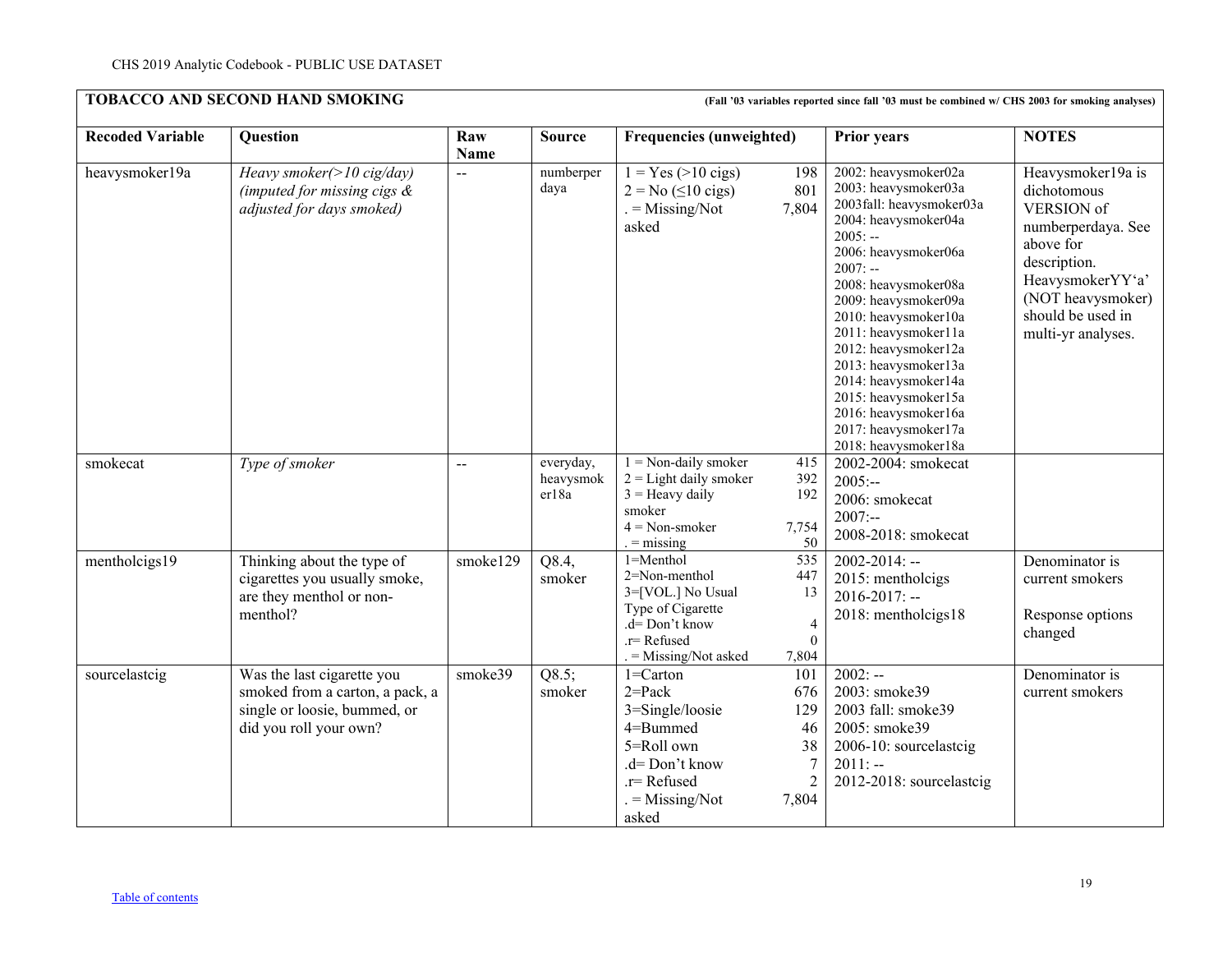| <b>Recoded Variable</b> | Question                                                                                                                | Raw            | <b>Source</b>                   | <b>Frequencies (unweighted)</b>                                                                                                     |                                                               | <b>Prior years</b>                                                                                                                                                                                                                                                                                                                                                                                                         | <b>NOTES</b>                                                                                                                                                                          |
|-------------------------|-------------------------------------------------------------------------------------------------------------------------|----------------|---------------------------------|-------------------------------------------------------------------------------------------------------------------------------------|---------------------------------------------------------------|----------------------------------------------------------------------------------------------------------------------------------------------------------------------------------------------------------------------------------------------------------------------------------------------------------------------------------------------------------------------------------------------------------------------------|---------------------------------------------------------------------------------------------------------------------------------------------------------------------------------------|
|                         |                                                                                                                         | <b>Name</b>    |                                 |                                                                                                                                     |                                                               |                                                                                                                                                                                                                                                                                                                                                                                                                            |                                                                                                                                                                                       |
| heavysmoker19a          | Heavy smoker(>10 cig/day)<br>(imputed for missing cigs $\&$<br>adjusted for days smoked)                                | $\overline{a}$ | numberper<br>daya               | $1 = Yes (>10 \text{ cigs})$<br>$2 = No \ (\leq 10 \text{ cigs})$<br>$=$ Missing/Not<br>asked                                       | 198<br>801<br>7,804                                           | 2002: heavysmoker02a<br>2003: heavysmoker03a<br>2003fall: heavysmoker03a<br>2004: heavysmoker04a<br>$2005: -$<br>2006: heavysmoker06a<br>$2007: -$<br>2008: heavysmoker08a<br>2009: heavysmoker09a<br>2010: heavysmoker10a<br>2011: heavysmoker11a<br>2012: heavysmoker12a<br>2013: heavysmoker13a<br>2014: heavysmoker14a<br>2015: heavysmoker15a<br>2016: heavysmoker16a<br>2017: heavysmoker17a<br>2018: heavysmoker18a | Heavysmoker19a is<br>dichotomous<br>VERSION of<br>numberperdaya. See<br>above for<br>description.<br>HeavysmokerYY'a'<br>(NOT heavysmoker)<br>should be used in<br>multi-yr analyses. |
| smokecat                | Type of smoker                                                                                                          | $-$            | everyday,<br>heavysmok<br>er18a | $1 = Non-daily smoker$<br>$2 =$ Light daily smoker<br>$3 =$ Heavy daily<br>smoker<br>$4 = Non-smoker$<br>$=$ missing                | 415<br>392<br>192<br>7,754<br>50                              | 2002-2004: smokecat<br>$2005: -$<br>2006: smokecat<br>$2007: -$<br>2008-2018: smokecat                                                                                                                                                                                                                                                                                                                                     |                                                                                                                                                                                       |
| mentholcigs19           | Thinking about the type of<br>cigarettes you usually smoke,<br>are they menthol or non-<br>menthol?                     | smoke129       | Q8.4,<br>smoker                 | 1=Menthol<br>2=Non-menthol<br>3=[VOL.] No Usual<br>Type of Cigarette<br>$.d=Don't know$<br>.r= Refused<br>= Missing/Not asked       | 535<br>447<br>13<br>$\overline{4}$<br>$\theta$<br>7,804       | $2002 - 2014$ : --<br>2015: mentholcigs<br>$2016 - 2017$ : --<br>2018: mentholcigs18                                                                                                                                                                                                                                                                                                                                       | Denominator is<br>current smokers<br>Response options<br>changed                                                                                                                      |
| sourcelastcig           | Was the last cigarette you<br>smoked from a carton, a pack, a<br>single or loosie, bummed, or<br>did you roll your own? | smoke39        | Q8.5;<br>smoker                 | $1 =$ Carton<br>$2 = Pack$<br>3=Single/loosie<br>4=Bummed<br>5=Roll own<br>.d= Don't know<br>.r=Refused<br>$=$ Missing/Not<br>asked | 101<br>676<br>129<br>46<br>38<br>$\overline{7}$<br>2<br>7,804 | $2002: -$<br>2003: smoke39<br>2003 fall: smoke39<br>2005: smoke39<br>2006-10: sourcelastcig<br>$2011: -$<br>2012-2018: sourcelastcig                                                                                                                                                                                                                                                                                       | Denominator is<br>current smokers                                                                                                                                                     |

**TOBACCO AND SECOND HAND SMOKING (Fall '03 variables reported since fall '03 must be combined w/ CHS 2003 for smoking analyses)**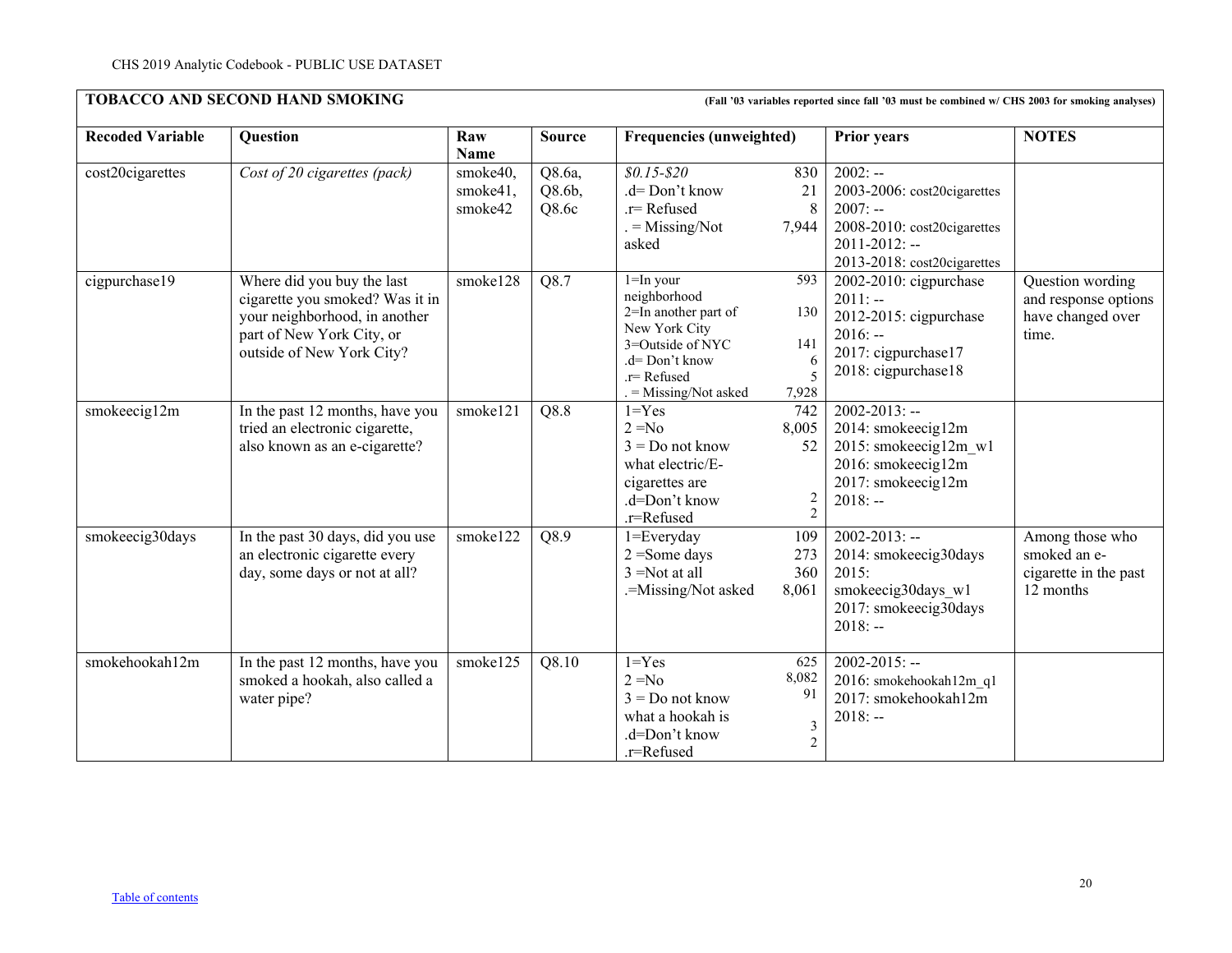| <b>TOBACCO AND SECOND HAND SMOKING</b><br>(Fall '03 variables reported since fall '03 must be combined w/ CHS 2003 for smoking analyses) |                                                                                                                                                          |                                 |                              |                                                                                                                                                   |                                                        |                                                                                                                                           |                                                                        |  |
|------------------------------------------------------------------------------------------------------------------------------------------|----------------------------------------------------------------------------------------------------------------------------------------------------------|---------------------------------|------------------------------|---------------------------------------------------------------------------------------------------------------------------------------------------|--------------------------------------------------------|-------------------------------------------------------------------------------------------------------------------------------------------|------------------------------------------------------------------------|--|
| <b>Recoded Variable</b>                                                                                                                  | Question                                                                                                                                                 | Raw<br>Name                     | <b>Source</b>                | <b>Frequencies (unweighted)</b>                                                                                                                   |                                                        | <b>Prior years</b>                                                                                                                        | <b>NOTES</b>                                                           |  |
| cost20cigarettes                                                                                                                         | Cost of 20 cigarettes (pack)                                                                                                                             | smoke40,<br>smoke41,<br>smoke42 | Q8.6a,<br>$Q8.6b$ ,<br>Q8.6c | $$0.15 - $20$<br>.d= Don't know<br>.r=Refused<br>$=$ Missing/Not<br>asked                                                                         | 830<br>21<br>8<br>7,944                                | $2002: -$<br>2003-2006: cost20cigarettes<br>$2007: -$<br>2008-2010: cost20cigarettes<br>$2011 - 2012$ : --<br>2013-2018: cost20cigarettes |                                                                        |  |
| cigpurchase19                                                                                                                            | Where did you buy the last<br>cigarette you smoked? Was it in<br>your neighborhood, in another<br>part of New York City, or<br>outside of New York City? | smoke128                        | Q8.7                         | $1 = In$ your<br>neighborhood<br>2=In another part of<br>New York City<br>3=Outside of NYC<br>.d= Don't know<br>.r=Refused<br>= Missing/Not asked | 593<br>130<br>141<br>-6<br>5<br>7,928                  | 2002-2010: cigpurchase<br>$2011: -$<br>2012-2015: cigpurchase<br>$2016: -$<br>2017: cigpurchase17<br>2018: cigpurchase18                  | Question wording<br>and response options<br>have changed over<br>time. |  |
| smokeecig12m                                                                                                                             | In the past 12 months, have you<br>tried an electronic cigarette,<br>also known as an e-cigarette?                                                       | smoke121                        | Q8.8                         | $1 = Yes$<br>$2 = No$<br>$3 = Do$ not know<br>what electric/E-<br>cigarettes are<br>.d=Don't know<br>.r=Refused                                   | 742<br>8,005<br>52<br>$\overline{2}$<br>$\overline{2}$ | $2002 - 2013$ : --<br>2014: smokeecig12m<br>2015: smokeecig12m w1<br>2016: smokeecig12m<br>2017: smokeecig12m<br>$2018: -$                |                                                                        |  |
| smokeecig30days                                                                                                                          | In the past 30 days, did you use<br>an electronic cigarette every<br>day, some days or not at all?                                                       | smoke122                        | Q8.9                         | 1=Everyday<br>$2 = Some days$<br>$3 = Not$ at all<br>.=Missing/Not asked                                                                          | 109<br>273<br>360<br>8,061                             | $2002 - 2013$ : --<br>2014: smokeecig30days<br>2015:<br>smokeecig30days w1<br>2017: smokeecig30days<br>$2018: -$                          | Among those who<br>smoked an e-<br>cigarette in the past<br>12 months  |  |
| smokehookah12m                                                                                                                           | In the past 12 months, have you<br>smoked a hookah, also called a<br>water pipe?                                                                         | smoke125                        | Q8.10                        | $1 = Yes$<br>$2 = No$<br>$3 = Do$ not know<br>what a hookah is<br>.d=Don't know<br>.r=Refused                                                     | 625<br>8,082<br>91<br>$\mathfrak{Z}$<br>$\overline{2}$ | $2002 - 2015$ : --<br>2016: smokehookah12m q1<br>2017: smokehookah12m<br>$2018: -$                                                        |                                                                        |  |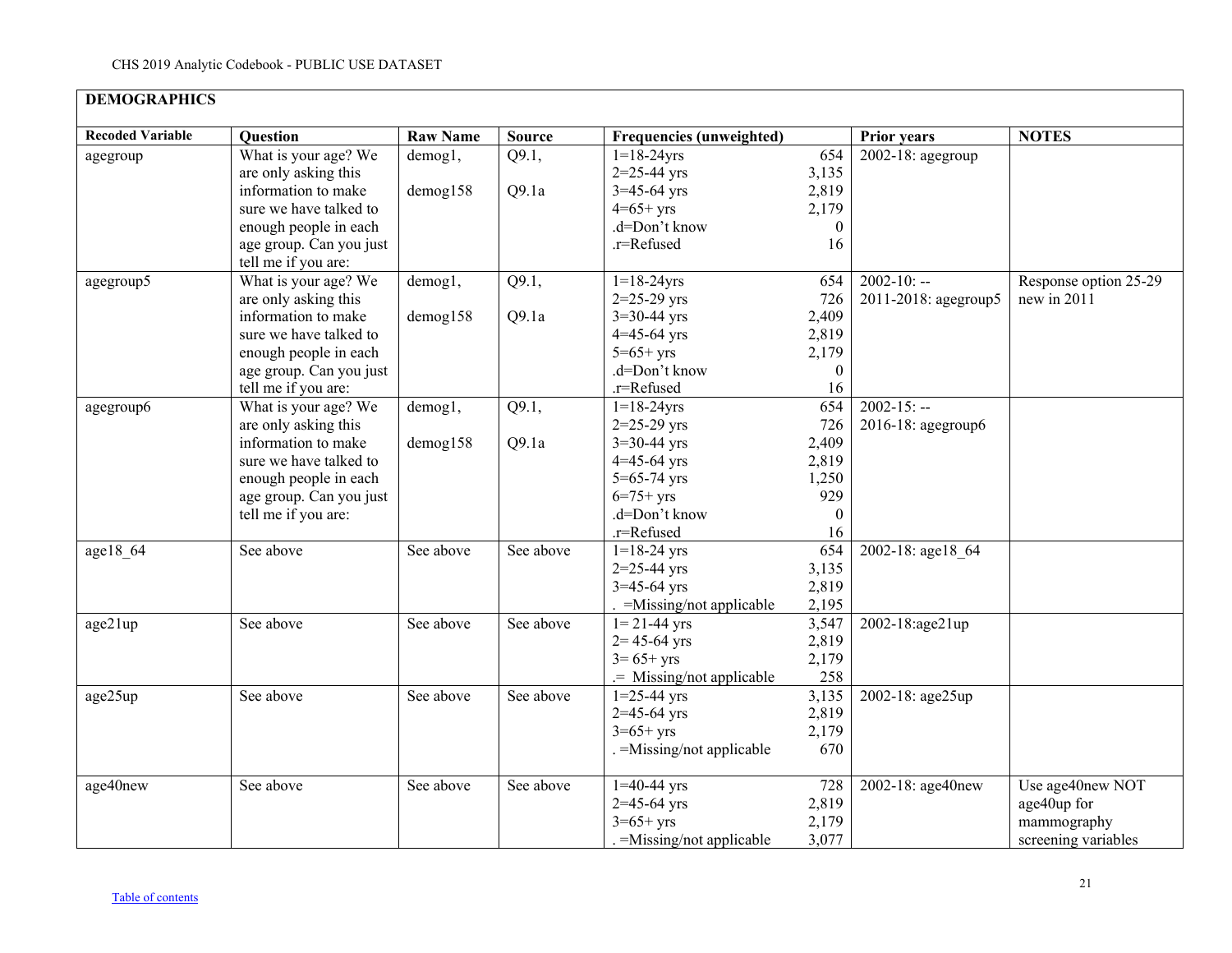<span id="page-20-0"></span>

| <b>DEMOGRAPHICS</b>     |                         |                 |               |                                 |              |                      |                       |
|-------------------------|-------------------------|-----------------|---------------|---------------------------------|--------------|----------------------|-----------------------|
| <b>Recoded Variable</b> | Question                | <b>Raw Name</b> | <b>Source</b> | <b>Frequencies (unweighted)</b> |              | <b>Prior years</b>   | <b>NOTES</b>          |
| agegroup                | What is your age? We    | demog1,         | Q9.1,         | $1=18-24$ yrs                   | 654          | 2002-18: agegroup    |                       |
|                         | are only asking this    |                 |               | $2 = 25 - 44$ yrs               | 3,135        |                      |                       |
|                         | information to make     | demog158        | Q9.1a         | $3=45-64$ yrs                   | 2,819        |                      |                       |
|                         | sure we have talked to  |                 |               | $4=65+yrs$                      | 2,179        |                      |                       |
|                         | enough people in each   |                 |               | .d=Don't know                   | $\theta$     |                      |                       |
|                         | age group. Can you just |                 |               | .r=Refused                      | 16           |                      |                       |
|                         | tell me if you are:     |                 |               |                                 |              |                      |                       |
| agegroup5               | What is your age? We    | demog1,         | Q9.1,         | $1 = 18 - 24$ yrs               | 654          | $2002 - 10: -$       | Response option 25-29 |
|                         | are only asking this    |                 |               | $2=25-29$ yrs                   | 726          | 2011-2018: agegroup5 | new in 2011           |
|                         | information to make     | demog158        | Q9.1a         | $3=30-44$ yrs                   | 2,409        |                      |                       |
|                         | sure we have talked to  |                 |               | $4 = 45 - 64$ yrs               | 2,819        |                      |                       |
|                         | enough people in each   |                 |               | $5 = 65 + yrs$                  | 2,179        |                      |                       |
|                         | age group. Can you just |                 |               | .d=Don't know                   | $\mathbf{0}$ |                      |                       |
|                         | tell me if you are:     |                 |               | .r=Refused                      | 16           |                      |                       |
| agegroup6               | What is your age? We    | demog1,         | Q9.1,         | $1 = 18 - 24$ yrs               | 654          | $2002 - 15: -$       |                       |
|                         | are only asking this    |                 |               | $2=25-29$ yrs                   | 726          | 2016-18: agegroup6   |                       |
|                         | information to make     | $d$ emog $158$  | Q9.1a         | $3 = 30 - 44$ yrs               | 2,409        |                      |                       |
|                         | sure we have talked to  |                 |               | $4 = 45 - 64$ yrs               | 2,819        |                      |                       |
|                         | enough people in each   |                 |               | $5 = 65 - 74$ yrs               | 1,250        |                      |                       |
|                         | age group. Can you just |                 |               | $6=75+yrs$                      | 929          |                      |                       |
|                         | tell me if you are:     |                 |               | .d=Don't know                   | $\theta$     |                      |                       |
|                         |                         |                 |               | .r=Refused                      | 16           |                      |                       |
| age18 64                | See above               | See above       | See above     | $1=18-24$ yrs                   | 654          | 2002-18: age18 64    |                       |
|                         |                         |                 |               | $2=25-44$ yrs                   | 3,135        |                      |                       |
|                         |                         |                 |               | $3=45-64$ yrs                   | 2,819        |                      |                       |
|                         |                         |                 |               | $. =$ Missing/not applicable    | 2,195        |                      |                       |
| age21up                 | See above               | See above       | See above     | $1 = 21 - 44$ yrs               | 3,547        | 2002-18:age21up      |                       |
|                         |                         |                 |               | $2 = 45 - 64$ yrs               | 2,819        |                      |                       |
|                         |                         |                 |               | $3 = 65 + yrs$                  | 2,179        |                      |                       |
|                         |                         |                 |               | .= Missing/not applicable       | 258          |                      |                       |
| age25up                 | See above               | See above       | See above     | $1=25-44$ yrs                   | 3,135        | 2002-18: age25up     |                       |
|                         |                         |                 |               | $2=45-64$ yrs                   | 2,819        |                      |                       |
|                         |                         |                 |               | $3=65+yrs$                      | 2,179        |                      |                       |
|                         |                         |                 |               | . = Missing/not applicable      | 670          |                      |                       |
| age40new                | See above               | See above       | See above     | $1=40-44$ yrs                   | 728          | 2002-18: age40new    | Use age40new NOT      |
|                         |                         |                 |               | $2=45-64$ yrs                   | 2,819        |                      | age40up for           |
|                         |                         |                 |               | $3 = 65 + yrs$                  | 2,179        |                      | mammography           |
|                         |                         |                 |               | $=M$ issing/not applicable      | 3,077        |                      | screening variables   |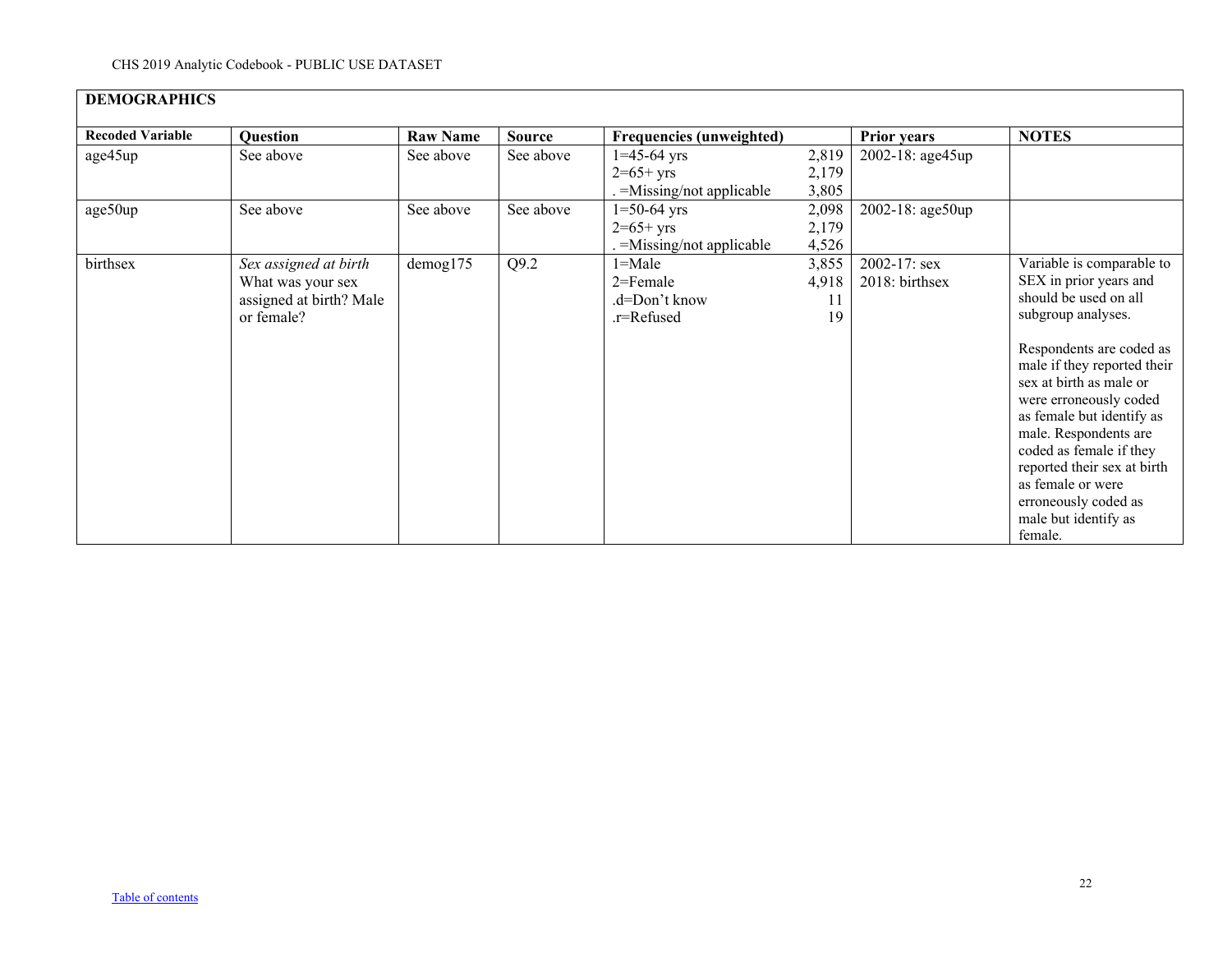| <b>DEMOGRAPHICS</b>     |                         |                 |               |                                 |       |                    |                                                                                                                                                                                                                                                                                                              |
|-------------------------|-------------------------|-----------------|---------------|---------------------------------|-------|--------------------|--------------------------------------------------------------------------------------------------------------------------------------------------------------------------------------------------------------------------------------------------------------------------------------------------------------|
| <b>Recoded Variable</b> | <b>Question</b>         | <b>Raw Name</b> | <b>Source</b> | <b>Frequencies (unweighted)</b> |       | <b>Prior years</b> | <b>NOTES</b>                                                                                                                                                                                                                                                                                                 |
| age45up                 | See above               | See above       | See above     | $1=45-64$ yrs                   | 2,819 | 2002-18: age45up   |                                                                                                                                                                                                                                                                                                              |
|                         |                         |                 |               | $2=65+yrs$                      | 2,179 |                    |                                                                                                                                                                                                                                                                                                              |
|                         |                         |                 |               | $=$ Missing/not applicable      | 3,805 |                    |                                                                                                                                                                                                                                                                                                              |
| age50up                 | See above               | See above       | See above     | $1=50-64$ yrs                   | 2,098 | 2002-18: age50up   |                                                                                                                                                                                                                                                                                                              |
|                         |                         |                 |               | $2=65+yrs$                      | 2,179 |                    |                                                                                                                                                                                                                                                                                                              |
|                         |                         |                 |               | $=$ Missing/not applicable      | 4,526 |                    |                                                                                                                                                                                                                                                                                                              |
| birthsex                | Sex assigned at birth   | $d$ emog $175$  | Q9.2          | $1 =$ Male                      | 3,855 | $2002 - 17$ : sex  | Variable is comparable to                                                                                                                                                                                                                                                                                    |
|                         | What was your sex       |                 |               | 2=Female                        | 4,918 | 2018: birthsex     | SEX in prior years and                                                                                                                                                                                                                                                                                       |
|                         | assigned at birth? Male |                 |               | .d=Don't know                   | 11    |                    | should be used on all                                                                                                                                                                                                                                                                                        |
|                         | or female?              |                 |               | .r=Refused                      | 19    |                    | subgroup analyses.                                                                                                                                                                                                                                                                                           |
|                         |                         |                 |               |                                 |       |                    | Respondents are coded as<br>male if they reported their<br>sex at birth as male or<br>were erroneously coded<br>as female but identify as<br>male. Respondents are<br>coded as female if they<br>reported their sex at birth<br>as female or were<br>erroneously coded as<br>male but identify as<br>female. |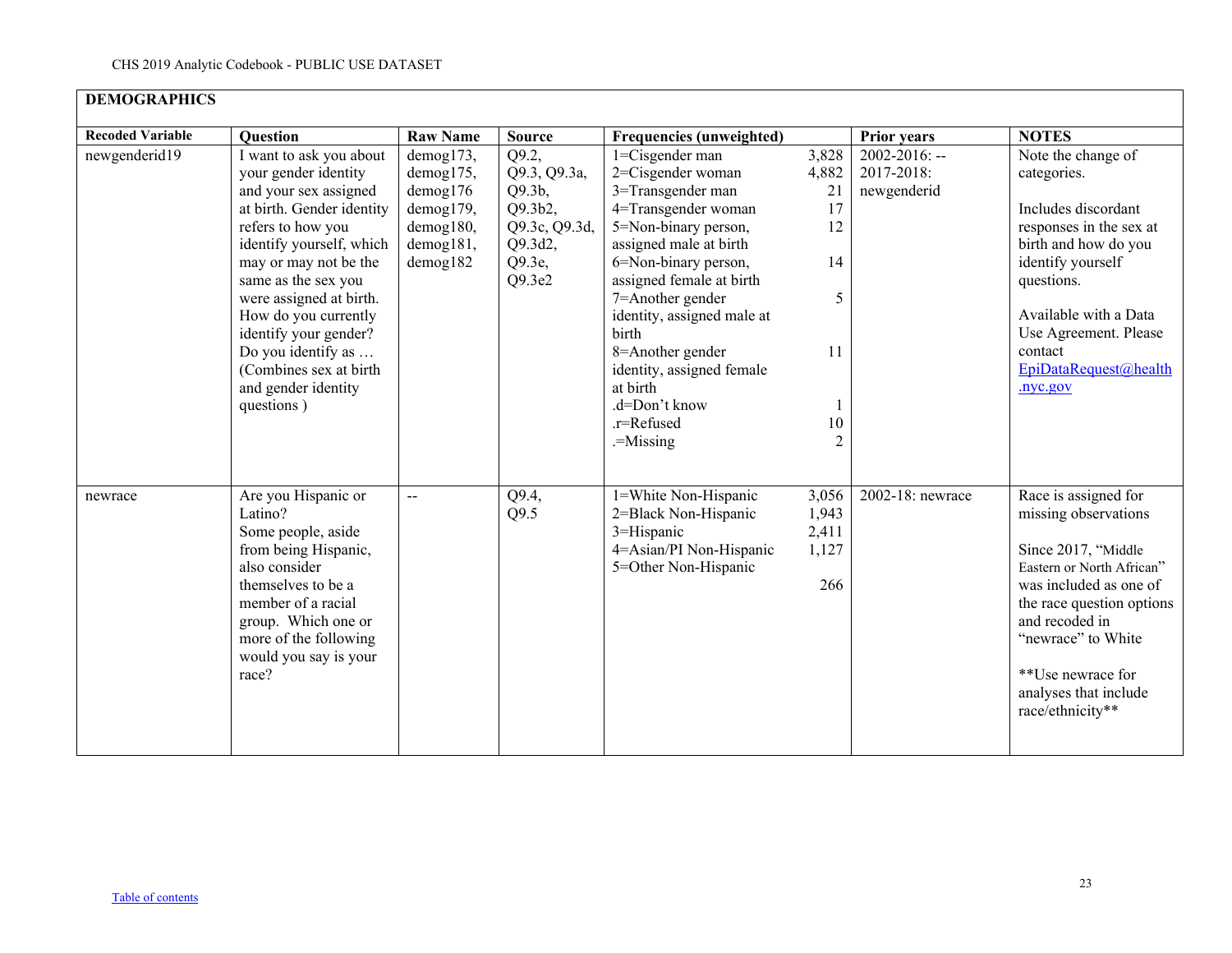| <b>DEMOGRAPHICS</b>     |                                                                                                                                                                                                                                                                                                                                                                         |                                                                                       |                                                                                            |                                                                                                                                                                                                                                                                                                                                                            |                                                             |                                                 |                                                                                                                                                                                                                                                                   |
|-------------------------|-------------------------------------------------------------------------------------------------------------------------------------------------------------------------------------------------------------------------------------------------------------------------------------------------------------------------------------------------------------------------|---------------------------------------------------------------------------------------|--------------------------------------------------------------------------------------------|------------------------------------------------------------------------------------------------------------------------------------------------------------------------------------------------------------------------------------------------------------------------------------------------------------------------------------------------------------|-------------------------------------------------------------|-------------------------------------------------|-------------------------------------------------------------------------------------------------------------------------------------------------------------------------------------------------------------------------------------------------------------------|
| <b>Recoded Variable</b> | <b>Question</b>                                                                                                                                                                                                                                                                                                                                                         | <b>Raw Name</b>                                                                       | <b>Source</b>                                                                              | <b>Frequencies (unweighted)</b>                                                                                                                                                                                                                                                                                                                            |                                                             | <b>Prior years</b>                              | <b>NOTES</b>                                                                                                                                                                                                                                                      |
| newgenderid19           | I want to ask you about<br>your gender identity<br>and your sex assigned<br>at birth. Gender identity<br>refers to how you<br>identify yourself, which<br>may or may not be the<br>same as the sex you<br>were assigned at birth.<br>How do you currently<br>identify your gender?<br>Do you identify as<br>(Combines sex at birth<br>and gender identity<br>questions) | demog173,<br>demog175,<br>demog176<br>demog179,<br>demog180,<br>demog181,<br>demog182 | Q9.2,<br>Q9.3, Q9.3a,<br>Q9.3b,<br>Q9.3b2,<br>Q9.3c, Q9.3d,<br>Q9.3d2,<br>Q9.3e,<br>Q9.3e2 | 1=Cisgender man<br>2=Cisgender woman<br>3=Transgender man<br>4=Transgender woman<br>5=Non-binary person,<br>assigned male at birth<br>6=Non-binary person,<br>assigned female at birth<br>7=Another gender<br>identity, assigned male at<br>birth<br>8=Another gender<br>identity, assigned female<br>at birth<br>.d=Don't know<br>.r=Refused<br>.=Missing | 3,828<br>4,882<br>21<br>17<br>12<br>14<br>5<br>11<br>$10\,$ | $2002 - 2016$ : --<br>2017-2018:<br>newgenderid | Note the change of<br>categories.<br>Includes discordant<br>responses in the sex at<br>birth and how do you<br>identify yourself<br>questions.<br>Available with a Data<br>Use Agreement. Please<br>contact<br>EpiDataRequest@health<br>.nyc.gov                  |
| newrace                 | Are you Hispanic or<br>Latino?<br>Some people, aside<br>from being Hispanic,<br>also consider<br>themselves to be a<br>member of a racial<br>group. Which one or<br>more of the following<br>would you say is your<br>race?                                                                                                                                             | --                                                                                    | Q9.4,<br>Q9.5                                                                              | 1=White Non-Hispanic<br>2=Black Non-Hispanic<br>3=Hispanic<br>4=Asian/PI Non-Hispanic<br>5=Other Non-Hispanic                                                                                                                                                                                                                                              | 3,056<br>1,943<br>2,411<br>1,127<br>266                     | 2002-18: newrace                                | Race is assigned for<br>missing observations<br>Since 2017, "Middle<br>Eastern or North African"<br>was included as one of<br>the race question options<br>and recoded in<br>"newrace" to White<br>**Use newrace for<br>analyses that include<br>race/ethnicity** |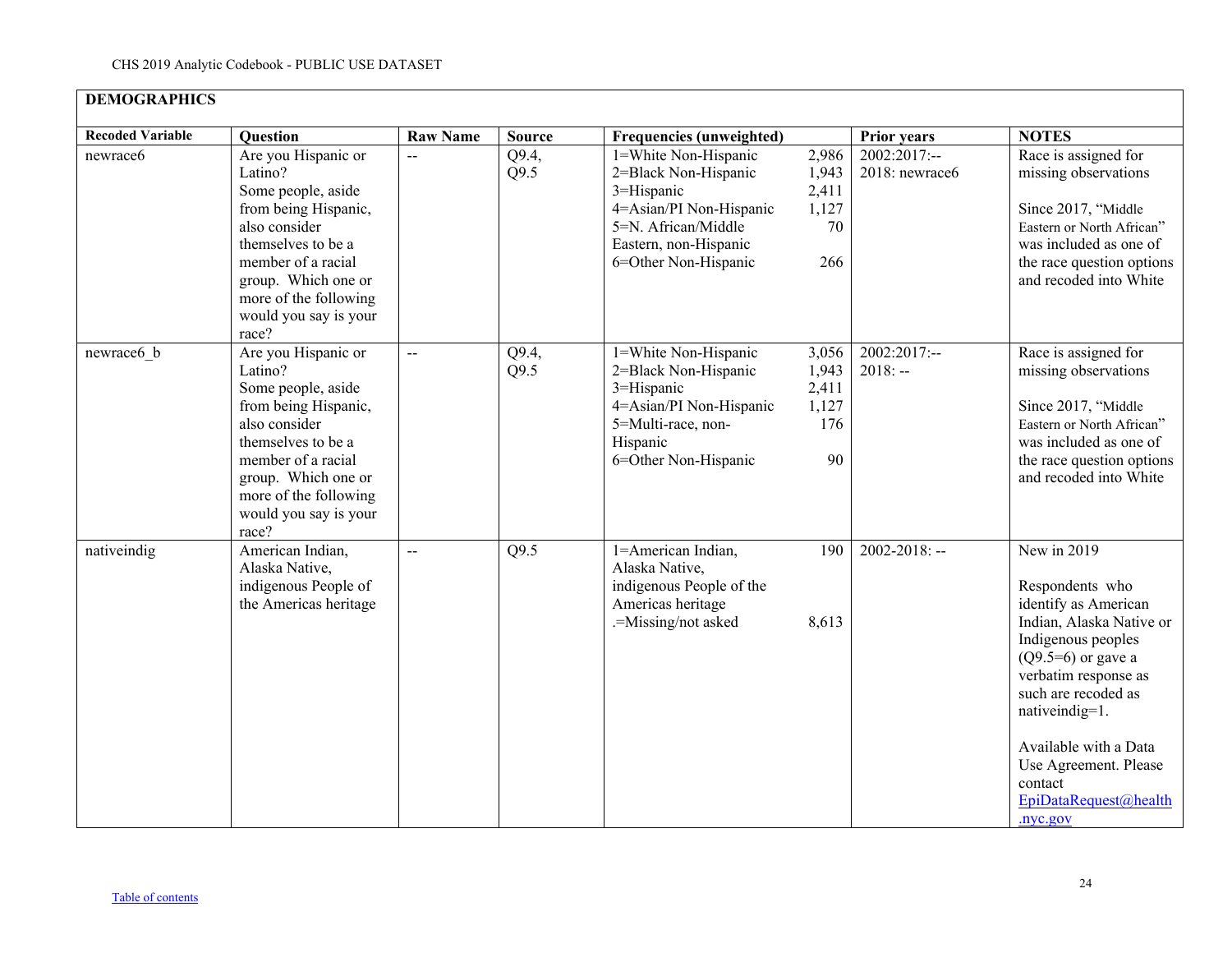| <b>DEMOGRAPHICS</b>     |                                                                                                                                                                                                                             |                 |               |                                                                                                                                                               |                                               |                                  |                                                                                                                                                                                                                                                                                                     |
|-------------------------|-----------------------------------------------------------------------------------------------------------------------------------------------------------------------------------------------------------------------------|-----------------|---------------|---------------------------------------------------------------------------------------------------------------------------------------------------------------|-----------------------------------------------|----------------------------------|-----------------------------------------------------------------------------------------------------------------------------------------------------------------------------------------------------------------------------------------------------------------------------------------------------|
| <b>Recoded Variable</b> | <b>Ouestion</b>                                                                                                                                                                                                             | <b>Raw Name</b> | <b>Source</b> | <b>Frequencies (unweighted)</b>                                                                                                                               |                                               | Prior years                      | <b>NOTES</b>                                                                                                                                                                                                                                                                                        |
| newrace6                | Are you Hispanic or<br>Latino?<br>Some people, aside<br>from being Hispanic,<br>also consider<br>themselves to be a<br>member of a racial<br>group. Which one or<br>more of the following<br>would you say is your<br>race? | $\overline{a}$  | Q9.4,<br>Q9.5 | 1=White Non-Hispanic<br>2=Black Non-Hispanic<br>3=Hispanic<br>4=Asian/PI Non-Hispanic<br>5=N. African/Middle<br>Eastern, non-Hispanic<br>6=Other Non-Hispanic | 2,986<br>1,943<br>2,411<br>1,127<br>70<br>266 | $2002:2017:--$<br>2018: newrace6 | Race is assigned for<br>missing observations<br>Since 2017, "Middle<br>Eastern or North African"<br>was included as one of<br>the race question options<br>and recoded into White                                                                                                                   |
| newrace6 b              | Are you Hispanic or<br>Latino?<br>Some people, aside<br>from being Hispanic,<br>also consider<br>themselves to be a<br>member of a racial<br>group. Which one or<br>more of the following<br>would you say is your<br>race? | $\overline{a}$  | Q9.4,<br>Q9.5 | 1=White Non-Hispanic<br>2=Black Non-Hispanic<br>3=Hispanic<br>4=Asian/PI Non-Hispanic<br>5=Multi-race, non-<br>Hispanic<br>6=Other Non-Hispanic               | 3,056<br>1,943<br>2,411<br>1,127<br>176<br>90 | $2002:2017:-$<br>$2018: -$       | Race is assigned for<br>missing observations<br>Since 2017, "Middle<br>Eastern or North African"<br>was included as one of<br>the race question options<br>and recoded into White                                                                                                                   |
| nativeindig             | American Indian,<br>Alaska Native,<br>indigenous People of<br>the Americas heritage                                                                                                                                         | $\overline{a}$  | Q9.5          | 1=American Indian,<br>Alaska Native,<br>indigenous People of the<br>Americas heritage<br>.=Missing/not asked                                                  | 190<br>8,613                                  | $2002 - 2018$ : --               | New in 2019<br>Respondents who<br>identify as American<br>Indian, Alaska Native or<br>Indigenous peoples<br>$(Q9.5=6)$ or gave a<br>verbatim response as<br>such are recoded as<br>nativeindig=1.<br>Available with a Data<br>Use Agreement. Please<br>contact<br>EpiDataRequest@health<br>.nyc.gov |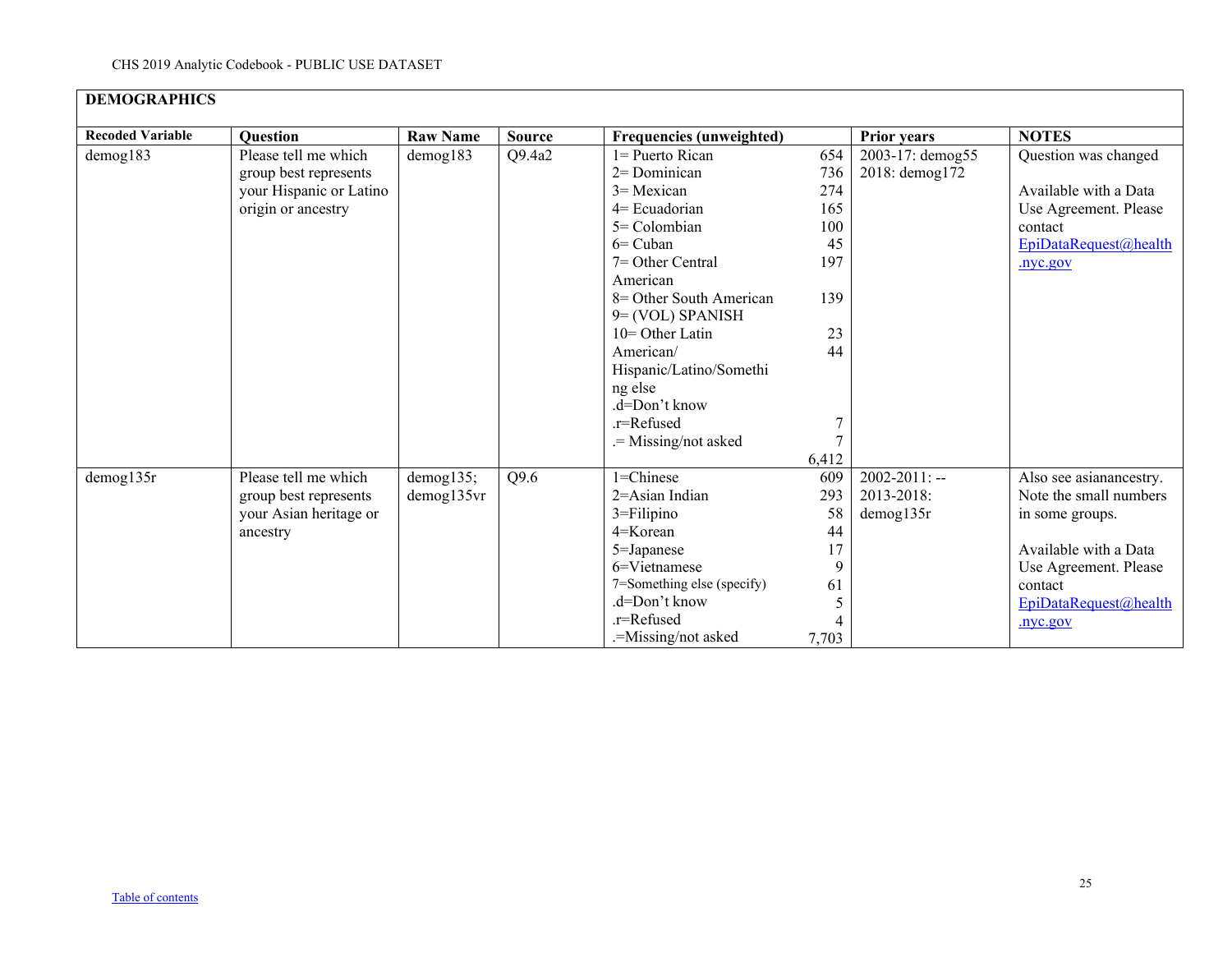| <b>DEMOGRAPHICS</b>     |                         |                 |               |                                             |       |                    |                         |
|-------------------------|-------------------------|-----------------|---------------|---------------------------------------------|-------|--------------------|-------------------------|
| <b>Recoded Variable</b> | <b>Question</b>         | <b>Raw Name</b> | <b>Source</b> | <b>Frequencies (unweighted)</b>             |       | <b>Prior years</b> | <b>NOTES</b>            |
| demog183                | Please tell me which    | $d$ emog $183$  | Q9.4a2        | $l =$ Puerto Rican                          | 654   | 2003-17: demog55   | Question was changed    |
|                         | group best represents   |                 |               | 2= Dominican                                | 736   | 2018: demog172     |                         |
|                         | your Hispanic or Latino |                 |               | $3$ = Mexican                               | 274   |                    | Available with a Data   |
|                         | origin or ancestry      |                 |               | $4=$ Ecuadorian                             | 165   |                    | Use Agreement. Please   |
|                         |                         |                 |               | $5 =$ Colombian                             | 100   |                    | contact                 |
|                         |                         |                 |               | $6=$ Cuban                                  | 45    |                    | EpiDataRequest@health   |
|                         |                         |                 |               | $7 =$ Other Central                         | 197   |                    | .nyc.gov                |
|                         |                         |                 |               | American                                    |       |                    |                         |
|                         |                         |                 |               | 8 = Other South American                    | 139   |                    |                         |
|                         |                         |                 |               | $9 = (VOL) SPANISH$                         |       |                    |                         |
|                         |                         |                 |               | 10= Other Latin                             | 23    |                    |                         |
|                         |                         |                 |               | American/                                   | 44    |                    |                         |
|                         |                         |                 |               | Hispanic/Latino/Somethi                     |       |                    |                         |
|                         |                         |                 |               | ng else                                     |       |                    |                         |
|                         |                         |                 |               | .d=Don't know                               |       |                    |                         |
|                         |                         |                 |               | .r=Refused                                  | 7     |                    |                         |
|                         |                         |                 |               | .= Missing/not asked                        |       |                    |                         |
|                         |                         |                 |               |                                             | 6,412 |                    |                         |
| demog135r               | Please tell me which    | demog135;       | Q9.6          | $1 =$ Chinese                               | 609   | $2002 - 2011$ : -- | Also see asianancestry. |
|                         | group best represents   | demog135vr      |               | $2 = Asian Indian$                          | 293   | 2013-2018:         | Note the small numbers  |
|                         | your Asian heritage or  |                 |               | 3=Filipino                                  | 58    | demog135r          | in some groups.         |
|                         | ancestry                |                 |               | $4 =$ Korean                                | 44    |                    |                         |
|                         |                         |                 |               | 5=Japanese                                  | 17    |                    | Available with a Data   |
|                         |                         |                 |               | 6=Vietnamese                                | 9     |                    | Use Agreement. Please   |
|                         |                         |                 |               | 7=Something else (specify)<br>.d=Don't know | 61    |                    | contact                 |
|                         |                         |                 |               | .r=Refused                                  |       |                    | EpiDataRequest@health   |
|                         |                         |                 |               |                                             |       |                    | .nyc.gov                |
|                         |                         |                 |               | .=Missing/not asked                         | 7,703 |                    |                         |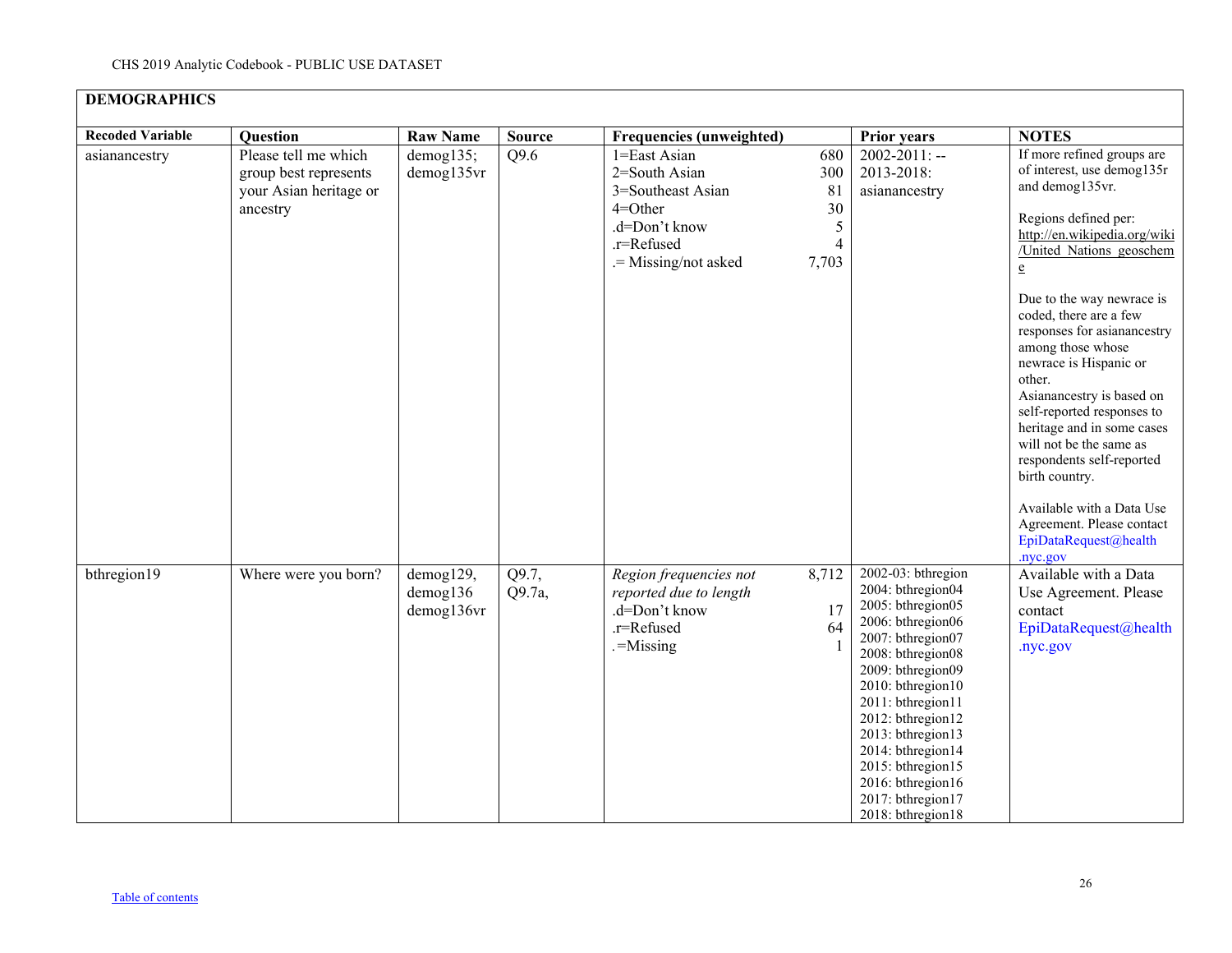| <b>DEMOGRAPHICS</b>     |                                                                                     |                                     |                 |                                                                                                                          |                                                        |                                                                                                                                                                                                                                                                                                                                               |                                                                                                                                                                                                                                                                                                                                                                                                                                                                                                   |
|-------------------------|-------------------------------------------------------------------------------------|-------------------------------------|-----------------|--------------------------------------------------------------------------------------------------------------------------|--------------------------------------------------------|-----------------------------------------------------------------------------------------------------------------------------------------------------------------------------------------------------------------------------------------------------------------------------------------------------------------------------------------------|---------------------------------------------------------------------------------------------------------------------------------------------------------------------------------------------------------------------------------------------------------------------------------------------------------------------------------------------------------------------------------------------------------------------------------------------------------------------------------------------------|
| <b>Recoded Variable</b> | <b>Question</b>                                                                     | <b>Raw Name</b>                     | <b>Source</b>   | <b>Frequencies (unweighted)</b>                                                                                          |                                                        | <b>Prior years</b>                                                                                                                                                                                                                                                                                                                            | <b>NOTES</b>                                                                                                                                                                                                                                                                                                                                                                                                                                                                                      |
| asianancestry           | Please tell me which<br>group best represents<br>your Asian heritage or<br>ancestry | demog135;<br>demog135vr             | Q9.6            | 1=East Asian<br>2=South Asian<br>3=Southeast Asian<br>$4 =$ Other<br>.d=Don't know<br>.r=Refused<br>.= Missing/not asked | 680<br>300<br>81<br>30<br>5<br>$\overline{4}$<br>7,703 | $2002 - 2011$ : --<br>2013-2018:<br>asianancestry                                                                                                                                                                                                                                                                                             | If more refined groups are<br>of interest, use demog135r<br>and demog135vr.<br>Regions defined per:<br>http://en.wikipedia.org/wiki<br>/United Nations geoschem<br>$\mathbf{e}$<br>Due to the way newrace is<br>coded, there are a few<br>responses for asianancestry<br>among those whose<br>newrace is Hispanic or<br>other.<br>Asianancestry is based on<br>self-reported responses to<br>heritage and in some cases<br>will not be the same as<br>respondents self-reported<br>birth country. |
| bthregion19             | Where were you born?                                                                | demog129,<br>demog136<br>demog136vr | Q9.7,<br>Q9.7a, | Region frequencies not<br>reported due to length<br>.d=Don't know<br>.r=Refused<br>$=$ Missing                           | 8,712<br>17<br>64                                      | 2002-03: bthregion<br>2004: bthregion04<br>2005: bthregion05<br>2006: bthregion06<br>2007: bthregion07<br>2008: bthregion08<br>2009: bthregion09<br>2010: bthregion10<br>2011: bthregion11<br>2012: bthregion12<br>2013: bthregion13<br>2014: bthregion14<br>2015: bthregion15<br>2016: bthregion16<br>2017: bthregion17<br>2018: bthregion18 | Available with a Data Use<br>Agreement. Please contact<br>EpiDataRequest@health<br>.nyc.gov<br>Available with a Data<br>Use Agreement. Please<br>contact<br>EpiDataRequest@health<br>nyc.gov.                                                                                                                                                                                                                                                                                                     |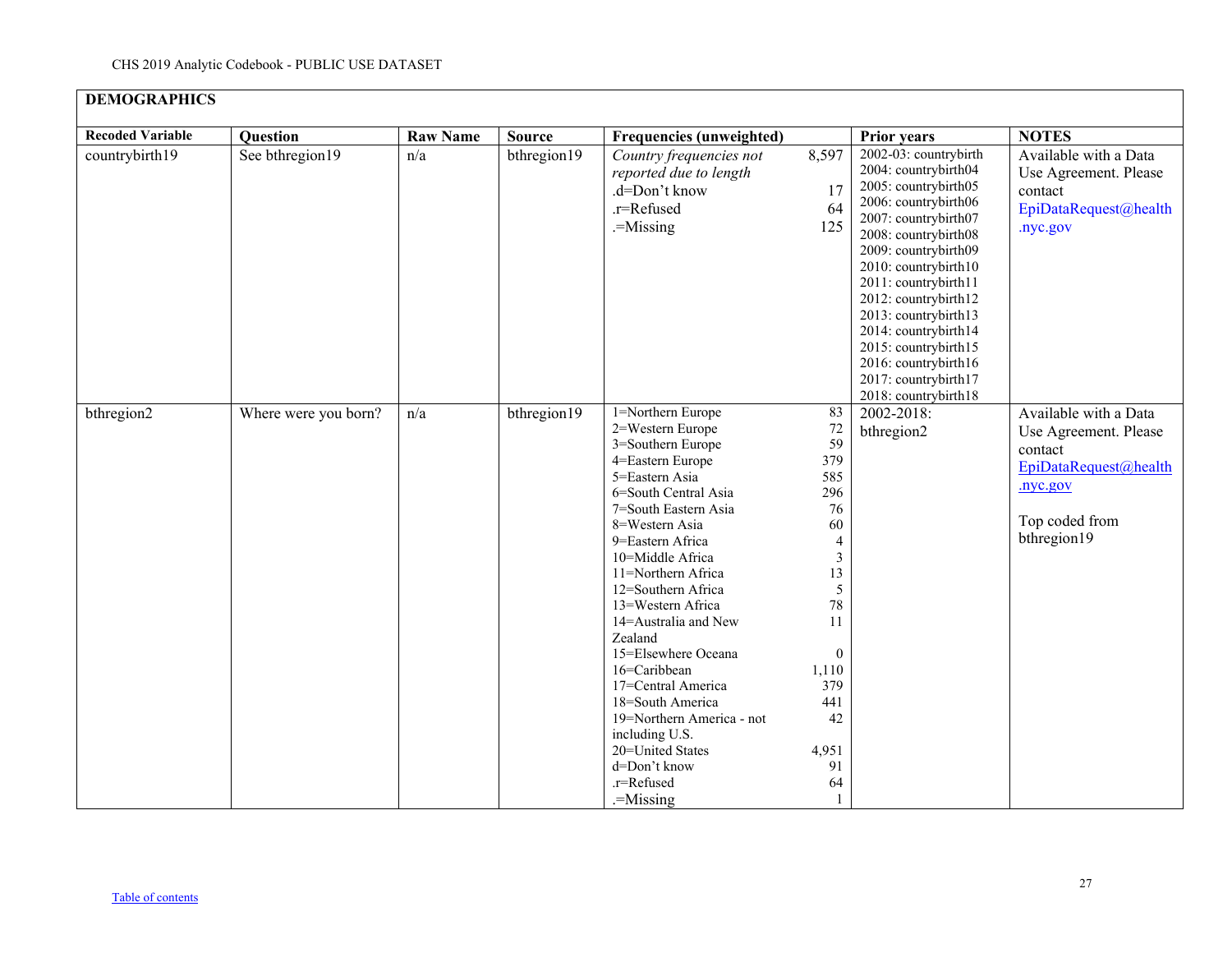| <b>DEMOGRAPHICS</b>     |                      |                 |               |                                                                                                                                                                                                                                                                                                                                                                                                                                                                                                                |                                                                                                                                                                                                        |                                                                                                                                                                                                                                                                                                                                                                                               |                                                                                                                                 |
|-------------------------|----------------------|-----------------|---------------|----------------------------------------------------------------------------------------------------------------------------------------------------------------------------------------------------------------------------------------------------------------------------------------------------------------------------------------------------------------------------------------------------------------------------------------------------------------------------------------------------------------|--------------------------------------------------------------------------------------------------------------------------------------------------------------------------------------------------------|-----------------------------------------------------------------------------------------------------------------------------------------------------------------------------------------------------------------------------------------------------------------------------------------------------------------------------------------------------------------------------------------------|---------------------------------------------------------------------------------------------------------------------------------|
| <b>Recoded Variable</b> | Question             | <b>Raw Name</b> | <b>Source</b> | Frequencies (unweighted)                                                                                                                                                                                                                                                                                                                                                                                                                                                                                       |                                                                                                                                                                                                        | <b>Prior years</b>                                                                                                                                                                                                                                                                                                                                                                            | <b>NOTES</b>                                                                                                                    |
| countrybirth19          | See bthregion19      | n/a             | bthregion19   | Country frequencies not<br>reported due to length<br>.d=Don't know<br>.r=Refused<br>.=Missing                                                                                                                                                                                                                                                                                                                                                                                                                  | 8,597<br>17<br>64<br>125                                                                                                                                                                               | 2002-03: countrybirth<br>2004: countrybirth04<br>2005: countrybirth05<br>2006: countrybirth06<br>2007: countrybirth07<br>2008: countrybirth08<br>2009: countrybirth09<br>2010: countrybirth10<br>2011: countrybirth11<br>2012: countrybirth12<br>2013: countrybirth13<br>2014: countrybirth14<br>2015: countrybirth15<br>2016: countrybirth16<br>2017: countrybirth17<br>2018: countrybirth18 | Available with a Data<br>Use Agreement. Please<br>contact<br>EpiDataRequest@health<br>.nyc.gov                                  |
| bthregion2              | Where were you born? | n/a             | bthregion19   | 1=Northern Europe<br>2=Western Europe<br>3=Southern Europe<br>4=Eastern Europe<br>5=Eastern Asia<br>6=South Central Asia<br>7=South Eastern Asia<br>8=Western Asia<br>9=Eastern Africa<br>10=Middle Africa<br>11=Northern Africa<br>12=Southern Africa<br>13=Western Africa<br>14=Australia and New<br>Zealand<br>15=Elsewhere Oceana<br>16=Caribbean<br>17=Central America<br>18=South America<br>19=Northern America - not<br>including U.S.<br>20=United States<br>d=Don't know<br>.r=Refused<br>$-Missing$ | 83<br>72<br>59<br>379<br>585<br>296<br>76<br>60<br>$\overline{\mathcal{A}}$<br>$\mathfrak{Z}$<br>13<br>5<br>78<br>11<br>$\mathbf{0}$<br>1,110<br>379<br>441<br>42<br>4,951<br>91<br>64<br>$\mathbf{1}$ | 2002-2018:<br>bthregion2                                                                                                                                                                                                                                                                                                                                                                      | Available with a Data<br>Use Agreement. Please<br>contact<br>EpiDataRequest@health<br>.nyc.gov<br>Top coded from<br>bthregion19 |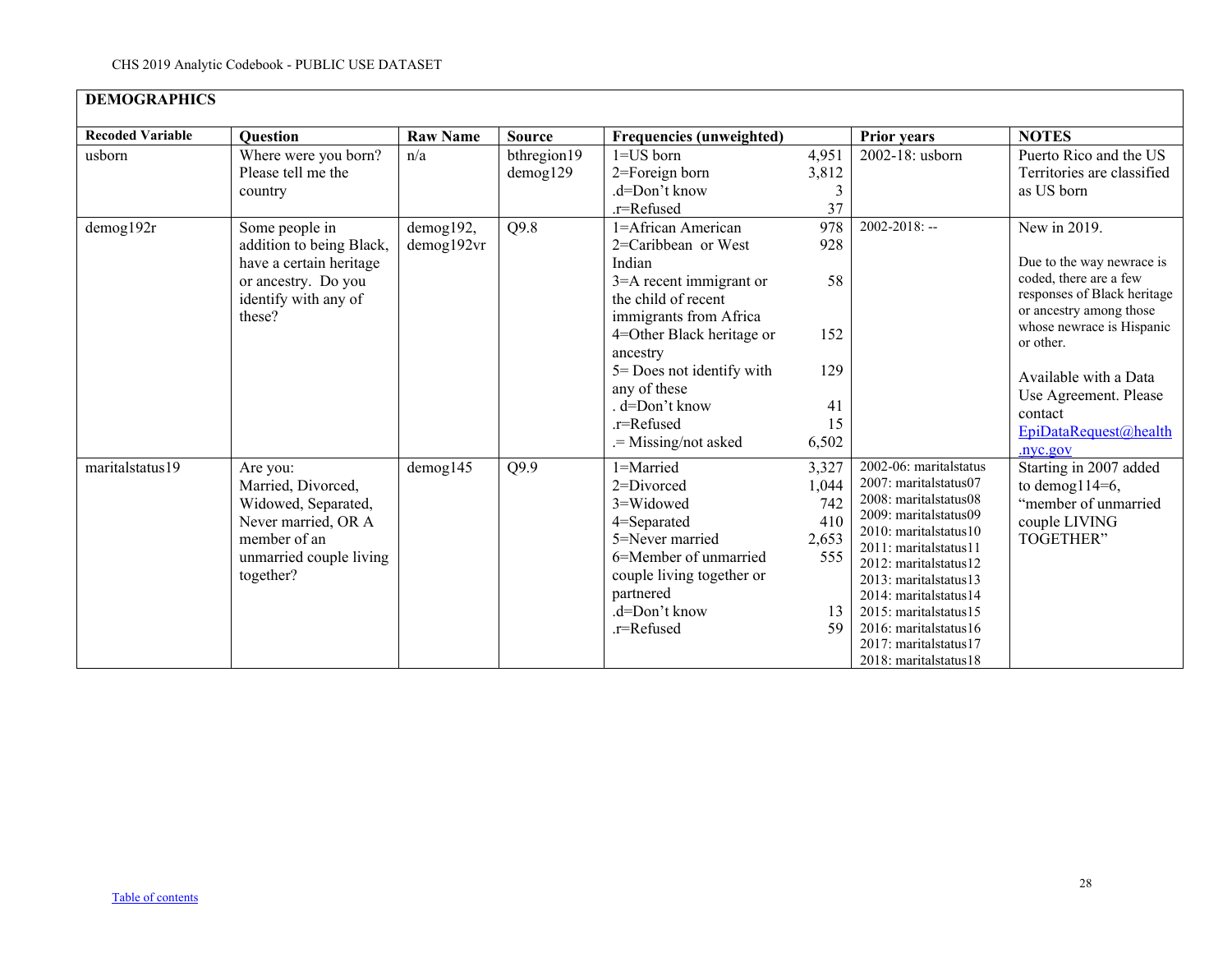| <b>DEMOGRAPHICS</b>     |                                                                                                                                      |                         |                         |                                                                                                                                                                                                                                                                                |                                                          |                                                                                                                                                                                                                                                                                                                                           |                                                                                                                                                                                                                                                                          |  |  |  |  |
|-------------------------|--------------------------------------------------------------------------------------------------------------------------------------|-------------------------|-------------------------|--------------------------------------------------------------------------------------------------------------------------------------------------------------------------------------------------------------------------------------------------------------------------------|----------------------------------------------------------|-------------------------------------------------------------------------------------------------------------------------------------------------------------------------------------------------------------------------------------------------------------------------------------------------------------------------------------------|--------------------------------------------------------------------------------------------------------------------------------------------------------------------------------------------------------------------------------------------------------------------------|--|--|--|--|
| <b>Recoded Variable</b> | <b>Ouestion</b>                                                                                                                      | <b>Raw Name</b>         | <b>Source</b>           | <b>Frequencies (unweighted)</b>                                                                                                                                                                                                                                                |                                                          | <b>Prior years</b>                                                                                                                                                                                                                                                                                                                        | <b>NOTES</b>                                                                                                                                                                                                                                                             |  |  |  |  |
| usborn                  | Where were you born?<br>Please tell me the<br>country                                                                                | n/a                     | bthregion19<br>demog129 | $1 = US$ born<br>$2 =$ Foreign born<br>.d=Don't know<br>.r=Refused                                                                                                                                                                                                             | 4,951<br>3,812<br>3<br>37                                | 2002-18: usborn                                                                                                                                                                                                                                                                                                                           | Puerto Rico and the US<br>Territories are classified<br>as US born                                                                                                                                                                                                       |  |  |  |  |
| demog192r               | Some people in<br>addition to being Black,<br>have a certain heritage<br>or ancestry. Do you<br>identify with any of<br>these?       | demog192,<br>demog192vr | Q9.8                    | 1=African American<br>2=Caribbean or West<br>Indian<br>3=A recent immigrant or<br>the child of recent<br>immigrants from Africa<br>4=Other Black heritage or<br>ancestry<br>5 = Does not identify with<br>any of these<br>. d=Don't know<br>.r=Refused<br>.= Missing/not asked | 978<br>928<br>58<br>152<br>129<br>41<br>15<br>6,502      | $2002 - 2018$ : --                                                                                                                                                                                                                                                                                                                        | New in 2019.<br>Due to the way newrace is<br>coded, there are a few<br>responses of Black heritage<br>or ancestry among those<br>whose newrace is Hispanic<br>or other.<br>Available with a Data<br>Use Agreement. Please<br>contact<br>EpiDataRequest@health<br>nvc.gov |  |  |  |  |
| maritalstatus19         | Are you:<br>Married, Divorced,<br>Widowed, Separated,<br>Never married, OR A<br>member of an<br>unmarried couple living<br>together? | $d$ emog $145$          | Q9.9                    | 1=Married<br>$2 = Divored$<br>$3 = Widowed$<br>4=Separated<br>5=Never married<br>6=Member of unmarried<br>couple living together or<br>partnered<br>.d=Don't know<br>.r=Refused                                                                                                | 3,327<br>1,044<br>742<br>410<br>2,653<br>555<br>13<br>59 | 2002-06: marital status<br>2007: maritalstatus07<br>2008: maritalstatus08<br>2009: maritalstatus09<br>2010: maritalstatus10<br>2011: maritalstatus11<br>2012: marital status 12<br>2013: maritalstatus13<br>2014: maritalstatus14<br>2015: marital status 15<br>2016: marital status 16<br>2017: maritalstatus17<br>2018: maritalstatus18 | Starting in 2007 added<br>to demog $114=6$ ,<br>"member of unmarried<br>couple LIVING<br>TOGETHER"                                                                                                                                                                       |  |  |  |  |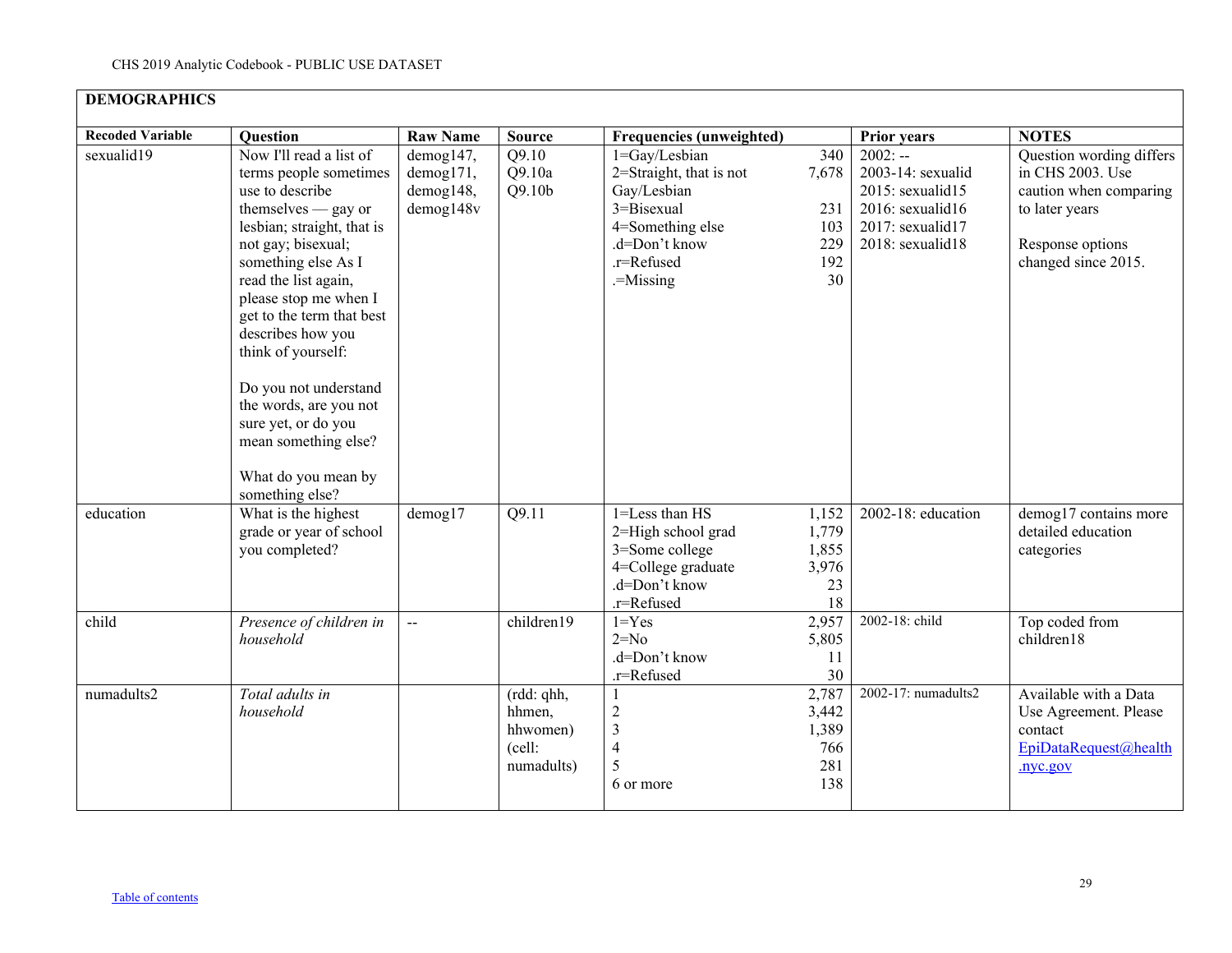| <b>DEMOGRAPHICS</b>     |                                                                                                                                                                                                                                                                                                                                                                                                                                               |                                                  |                                                          |                                                                                                                                           |                                                       |                                                                                                                      |                                                                                                                                     |
|-------------------------|-----------------------------------------------------------------------------------------------------------------------------------------------------------------------------------------------------------------------------------------------------------------------------------------------------------------------------------------------------------------------------------------------------------------------------------------------|--------------------------------------------------|----------------------------------------------------------|-------------------------------------------------------------------------------------------------------------------------------------------|-------------------------------------------------------|----------------------------------------------------------------------------------------------------------------------|-------------------------------------------------------------------------------------------------------------------------------------|
| <b>Recoded Variable</b> | Question                                                                                                                                                                                                                                                                                                                                                                                                                                      | <b>Raw Name</b>                                  | <b>Source</b>                                            | <b>Frequencies (unweighted)</b>                                                                                                           |                                                       | <b>Prior years</b>                                                                                                   | <b>NOTES</b>                                                                                                                        |
| sexualid19              | Now I'll read a list of<br>terms people sometimes<br>use to describe<br>themselves $-$ gay or<br>lesbian; straight, that is<br>not gay; bisexual;<br>something else As I<br>read the list again,<br>please stop me when I<br>get to the term that best<br>describes how you<br>think of yourself:<br>Do you not understand<br>the words, are you not<br>sure yet, or do you<br>mean something else?<br>What do you mean by<br>something else? | demog147,<br>demog171,<br>demog148,<br>demog148v | Q9.10<br>Q9.10a<br>Q9.10 <sub>b</sub>                    | 1=Gay/Lesbian<br>2=Straight, that is not<br>Gay/Lesbian<br>$3 = Bisexual$<br>4=Something else<br>.d=Don't know<br>.r=Refused<br>.=Missing | 340<br>7,678<br>231<br>103<br>229<br>192<br>30        | $2002: -$<br>2003-14: sexualid<br>$2015$ : sexualid $15$<br>2016: sexualid16<br>2017: sexualid17<br>2018: sexualid18 | Question wording differs<br>in CHS 2003. Use<br>caution when comparing<br>to later years<br>Response options<br>changed since 2015. |
| education<br>child      | What is the highest<br>grade or year of school<br>you completed?<br>Presence of children in                                                                                                                                                                                                                                                                                                                                                   | demog17<br>$\mathbf{L}$                          | Q9.11<br>children19                                      | 1=Less than HS<br>2=High school grad<br>3=Some college<br>4=College graduate<br>.d=Don't know<br>.r=Refused<br>$1 = Yes$                  | 1,152<br>1,779<br>1,855<br>3,976<br>23<br>18<br>2,957 | 2002-18: education<br>2002-18: child                                                                                 | demog17 contains more<br>detailed education<br>categories<br>Top coded from                                                         |
|                         | household                                                                                                                                                                                                                                                                                                                                                                                                                                     |                                                  |                                                          | $2=No$<br>.d=Don't know<br>.r=Refused                                                                                                     | 5,805<br>11<br>30                                     |                                                                                                                      | children18                                                                                                                          |
| numadults2              | Total adults in<br>household                                                                                                                                                                                                                                                                                                                                                                                                                  |                                                  | (rdd: qhh,<br>hhmen,<br>hhwomen)<br>(cell:<br>numadults) | 1<br>$\overline{c}$<br>$\overline{3}$<br>$\overline{4}$<br>5<br>6 or more                                                                 | 2,787<br>3,442<br>1,389<br>766<br>281<br>138          | 2002-17: numadults2                                                                                                  | Available with a Data<br>Use Agreement. Please<br>contact<br>EpiDataRequest@health<br>.nyc.gov                                      |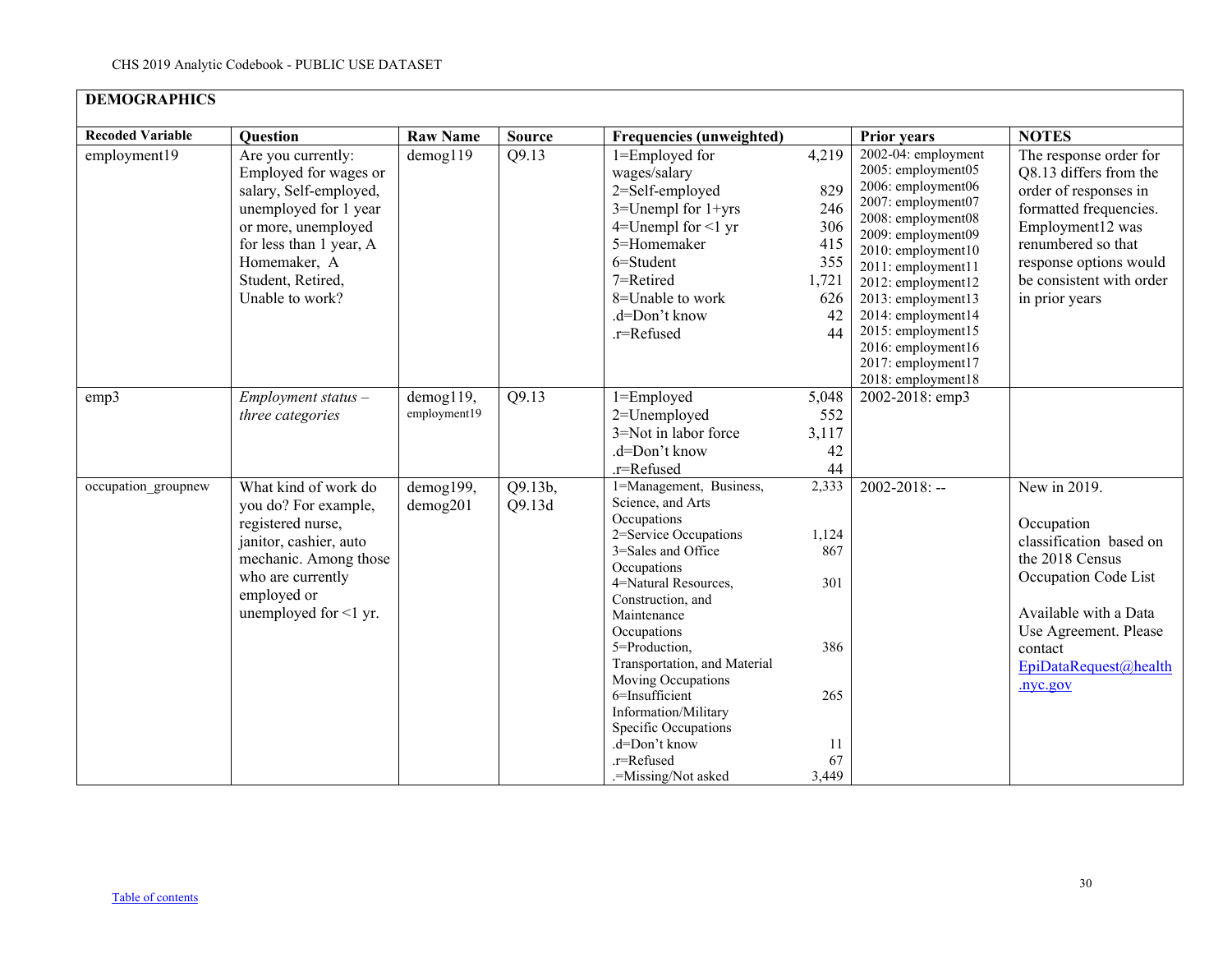| <b>DEMOGRAPHICS</b>     |                                                                                                                                                                                                          |                           |                   |                                                                                                                                                                                                                                                                                                                                                                                                     |                                                                      |                                                                                                                                                                                                                                                                                                                                            |                                                                                                                                                                                                                       |  |  |  |  |
|-------------------------|----------------------------------------------------------------------------------------------------------------------------------------------------------------------------------------------------------|---------------------------|-------------------|-----------------------------------------------------------------------------------------------------------------------------------------------------------------------------------------------------------------------------------------------------------------------------------------------------------------------------------------------------------------------------------------------------|----------------------------------------------------------------------|--------------------------------------------------------------------------------------------------------------------------------------------------------------------------------------------------------------------------------------------------------------------------------------------------------------------------------------------|-----------------------------------------------------------------------------------------------------------------------------------------------------------------------------------------------------------------------|--|--|--|--|
| <b>Recoded Variable</b> | <b>Question</b>                                                                                                                                                                                          | <b>Raw Name</b>           | <b>Source</b>     | <b>Frequencies (unweighted)</b>                                                                                                                                                                                                                                                                                                                                                                     |                                                                      | <b>Prior years</b>                                                                                                                                                                                                                                                                                                                         | <b>NOTES</b>                                                                                                                                                                                                          |  |  |  |  |
| employment19            | Are you currently:<br>Employed for wages or<br>salary, Self-employed,<br>unemployed for 1 year<br>or more, unemployed<br>for less than 1 year, A<br>Homemaker, A<br>Student, Retired,<br>Unable to work? | $d$ emog $119$            | Q9.13             | 1=Employed for<br>wages/salary<br>2=Self-employed<br>$3$ =Unempl for $1$ +yrs<br>4=Unempl for $\leq 1$ yr<br>5=Homemaker<br>$6 =$ Student<br>7=Retired<br>8=Unable to work<br>.d=Don't know<br>.r=Refused                                                                                                                                                                                           | 4,219<br>829<br>246<br>306<br>415<br>355<br>1,721<br>626<br>42<br>44 | $2002-04$ : employment<br>2005: employment05<br>2006: employment06<br>2007: employment07<br>2008: employment08<br>2009: employment09<br>2010: employment10<br>2011: employment11<br>2012: employment12<br>2013: employment13<br>2014: employment14<br>2015: employment15<br>2016: employment16<br>2017: employment17<br>2018: employment18 | The response order for<br>Q8.13 differs from the<br>order of responses in<br>formatted frequencies.<br>Employment12 was<br>renumbered so that<br>response options would<br>be consistent with order<br>in prior years |  |  |  |  |
| emp3                    | $Employment status -$<br>three categories                                                                                                                                                                | demog119,<br>employment19 | Q9.13             | 1=Employed<br>2=Unemployed<br>3=Not in labor force<br>.d=Don't know<br>.r=Refused                                                                                                                                                                                                                                                                                                                   | 5,048<br>552<br>3,117<br>42<br>44                                    | 2002-2018: emp3                                                                                                                                                                                                                                                                                                                            |                                                                                                                                                                                                                       |  |  |  |  |
| occupation_groupnew     | What kind of work do<br>you do? For example,<br>registered nurse,<br>janitor, cashier, auto<br>mechanic. Among those<br>who are currently<br>employed or<br>unemployed for <1 yr.                        | demog199,<br>demog201     | Q9.13b,<br>Q9.13d | 1=Management, Business,<br>Science, and Arts<br>Occupations<br>2=Service Occupations<br>3=Sales and Office<br>Occupations<br>4=Natural Resources,<br>Construction, and<br>Maintenance<br>Occupations<br>5=Production,<br>Transportation, and Material<br>Moving Occupations<br>6=Insufficient<br>Information/Military<br>Specific Occupations<br>.d=Don't know<br>.r=Refused<br>.=Missing/Not asked | 2,333<br>1,124<br>867<br>301<br>386<br>265<br>11<br>67<br>3,449      | $2002 - 2018$ : --                                                                                                                                                                                                                                                                                                                         | New in 2019.<br>Occupation<br>classification based on<br>the 2018 Census<br>Occupation Code List<br>Available with a Data<br>Use Agreement. Please<br>contact<br>EpiDataRequest@health<br>.nyc.gov                    |  |  |  |  |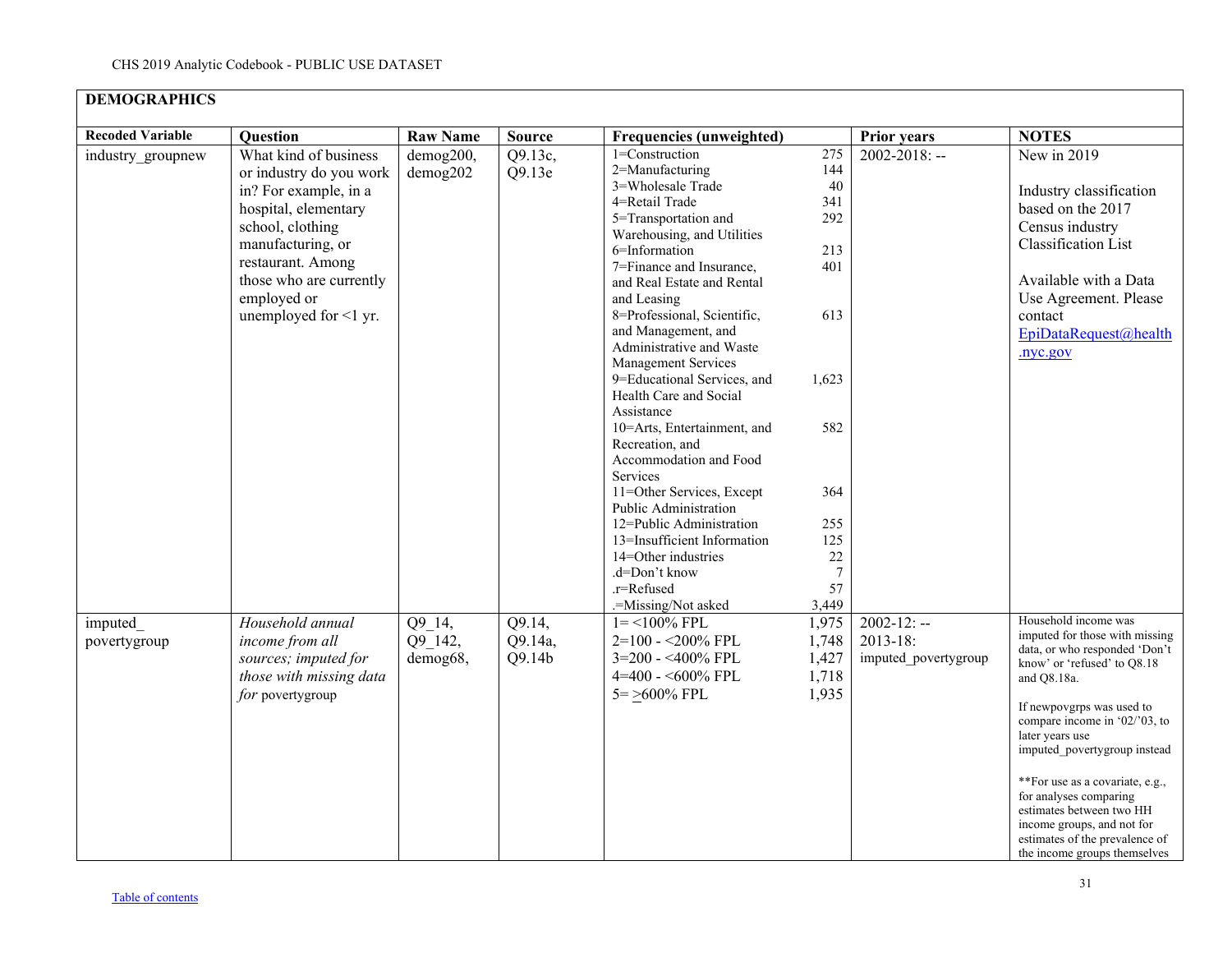| <b>DEMOGRAPHICS</b>     |                                                                                                                                                                                                                                          |                               |                             |                                                                                                                                                                                                                                                                                                                                                                                                                                                                                                                                                                                                                                                                                                       |                                                                                                                                 |                                                         |                                                                                                                                                                                                                                                                                                                                                                                                                                                  |
|-------------------------|------------------------------------------------------------------------------------------------------------------------------------------------------------------------------------------------------------------------------------------|-------------------------------|-----------------------------|-------------------------------------------------------------------------------------------------------------------------------------------------------------------------------------------------------------------------------------------------------------------------------------------------------------------------------------------------------------------------------------------------------------------------------------------------------------------------------------------------------------------------------------------------------------------------------------------------------------------------------------------------------------------------------------------------------|---------------------------------------------------------------------------------------------------------------------------------|---------------------------------------------------------|--------------------------------------------------------------------------------------------------------------------------------------------------------------------------------------------------------------------------------------------------------------------------------------------------------------------------------------------------------------------------------------------------------------------------------------------------|
| <b>Recoded Variable</b> | Question                                                                                                                                                                                                                                 | <b>Raw Name</b>               | <b>Source</b>               | <b>Frequencies (unweighted)</b>                                                                                                                                                                                                                                                                                                                                                                                                                                                                                                                                                                                                                                                                       |                                                                                                                                 | <b>Prior years</b>                                      | <b>NOTES</b>                                                                                                                                                                                                                                                                                                                                                                                                                                     |
| industry groupnew       | What kind of business<br>or industry do you work<br>in? For example, in a<br>hospital, elementary<br>school, clothing<br>manufacturing, or<br>restaurant. Among<br>those who are currently<br>employed or<br>unemployed for $\leq 1$ yr. | demog200,<br>demog202         | Q9.13c,<br>Q9.13e           | 1=Construction<br>2=Manufacturing<br>3=Wholesale Trade<br>4=Retail Trade<br>5=Transportation and<br>Warehousing, and Utilities<br>6=Information<br>7=Finance and Insurance,<br>and Real Estate and Rental<br>and Leasing<br>8=Professional, Scientific,<br>and Management, and<br>Administrative and Waste<br><b>Management Services</b><br>9=Educational Services, and<br>Health Care and Social<br>Assistance<br>10=Arts, Entertainment, and<br>Recreation, and<br>Accommodation and Food<br>Services<br>11=Other Services, Except<br>Public Administration<br>12=Public Administration<br>13=Insufficient Information<br>14=Other industries<br>.d=Don't know<br>.r=Refused<br>.=Missing/Not asked | 275<br>144<br>40<br>341<br>292<br>213<br>401<br>613<br>1,623<br>582<br>364<br>255<br>125<br>22<br>$\overline{7}$<br>57<br>3,449 | $2002 - 2018$ : --                                      | New in 2019<br>Industry classification<br>based on the 2017<br>Census industry<br>Classification List<br>Available with a Data<br>Use Agreement. Please<br>contact<br>EpiDataRequest@health<br>.nyc.gov                                                                                                                                                                                                                                          |
| imputed<br>povertygroup | Household annual<br>income from all<br>sources; imputed for<br>those with missing data<br>for povertygroup                                                                                                                               | Q9 14,<br>Q9 142,<br>demog68, | Q9.14,<br>Q9.14a,<br>Q9.14b | $1 = 100\%$ FPL<br>2=100 - <200% FPL<br>3=200 - <400% FPL<br>4=400 - <600% FPL<br>$5 = \geq 600\%$ FPL                                                                                                                                                                                                                                                                                                                                                                                                                                                                                                                                                                                                | 1,975<br>1,748<br>1,427<br>1,718<br>1,935                                                                                       | $2002 - 12: -$<br>$2013 - 18$ :<br>imputed povertygroup | Household income was<br>imputed for those with missing<br>data, or who responded 'Don't<br>know' or 'refused' to Q8.18<br>and Q8.18a.<br>If newpovgrps was used to<br>compare income in $02/03$ , to<br>later years use<br>imputed_povertygroup instead<br>**For use as a covariate, e.g.,<br>for analyses comparing<br>estimates between two HH<br>income groups, and not for<br>estimates of the prevalence of<br>the income groups themselves |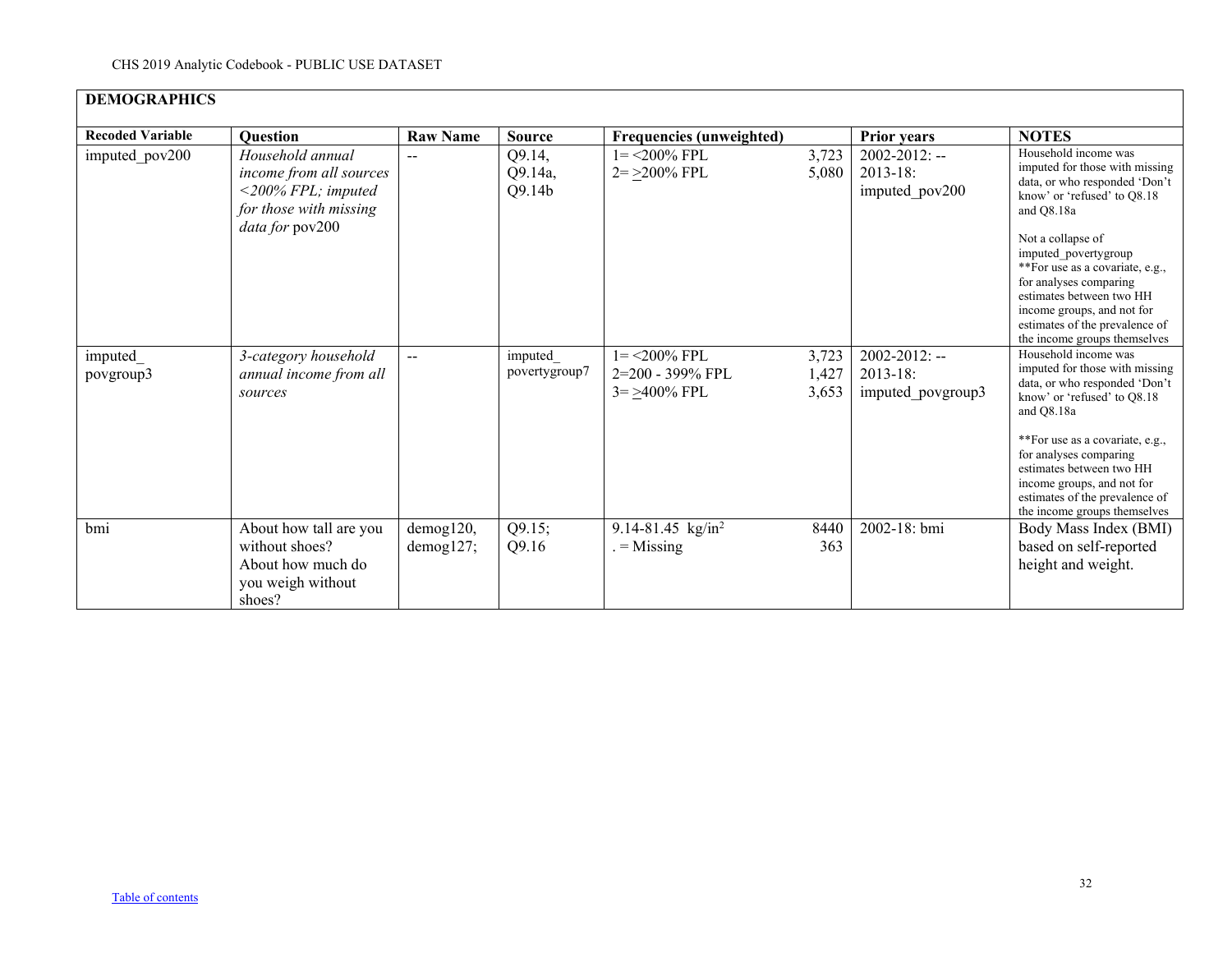| <b>DEMOGRAPHICS</b>     |                                                                                                                          |                        |                             |                                                          |                         |                                                                   |                                                                                                                                                                                                                                                                                                                                                                            |
|-------------------------|--------------------------------------------------------------------------------------------------------------------------|------------------------|-----------------------------|----------------------------------------------------------|-------------------------|-------------------------------------------------------------------|----------------------------------------------------------------------------------------------------------------------------------------------------------------------------------------------------------------------------------------------------------------------------------------------------------------------------------------------------------------------------|
| <b>Recoded Variable</b> | <b>Question</b>                                                                                                          | <b>Raw Name</b>        | <b>Source</b>               | <b>Frequencies (unweighted)</b>                          |                         | <b>Prior years</b>                                                | <b>NOTES</b>                                                                                                                                                                                                                                                                                                                                                               |
| imputed pov200          | Household annual<br>income from all sources<br>$\langle 200\%$ FPL; imputed<br>for those with missing<br>data for pov200 | --                     | Q9.14,<br>Q9.14a,<br>Q9.14b | $1 = 200\%$ FPL<br>$2 = >200\%$ FPL                      | 3,723<br>5,080          | $2002 - 2012$ : --<br>$2013 - 18$ :<br>imputed pov200             | Household income was<br>imputed for those with missing<br>data, or who responded 'Don't<br>know' or 'refused' to Q8.18<br>and O8.18a<br>Not a collapse of<br>imputed povertygroup<br>**For use as a covariate, e.g.,<br>for analyses comparing<br>estimates between two HH<br>income groups, and not for<br>estimates of the prevalence of<br>the income groups themselves |
| imputed<br>povgroup3    | 3-category household<br>annual income from all<br>sources                                                                | --                     | imputed<br>povertygroup7    | $1 = 200\%$ FPL<br>2=200 - 399% FPL<br>$3 = > 400\%$ FPL | 3,723<br>1,427<br>3,653 | $\overline{2002}$ -2012: --<br>$2013 - 18$ :<br>imputed povgroup3 | Household income was<br>imputed for those with missing<br>data, or who responded 'Don't<br>know' or 'refused' to O8.18<br>and Q8.18a<br>**For use as a covariate, e.g.,<br>for analyses comparing<br>estimates between two HH<br>income groups, and not for<br>estimates of the prevalence of<br>the income groups themselves                                              |
| bmi                     | About how tall are you<br>without shoes?<br>About how much do<br>you weigh without<br>shoes?                             | demog120,<br>demog127; | Q9.15;<br>Q9.16             | 9.14-81.45 $\text{kg/in}^2$<br>$=$ Missing               | 8440<br>363             | 2002-18: bmi                                                      | Body Mass Index (BMI)<br>based on self-reported<br>height and weight.                                                                                                                                                                                                                                                                                                      |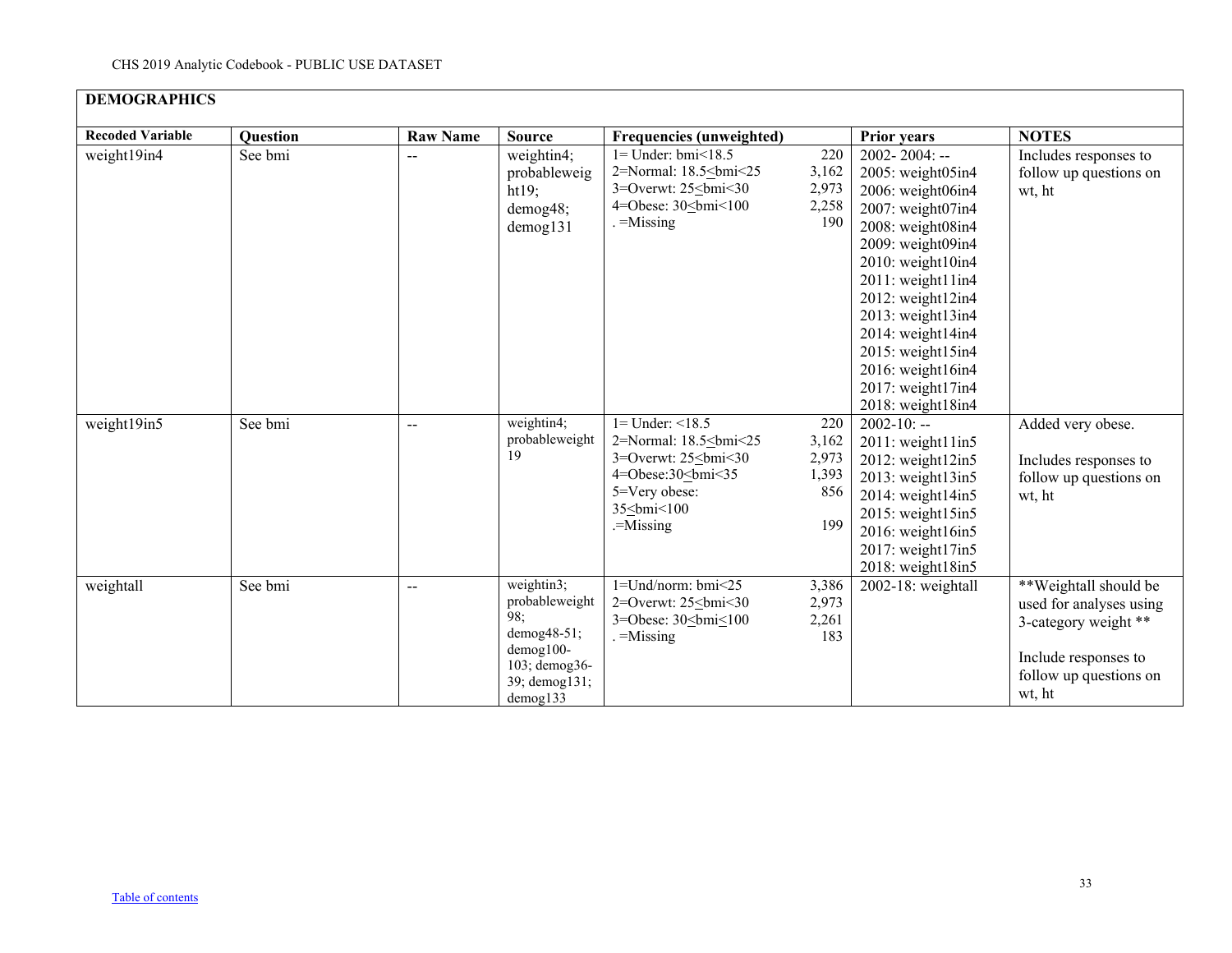| <b>Recoded Variable</b> | <b>Question</b> | <b>Raw Name</b> | <b>Source</b>                                                                                                 | <b>Frequencies (unweighted)</b>                                                                                                     |                                              | <b>Prior years</b>                                                                                                                                                                                                                                                                                                       | <b>NOTES</b>                                                                                                                         |
|-------------------------|-----------------|-----------------|---------------------------------------------------------------------------------------------------------------|-------------------------------------------------------------------------------------------------------------------------------------|----------------------------------------------|--------------------------------------------------------------------------------------------------------------------------------------------------------------------------------------------------------------------------------------------------------------------------------------------------------------------------|--------------------------------------------------------------------------------------------------------------------------------------|
| weight19in4             | See bmi         |                 | weightin4;<br>probableweig<br>ht19;<br>demog48;<br>$d$ emog $131$                                             | $1 =$ Under: bmi $\leq 18.5$<br>2=Normal: 18.5<br>bmi<25<br>$3=$ Overwt: $25\le$ bmi $\le$ 30<br>4=Obese: $30 \leq bmi$ < $100$<br> | 220<br>3,162<br>2,973<br>2,258<br>190        | $2002 - 2004$ : --<br>2005: weight05in4<br>2006: weight06in4<br>2007: weight07in4<br>2008: weight08in4<br>2009: weight09in4<br>2010: weight10in4<br>2011: weight11in4<br>2012: weight12in4<br>2013: weight13in4<br>2014: weight14in4<br>2015: weight15in4<br>2016: weight16in4<br>2017: weight17in4<br>2018: weight18in4 | Includes responses to<br>follow up questions on<br>wt, ht                                                                            |
| weight19in5             | See bmi         | --              | weightin4;<br>probableweight<br>19                                                                            | $1 =$ Under: $\leq 18.5$<br>2=Normal: 18.5<br>bmi<25<br>$3 =$ Overwt: $25$<br>bmi < 30<br>                                          | 220<br>3,162<br>2,973<br>1,393<br>856<br>199 | $2002 - 10: -$<br>2011: weight11in5<br>2012: weight12in5<br>2013: weight13in5<br>2014: weight14in5<br>2015: weight15in5<br>2016: weight16in5<br>2017: weight17in5<br>2018: weight18in5                                                                                                                                   | Added very obese.<br>Includes responses to<br>follow up questions on<br>wt, ht                                                       |
| weightall               | See bmi         | $-\,-$          | weightin3;<br>probableweight<br>98;<br>demog48-51;<br>demog100-<br>103; demog36-<br>39; demog131;<br>demog133 | $1 =$ Und/norm: bmi<25<br>2=Overwt: 25<br>bmi<30<br>3=Obese: 30<br><br>                                                             | 3,386<br>2,973<br>2,261<br>183               | 2002-18: weightall                                                                                                                                                                                                                                                                                                       | **Weightall should be<br>used for analyses using<br>3-category weight **<br>Include responses to<br>follow up questions on<br>wt, ht |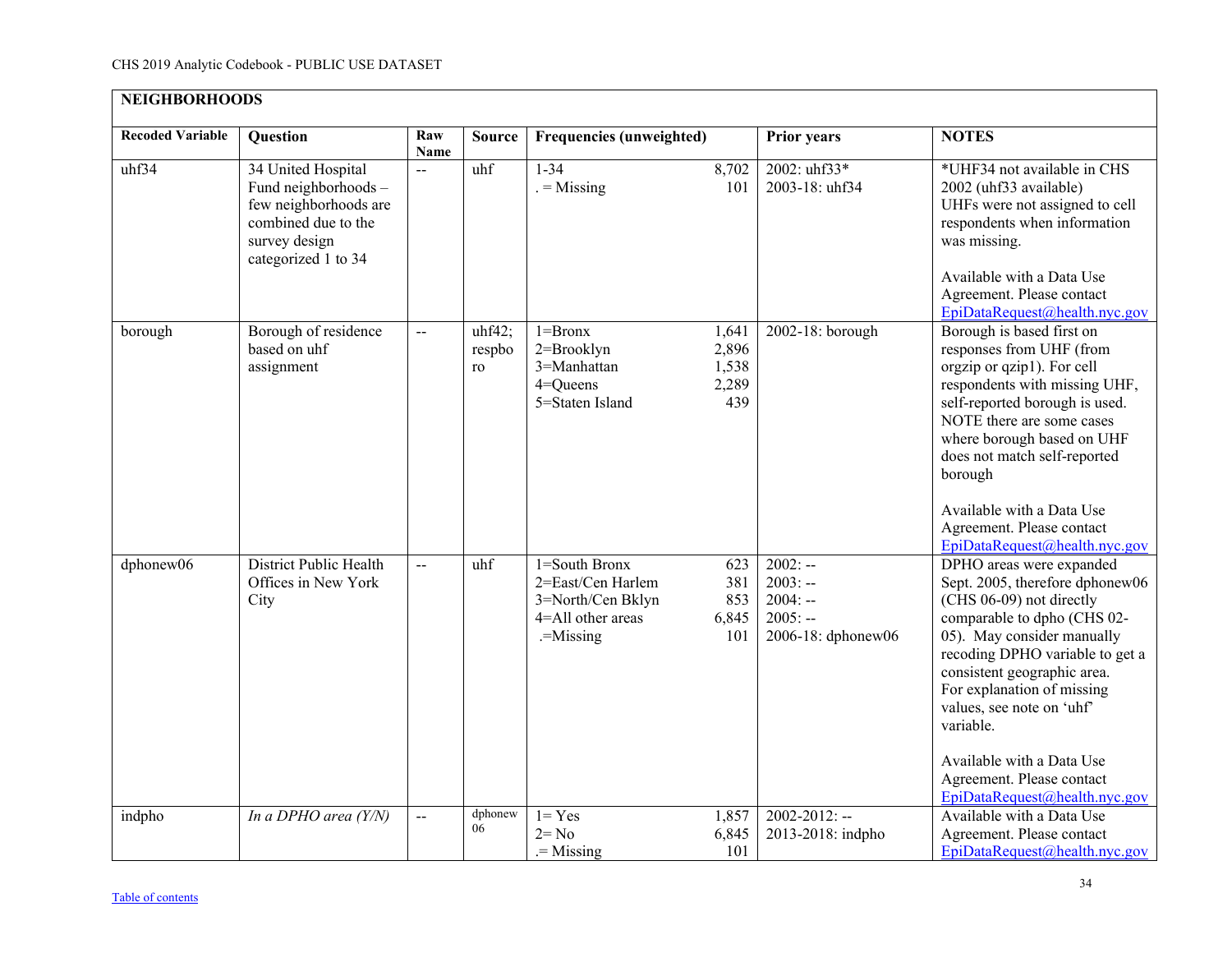<span id="page-33-0"></span>

| <b>NEIGHBORHOODS</b>    |                                                                                                                                    |                |                        |                                                                                           |                                         |                                                                        |                                                                                                                                                                                                                                                                                                                                                                                           |
|-------------------------|------------------------------------------------------------------------------------------------------------------------------------|----------------|------------------------|-------------------------------------------------------------------------------------------|-----------------------------------------|------------------------------------------------------------------------|-------------------------------------------------------------------------------------------------------------------------------------------------------------------------------------------------------------------------------------------------------------------------------------------------------------------------------------------------------------------------------------------|
| <b>Recoded Variable</b> | <b>Question</b>                                                                                                                    | Raw<br>Name    | <b>Source</b>          | <b>Frequencies (unweighted)</b>                                                           |                                         | <b>Prior years</b>                                                     | <b>NOTES</b>                                                                                                                                                                                                                                                                                                                                                                              |
| uhf34                   | 34 United Hospital<br>Fund neighborhoods -<br>few neighborhoods are<br>combined due to the<br>survey design<br>categorized 1 to 34 | $\overline{a}$ | uhf                    | $1 - 34$<br>$=$ Missing                                                                   | 8,702<br>101                            | 2002: uhf33*<br>2003-18: uhf34                                         | *UHF34 not available in CHS<br>2002 (uhf33 available)<br>UHFs were not assigned to cell<br>respondents when information<br>was missing.<br>Available with a Data Use<br>Agreement. Please contact<br>EpiDataRequest@health.nyc.gov                                                                                                                                                        |
| borough                 | Borough of residence<br>based on uhf<br>assignment                                                                                 | $\overline{a}$ | uhf42;<br>respbo<br>ro | $1 = Brownx$<br>2=Brooklyn<br>3=Manhattan<br>$4 =$ Queens<br>5=Staten Island              | 1,641<br>2,896<br>1,538<br>2,289<br>439 | 2002-18: borough                                                       | Borough is based first on<br>responses from UHF (from<br>orgzip or qzip1). For cell<br>respondents with missing UHF,<br>self-reported borough is used.<br>NOTE there are some cases<br>where borough based on UHF<br>does not match self-reported<br>borough<br>Available with a Data Use<br>Agreement. Please contact<br>EpiDataRequest@health.nyc.gov                                   |
| dphonew06               | <b>District Public Health</b><br>Offices in New York<br>City                                                                       | $\overline{a}$ | uhf                    | 1=South Bronx<br>2=East/Cen Harlem<br>3=North/Cen Bklyn<br>4=All other areas<br>.=Missing | 623<br>381<br>853<br>6,845<br>101       | $2002: -$<br>$2003: -$<br>$2004: -$<br>$2005: -$<br>2006-18: dphonew06 | DPHO areas were expanded<br>Sept. 2005, therefore dphonew06<br>(CHS 06-09) not directly<br>comparable to dpho (CHS 02-<br>05). May consider manually<br>recoding DPHO variable to get a<br>consistent geographic area.<br>For explanation of missing<br>values, see note on 'uhf'<br>variable.<br>Available with a Data Use<br>Agreement. Please contact<br>EpiDataRequest@health.nyc.gov |
| indpho                  | In a DPHO area (Y/N)                                                                                                               | Щ.             | dphonew<br>06          | $1 = Yes$<br>$2 = No$<br>$=$ Missing                                                      | 1,857<br>6,845<br>101                   | $2002 - 2012$ : --<br>2013-2018: indpho                                | Available with a Data Use<br>Agreement. Please contact<br>EpiDataRequest@health.nyc.gov                                                                                                                                                                                                                                                                                                   |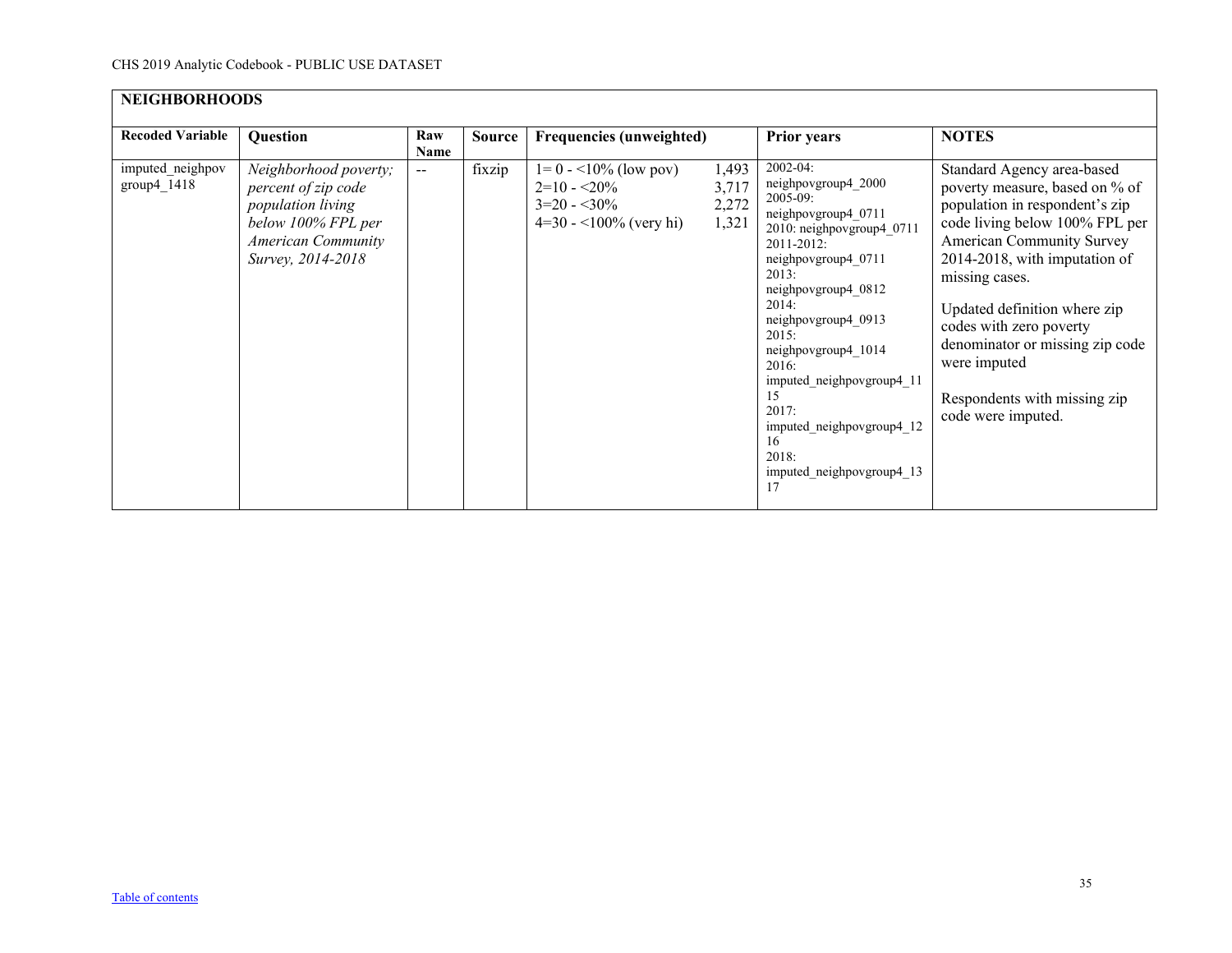| <b>NEIGHBORHOODS</b>              |                                                                                                                                           |             |               |                                                                                      |                                  |                                                                                                                                                                                                                                                                                                                                                                               |                                                                                                                                                                                                                                                                                                                                                                                             |
|-----------------------------------|-------------------------------------------------------------------------------------------------------------------------------------------|-------------|---------------|--------------------------------------------------------------------------------------|----------------------------------|-------------------------------------------------------------------------------------------------------------------------------------------------------------------------------------------------------------------------------------------------------------------------------------------------------------------------------------------------------------------------------|---------------------------------------------------------------------------------------------------------------------------------------------------------------------------------------------------------------------------------------------------------------------------------------------------------------------------------------------------------------------------------------------|
| <b>Recoded Variable</b>           | Question                                                                                                                                  | Raw<br>Name | <b>Source</b> | Frequencies (unweighted)                                                             |                                  | <b>Prior years</b>                                                                                                                                                                                                                                                                                                                                                            | <b>NOTES</b>                                                                                                                                                                                                                                                                                                                                                                                |
| imputed_neighpov<br>$group4_1418$ | Neighborhood poverty;<br>percent of zip code<br>population living<br>below 100% FPL per<br><b>American Community</b><br>Survey, 2014-2018 | $- -$       | fixzip        | $1=0$ - <10% (low pov)<br>$2=10 - 20\%$<br>$3=20 - 30\%$<br>$4=30 - 100\%$ (very hi) | 1,493<br>3,717<br>2,272<br>1,321 | 2002-04:<br>neighpovgroup4_2000<br>$2005 - 09$ :<br>neighpovgroup4 0711<br>2010: neighpovgroup4 0711<br>2011-2012:<br>neighpovgroup4 0711<br>2013:<br>neighpovgroup4 0812<br>2014:<br>neighpovgroup4 0913<br>2015:<br>neighpovgroup4 1014<br>2016:<br>imputed neighpovgroup4 11<br>15<br>2017:<br>imputed neighpovgroup4 12<br>16<br>2018:<br>imputed_neighpovgroup4_13<br>17 | Standard Agency area-based<br>poverty measure, based on % of<br>population in respondent's zip<br>code living below 100% FPL per<br><b>American Community Survey</b><br>2014-2018, with imputation of<br>missing cases.<br>Updated definition where zip<br>codes with zero poverty<br>denominator or missing zip code<br>were imputed<br>Respondents with missing zip<br>code were imputed. |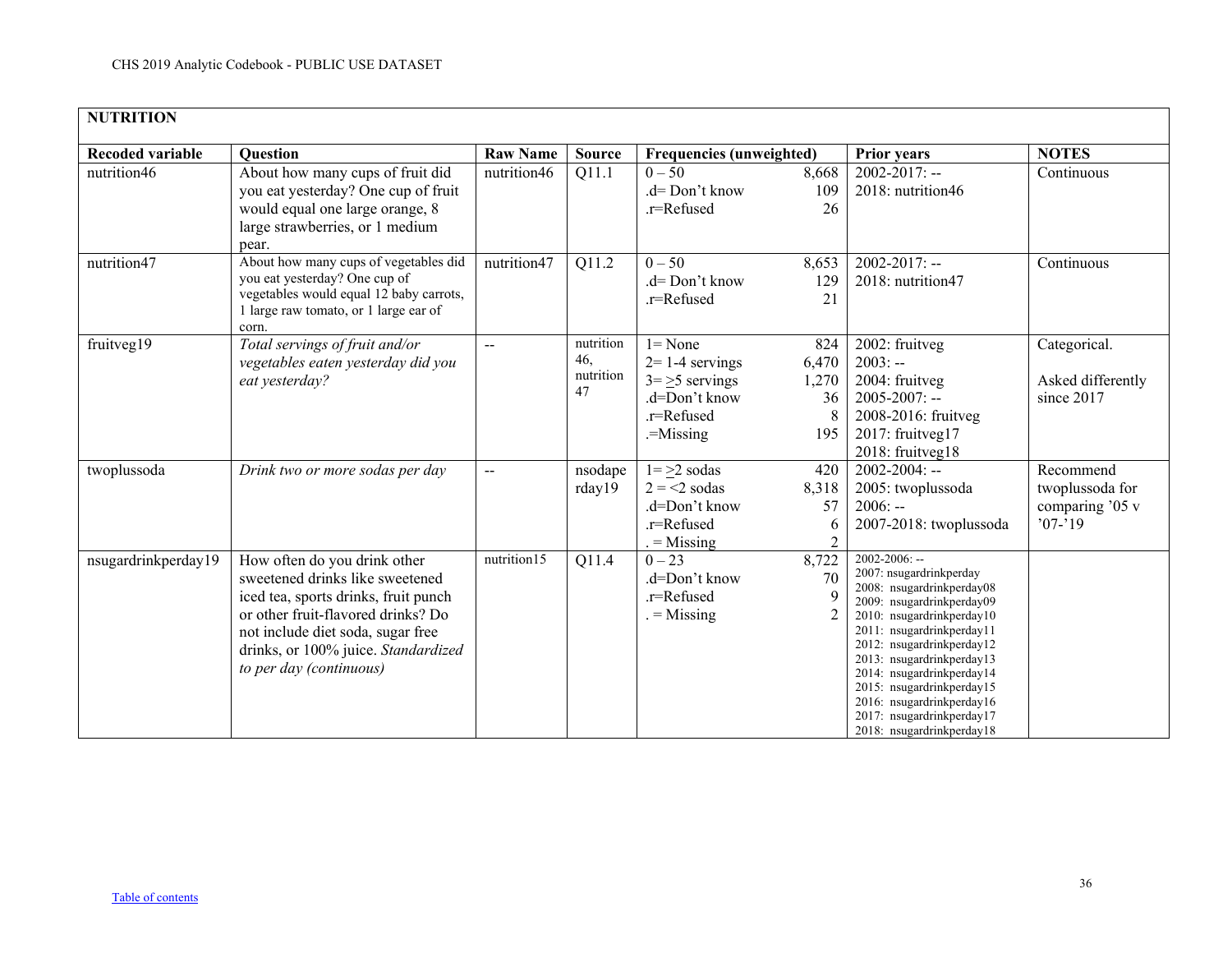<span id="page-35-0"></span>

| <b>NUTRITION</b>        |                                                                                                                                                                                                                                                      |                 |                                     |                                                                                                 |                                           |                                                                                                                                                                                                                                                                                                                                                                              |                                                               |
|-------------------------|------------------------------------------------------------------------------------------------------------------------------------------------------------------------------------------------------------------------------------------------------|-----------------|-------------------------------------|-------------------------------------------------------------------------------------------------|-------------------------------------------|------------------------------------------------------------------------------------------------------------------------------------------------------------------------------------------------------------------------------------------------------------------------------------------------------------------------------------------------------------------------------|---------------------------------------------------------------|
| <b>Recoded variable</b> | <b>Question</b>                                                                                                                                                                                                                                      | <b>Raw Name</b> | <b>Source</b>                       | <b>Frequencies (unweighted)</b>                                                                 |                                           | <b>Prior years</b>                                                                                                                                                                                                                                                                                                                                                           | <b>NOTES</b>                                                  |
| nutrition46             | About how many cups of fruit did<br>you eat yesterday? One cup of fruit<br>would equal one large orange, 8<br>large strawberries, or 1 medium<br>pear.                                                                                               | nutrition46     | Q11.1                               | $0 - 50$<br>$d = Don't know$<br>.r=Refused                                                      | 8,668<br>109<br>26                        | $2002 - 2017$ : --<br>2018: nutrition46                                                                                                                                                                                                                                                                                                                                      | Continuous                                                    |
| nutrition47             | About how many cups of vegetables did<br>you eat yesterday? One cup of<br>vegetables would equal 12 baby carrots,<br>1 large raw tomato, or 1 large ear of<br>corn.                                                                                  | nutrition47     | Q11.2                               | $0 - 50$<br>.d= Don't know<br>.r=Refused                                                        | 8,653<br>129<br>21                        | $2002 - 2017$ : --<br>2018: nutrition47                                                                                                                                                                                                                                                                                                                                      | Continuous                                                    |
| fruitveg19              | Total servings of fruit and/or<br>vegetables eaten yesterday did you<br>eat yesterday?                                                                                                                                                               | $-$             | nutrition<br>46,<br>nutrition<br>47 | $l = None$<br>$2=1-4$ servings<br>$3 = 5$ servings<br>.d=Don't know<br>.r=Refused<br>$-Missing$ | 824<br>6,470<br>1,270<br>36<br>8<br>195   | 2002: fruitveg<br>$2003: -$<br>2004: fruitveg<br>$2005 - 2007$ : --<br>2008-2016: fruitveg<br>2017: fruitveg17<br>2018: fruitveg18                                                                                                                                                                                                                                           | Categorical.<br>Asked differently<br>since 2017               |
| twoplussoda             | Drink two or more sodas per day                                                                                                                                                                                                                      | $\overline{a}$  | nsodape<br>rday19                   | $1 = >2$ sodas<br>$2 = 2$ sodas<br>.d=Don't know<br>.r=Refused<br>$=$ Missing                   | 420<br>8,318<br>57<br>6<br>$\overline{2}$ | $2002 - 2004$ : --<br>2005: twoplussoda<br>$2006: -$<br>2007-2018: twoplussoda                                                                                                                                                                                                                                                                                               | Recommend<br>twoplussoda for<br>comparing '05 v<br>$'07 - 19$ |
| nsugardrinkperday19     | How often do you drink other<br>sweetened drinks like sweetened<br>iced tea, sports drinks, fruit punch<br>or other fruit-flavored drinks? Do<br>not include diet soda, sugar free<br>drinks, or 100% juice. Standardized<br>to per day (continuous) | nutrition15     | Q11.4                               | $0 - 23$<br>.d=Don't know<br>.r=Refused<br>$=$ Missing                                          | 8,722<br>70                               | $2002 - 2006$ : --<br>2007: nsugardrinkperday<br>2008: nsugardrinkperday08<br>2009: nsugardrinkperday09<br>2010: nsugardrinkperday10<br>2011: nsugardrinkperday11<br>2012: nsugardrinkperday12<br>2013: nsugardrinkperday13<br>2014: nsugardrinkperday14<br>2015: nsugardrinkperday15<br>2016: nsugardrinkperday16<br>2017: nsugardrinkperday17<br>2018: nsugardrinkperday18 |                                                               |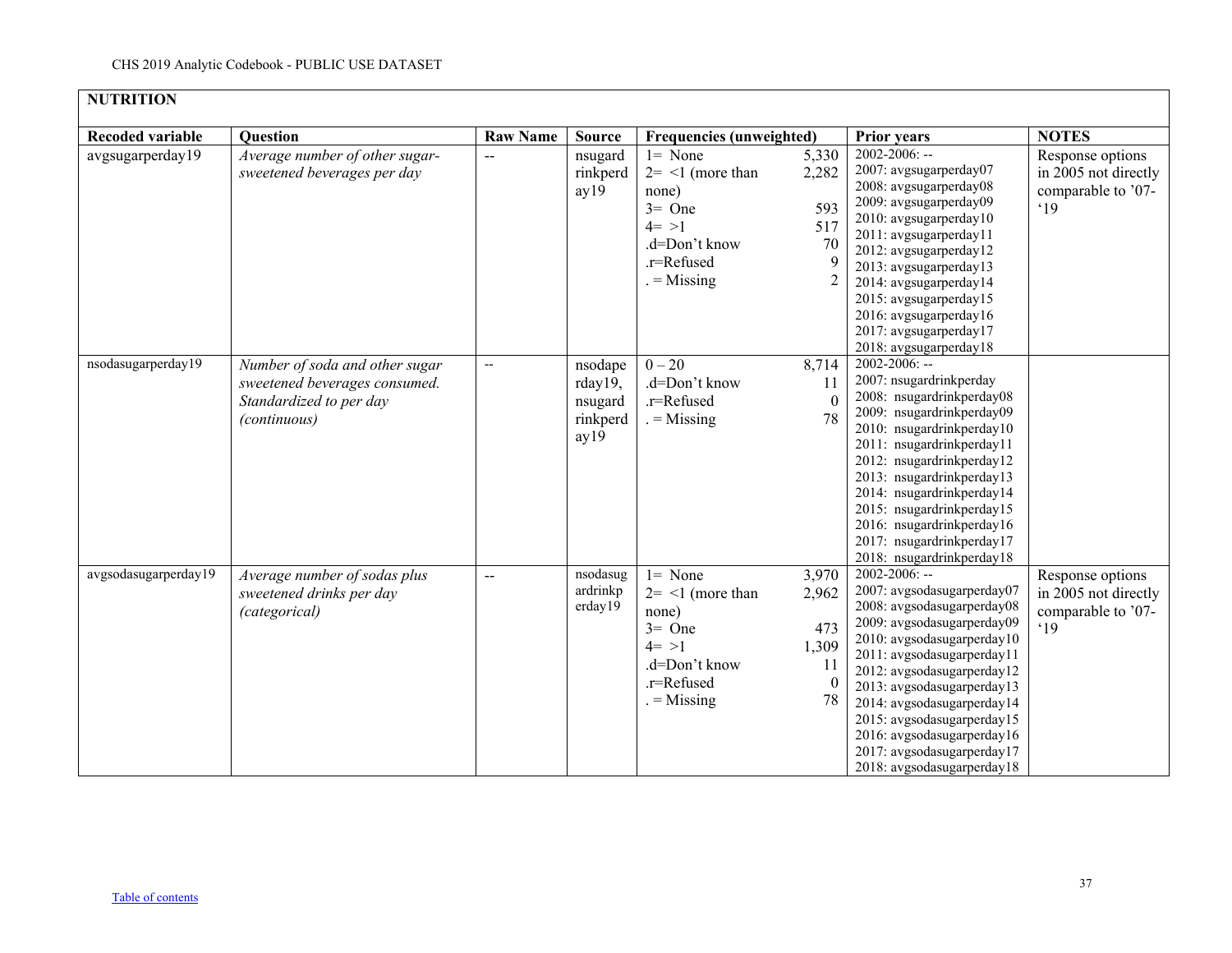| <b>NUTRITION</b>        |                                                                                                            |                 |                                                   |                                                                                                                                  |                                                        |                                                                                                                                                                                                                                                                                                                                                                                            |                                                                       |  |  |  |
|-------------------------|------------------------------------------------------------------------------------------------------------|-----------------|---------------------------------------------------|----------------------------------------------------------------------------------------------------------------------------------|--------------------------------------------------------|--------------------------------------------------------------------------------------------------------------------------------------------------------------------------------------------------------------------------------------------------------------------------------------------------------------------------------------------------------------------------------------------|-----------------------------------------------------------------------|--|--|--|
| <b>Recoded variable</b> | <b>Question</b>                                                                                            | <b>Raw Name</b> | <b>Source</b>                                     | <b>Frequencies (unweighted)</b>                                                                                                  |                                                        | Prior years                                                                                                                                                                                                                                                                                                                                                                                | <b>NOTES</b>                                                          |  |  |  |
| avgsugarperday19        | Average number of other sugar-<br>sweetened beverages per day                                              | $\overline{a}$  | nsugard<br>rinkperd<br>ay19                       | $l = None$<br>$2 = \langle 1 \rangle$ (more than<br>none)<br>$3=$ One<br>$4 = >1$<br>.d=Don't know<br>.r=Refused<br>$=$ Missing  | 5,330<br>2,282<br>593<br>517<br>70<br>9                | $2002 - 2006$ : --<br>2007: avgsugarperday07<br>2008: avgsugarperday08<br>2009: avgsugarperday09<br>2010: avgsugarperday10<br>2011: avgsugarperday11<br>2012: avgsugarperday12<br>2013: avgsugarperday13<br>2014: avgsugarperday14<br>2015: avgsugarperday15<br>2016: avgsugarperday16<br>2017: avgsugarperday17<br>2018: avgsugarperday18                                                 | Response options<br>in 2005 not directly<br>comparable to '07-<br>.19 |  |  |  |
| nsodasugarperday19      | Number of soda and other sugar<br>sweetened beverages consumed.<br>Standardized to per day<br>(continuous) | --              | nsodape<br>rday19,<br>nsugard<br>rinkperd<br>ay19 | $0 - 20$<br>.d=Don't know<br>.r=Refused<br>$=$ Missing                                                                           | 8,714<br>11<br>$\Omega$<br>78                          | 2002-2006: --<br>2007: nsugardrinkperday<br>2008: nsugardrinkperday08<br>2009: nsugardrinkperday09<br>2010: nsugardrinkperday10<br>2011: nsugardrinkperday11<br>2012: nsugardrinkperday12<br>2013: nsugardrinkperday13<br>2014: nsugardrinkperday14<br>2015: nsugardrinkperday15<br>2016: nsugardrinkperday16<br>2017: nsugardrinkperday17<br>2018: nsugardrinkperday18                    |                                                                       |  |  |  |
| avgsodasugarperday19    | Average number of sodas plus<br>sweetened drinks per day<br>(categorical)                                  |                 | nsodasug<br>ardrinkp<br>erday19                   | $l = None$<br>$2 = \langle 1 \rangle$ (more than<br>none)<br>$3 =$ One<br>$4 = >1$<br>.d=Don't know<br>.r=Refused<br>$=$ Missing | 3,970<br>2,962<br>473<br>1,309<br>11<br>$\theta$<br>78 | $2002 - 2006$ : --<br>2007: avgsodasugarperday07<br>2008: avgsodasugarperday08<br>2009: avgsodasugarperday09<br>2010: avgsodasugarperday10<br>2011: avgsodasugarperday11<br>2012: avgsodasugarperday12<br>2013: avgsodasugarperday13<br>2014: avgsodasugarperday14<br>2015: avgsodasugarperday15<br>2016: avgsodasugarperday16<br>2017: avgsodasugarperday17<br>2018: avgsodasugarperday18 | Response options<br>in 2005 not directly<br>comparable to '07-<br>.19 |  |  |  |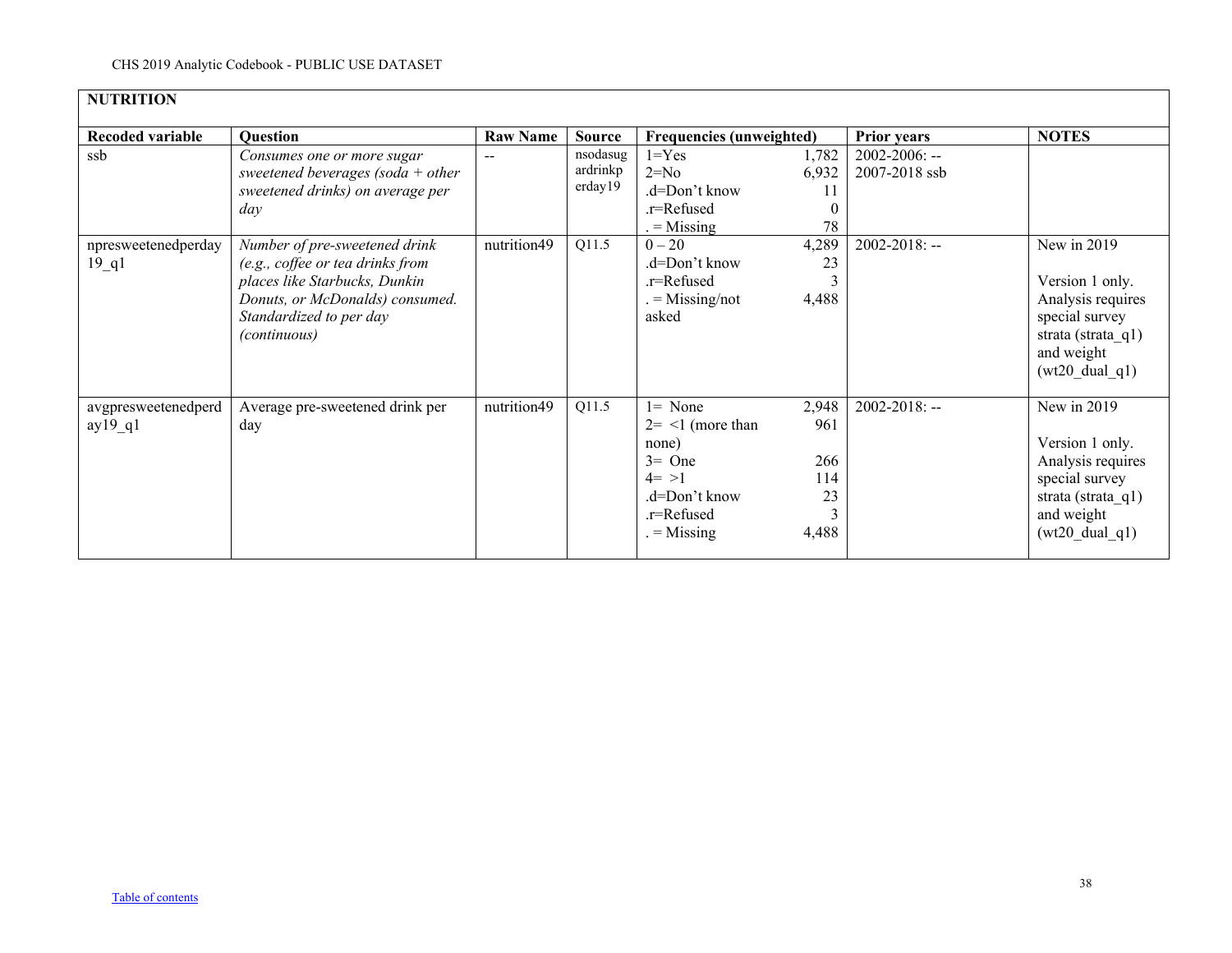| <b>NUTRITION</b>                          |                                                                                                                                                                                         |                 |                                 |                                                                                                                      |                                           |                                     |                                                                                                                                           |
|-------------------------------------------|-----------------------------------------------------------------------------------------------------------------------------------------------------------------------------------------|-----------------|---------------------------------|----------------------------------------------------------------------------------------------------------------------|-------------------------------------------|-------------------------------------|-------------------------------------------------------------------------------------------------------------------------------------------|
| <b>Recoded variable</b>                   | <b>Question</b>                                                                                                                                                                         | <b>Raw Name</b> | <b>Source</b>                   | <b>Frequencies (unweighted)</b>                                                                                      |                                           | <b>Prior years</b>                  | <b>NOTES</b>                                                                                                                              |
| ssb                                       | Consumes one or more sugar<br>sweetened beverages (soda + other<br>sweetened drinks) on average per<br>day                                                                              | --              | nsodasug<br>ardrinkp<br>erday19 | $1 = Yes$<br>$2=N0$<br>$d=Don't know$<br>.r=Refused<br>$=$ Missing                                                   | 1,782<br>6,932<br>11<br>78                | $2002 - 2006$ : --<br>2007-2018 ssb |                                                                                                                                           |
| npresweetenedperday<br>$19$ <sup>q1</sup> | Number of pre-sweetened drink<br>(e.g., coffee or tea drinks from<br>places like Starbucks, Dunkin<br>Donuts, or McDonalds) consumed.<br>Standardized to per day<br><i>(continuous)</i> | nutrition49     | Q11.5                           | $0 - 20$<br>.d=Don't know<br>.r=Refused<br>$=$ Missing/not<br>asked                                                  | 4,289<br>23<br>3<br>4,488                 | $2002 - 2018$ : --                  | New in 2019<br>Version 1 only.<br>Analysis requires<br>special survey<br>strata (strata $q1$ )<br>and weight<br>$(wt20 \text{ dual } q1)$ |
| avgpresweetenedperd<br>$ay19_q1$          | Average pre-sweetened drink per<br>day                                                                                                                                                  | nutrition49     | Q11.5                           | $l = None$<br>$2 = \leq 1$ (more than<br>none)<br>$3=$ One<br>$4 = >1$<br>.d=Don't know<br>.r=Refused<br>$=$ Missing | 2,948<br>961<br>266<br>114<br>23<br>4,488 | $2002 - 2018$ : --                  | New in 2019<br>Version 1 only.<br>Analysis requires<br>special survey<br>strata (strata $q1$ )<br>and weight<br>$(wt20_dual_q1)$          |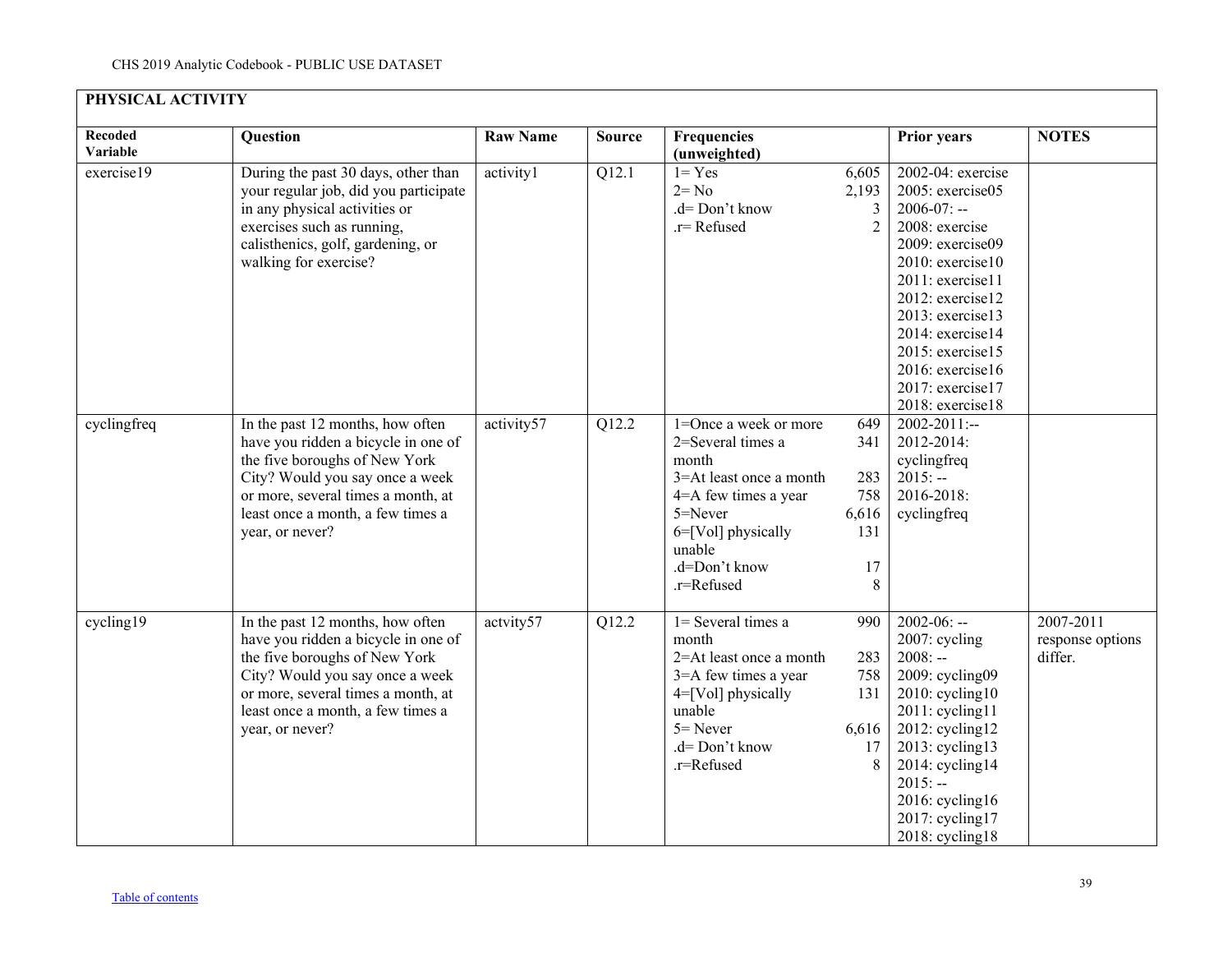<span id="page-38-0"></span>

| PHYSICAL ACTIVITY   |                                                                                                                                                                                                                                           |                 |               |                                                                                                                                                                                  |                                                     |                                                                                                                                                                                                                                                                                   |                                          |
|---------------------|-------------------------------------------------------------------------------------------------------------------------------------------------------------------------------------------------------------------------------------------|-----------------|---------------|----------------------------------------------------------------------------------------------------------------------------------------------------------------------------------|-----------------------------------------------------|-----------------------------------------------------------------------------------------------------------------------------------------------------------------------------------------------------------------------------------------------------------------------------------|------------------------------------------|
| Recoded<br>Variable | Question                                                                                                                                                                                                                                  | <b>Raw Name</b> | <b>Source</b> | Frequencies<br>(unweighted)                                                                                                                                                      |                                                     | <b>Prior years</b>                                                                                                                                                                                                                                                                | <b>NOTES</b>                             |
| exercise19          | During the past 30 days, other than<br>your regular job, did you participate<br>in any physical activities or<br>exercises such as running,<br>calisthenics, golf, gardening, or<br>walking for exercise?                                 | activity1       | Q12.1         | $1 = Yes$<br>$2 = No$<br>.d= Don't know<br>.r=Refused                                                                                                                            | 6,605<br>2,193<br>3<br>$\overline{2}$               | 2002-04: exercise<br>2005: exercise05<br>$2006 - 07: -$<br>2008: exercise<br>2009: exercise09<br>2010: exercise10<br>2011: exercise11<br>2012: exercise12<br>2013: exercise13<br>2014: exercise14<br>2015: exercise15<br>2016: exercise16<br>2017: exercise17<br>2018: exercise18 |                                          |
| cyclingfreq         | In the past 12 months, how often<br>have you ridden a bicycle in one of<br>the five boroughs of New York<br>City? Would you say once a week<br>or more, several times a month, at<br>least once a month, a few times a<br>year, or never? | activity57      | Q12.2         | 1=Once a week or more<br>2=Several times a<br>month<br>3=At least once a month<br>4=A few times a year<br>5=Never<br>6=[Vol] physically<br>unable<br>.d=Don't know<br>.r=Refused | 649<br>341<br>283<br>758<br>6,616<br>131<br>17<br>8 | $2002 - 2011$ :--<br>2012-2014:<br>cyclingfreq<br>$2015: -$<br>2016-2018:<br>cyclingfreq                                                                                                                                                                                          |                                          |
| cycling19           | In the past 12 months, how often<br>have you ridden a bicycle in one of<br>the five boroughs of New York<br>City? Would you say once a week<br>or more, several times a month, at<br>least once a month, a few times a<br>year, or never? | actvity57       | Q12.2         | 1= Several times a<br>month<br>2=At least once a month<br>3=A few times a year<br>$4 = [Vol]$ physically<br>unable<br>$5 =$ Never<br>.d= Don't know<br>.r=Refused                | 990<br>283<br>758<br>131<br>6,616<br>17<br>8        | $2002 - 06: -$<br>2007: cycling<br>$2008: -$<br>2009: cycling09<br>$2010$ : cycling $10$<br>2011: cycling11<br>$2012$ : cycling12<br>2013: cycling13<br>2014: cycling14<br>$2015: -$<br>$2016$ : cycling16<br>2017: cycling17<br>2018: cycling18                                  | 2007-2011<br>response options<br>differ. |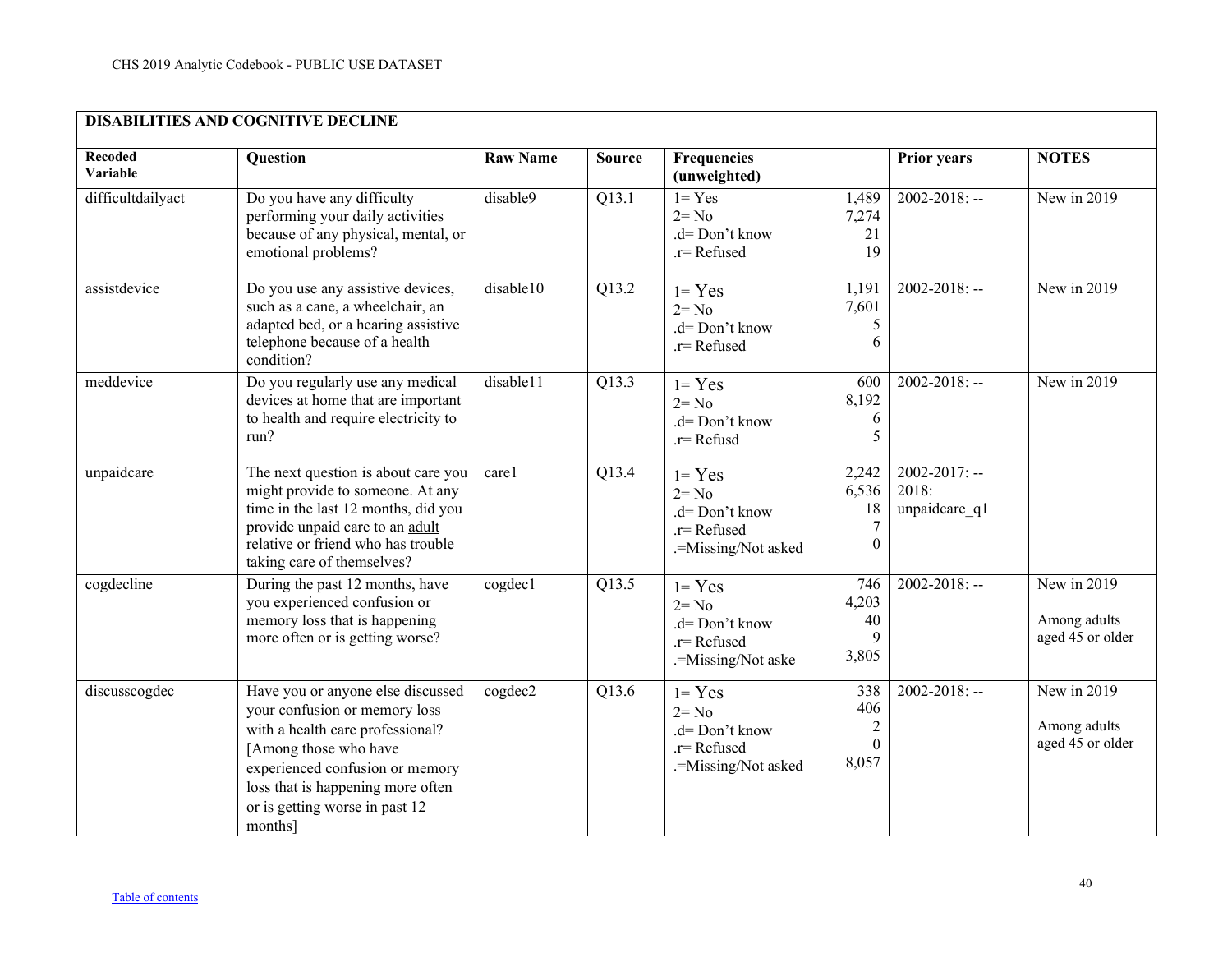<span id="page-39-0"></span>

| <b>DISABILITIES AND COGNITIVE DECLINE</b> |                                                                                                                                                                                                                                                      |                 |               |                                                                               |                                                   |                                              |                                                   |  |  |
|-------------------------------------------|------------------------------------------------------------------------------------------------------------------------------------------------------------------------------------------------------------------------------------------------------|-----------------|---------------|-------------------------------------------------------------------------------|---------------------------------------------------|----------------------------------------------|---------------------------------------------------|--|--|
| Recoded<br>Variable                       | Question                                                                                                                                                                                                                                             | <b>Raw Name</b> | <b>Source</b> | Frequencies<br>(unweighted)                                                   |                                                   | <b>Prior years</b>                           | <b>NOTES</b>                                      |  |  |
| difficultdailyact                         | Do you have any difficulty<br>performing your daily activities<br>because of any physical, mental, or<br>emotional problems?                                                                                                                         | disable9        | Q13.1         | $1 = Yes$<br>$2 = No$<br>$d = Don't know$<br>.r= Refused                      | 1,489<br>7,274<br>21<br>19                        | $2002 - 2018$ : --                           | New in 2019                                       |  |  |
| assistdevice                              | Do you use any assistive devices,<br>such as a cane, a wheelchair, an<br>adapted bed, or a hearing assistive<br>telephone because of a health<br>condition?                                                                                          | disable10       | Q13.2         | $1 = Yes$<br>$2 = No$<br>.d= Don't know<br>.r= Refused                        | 1,191<br>7,601<br>5<br>6                          | $2002 - 2018$ : --                           | New in 2019                                       |  |  |
| meddevice                                 | Do you regularly use any medical<br>devices at home that are important<br>to health and require electricity to<br>run?                                                                                                                               | disable11       | Q13.3         | $1 = Yes$<br>$2 = No$<br>.d= Don't know<br>.r= Refusd                         | 600<br>8,192<br>6<br>5                            | $2002 - 2018$ : --                           | New in 2019                                       |  |  |
| unpaidcare                                | The next question is about care you<br>might provide to someone. At any<br>time in the last 12 months, did you<br>provide unpaid care to an adult<br>relative or friend who has trouble<br>taking care of themselves?                                | carel           | Q13.4         | $1 = Yes$<br>$2 = No$<br>.d= Don't know<br>.r= Refused<br>.=Missing/Not asked | 2,242<br>6,536<br>18<br>7<br>$\Omega$             | $2002 - 2017$ : --<br>2018:<br>unpaidcare q1 |                                                   |  |  |
| cogdecline                                | During the past 12 months, have<br>you experienced confusion or<br>memory loss that is happening<br>more often or is getting worse?                                                                                                                  | cogdec1         | Q13.5         | $1 = Yes$<br>$2 = No$<br>.d= Don't know<br>.r= Refused<br>.=Missing/Not aske  | 746<br>4,203<br>40<br>3,805                       | $2002 - 2018$ : --                           | New in 2019<br>Among adults<br>aged 45 or older   |  |  |
| discusscogdec                             | Have you or anyone else discussed<br>your confusion or memory loss<br>with a health care professional?<br>[Among those who have<br>experienced confusion or memory<br>loss that is happening more often<br>or is getting worse in past 12<br>months] | cogdec2         | Q13.6         | $1 = Yes$<br>$2 = No$<br>.d= Don't know<br>.r= Refused<br>.=Missing/Not asked | 338<br>406<br>$\overline{2}$<br>$\Omega$<br>8,057 | $2002 - 2018$ : --                           | New in $2019$<br>Among adults<br>aged 45 or older |  |  |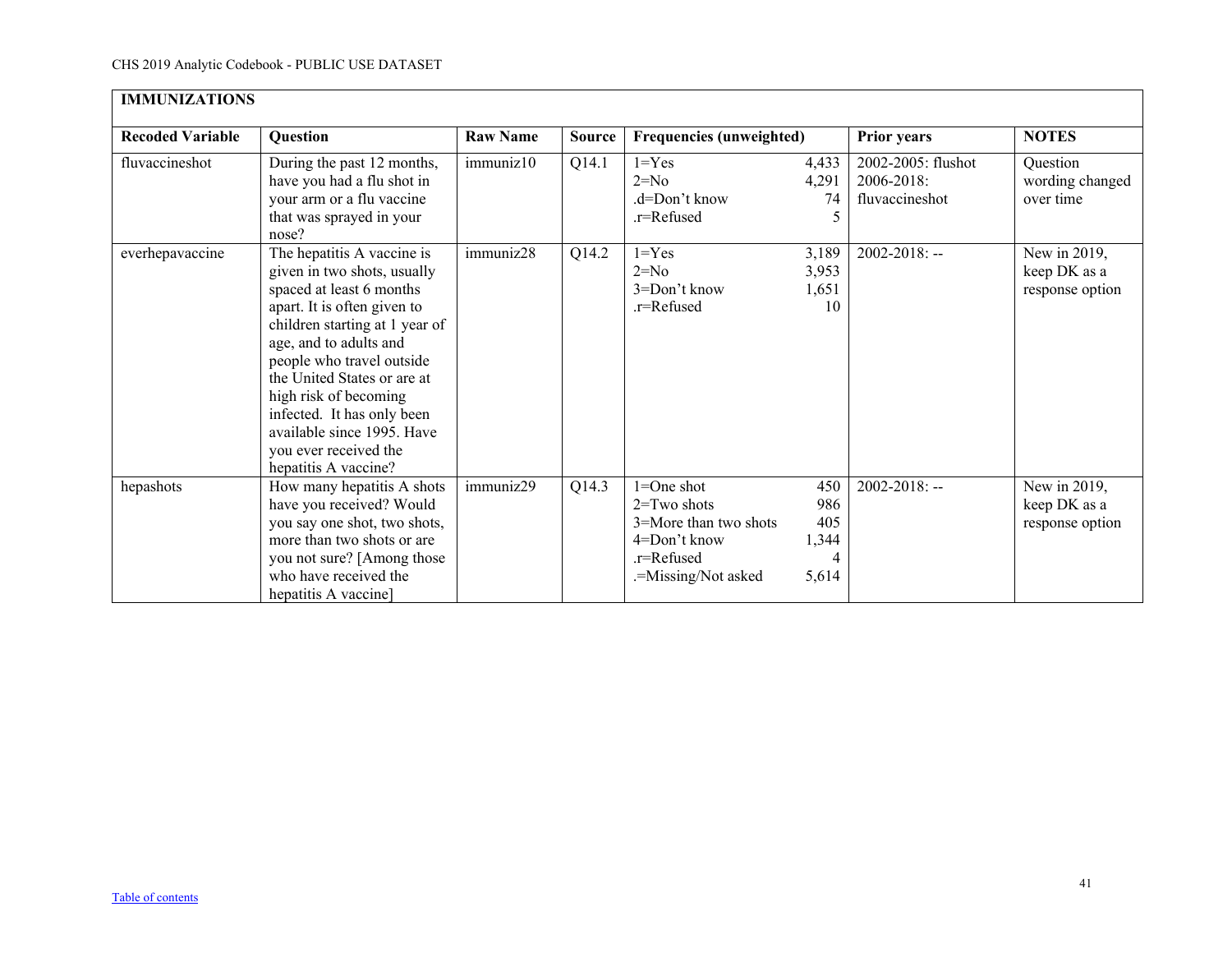<span id="page-40-0"></span>

| <b>IMMUNIZATIONS</b>    |                                                                                                                                                                                                                                                                                                                                                                                    |                 |               |                                                                                                             |                                                  |                                                    |                                                 |  |  |  |
|-------------------------|------------------------------------------------------------------------------------------------------------------------------------------------------------------------------------------------------------------------------------------------------------------------------------------------------------------------------------------------------------------------------------|-----------------|---------------|-------------------------------------------------------------------------------------------------------------|--------------------------------------------------|----------------------------------------------------|-------------------------------------------------|--|--|--|
| <b>Recoded Variable</b> | Question                                                                                                                                                                                                                                                                                                                                                                           | <b>Raw Name</b> | <b>Source</b> | <b>Frequencies (unweighted)</b>                                                                             |                                                  | <b>Prior years</b>                                 | <b>NOTES</b>                                    |  |  |  |
| fluvaccineshot          | During the past 12 months,<br>have you had a flu shot in<br>your arm or a flu vaccine<br>that was sprayed in your<br>nose?                                                                                                                                                                                                                                                         | immuniz10       | Q14.1         | $1 = Yes$<br>$2=N0$<br>.d=Don't know<br>.r=Refused                                                          | 4,433<br>4,291<br>74<br>$\overline{\mathcal{L}}$ | 2002-2005: flushot<br>2006-2018:<br>fluvaccineshot | Question<br>wording changed<br>over time        |  |  |  |
| everhepavaccine         | The hepatitis A vaccine is<br>given in two shots, usually<br>spaced at least 6 months<br>apart. It is often given to<br>children starting at 1 year of<br>age, and to adults and<br>people who travel outside<br>the United States or are at<br>high risk of becoming<br>infected. It has only been<br>available since 1995. Have<br>you ever received the<br>hepatitis A vaccine? | immuniz28       | Q14.2         | $1 = Yes$<br>$2=N0$<br>$3 =$ Don't know<br>.r=Refused                                                       | 3,189<br>3,953<br>1,651<br>10                    | 2002-2018: --                                      | New in 2019,<br>keep DK as a<br>response option |  |  |  |
| hepashots               | How many hepatitis A shots<br>have you received? Would<br>you say one shot, two shots,<br>more than two shots or are<br>you not sure? [Among those<br>who have received the<br>hepatitis A vaccine]                                                                                                                                                                                | immuniz29       | Q14.3         | 1=One shot<br>$2 = Two$ shots<br>3=More than two shots<br>4=Don't know<br>.r=Refused<br>.=Missing/Not asked | 450<br>986<br>405<br>1,344<br>4<br>5,614         | $2002 - 2018$ : --                                 | New in 2019,<br>keep DK as a<br>response option |  |  |  |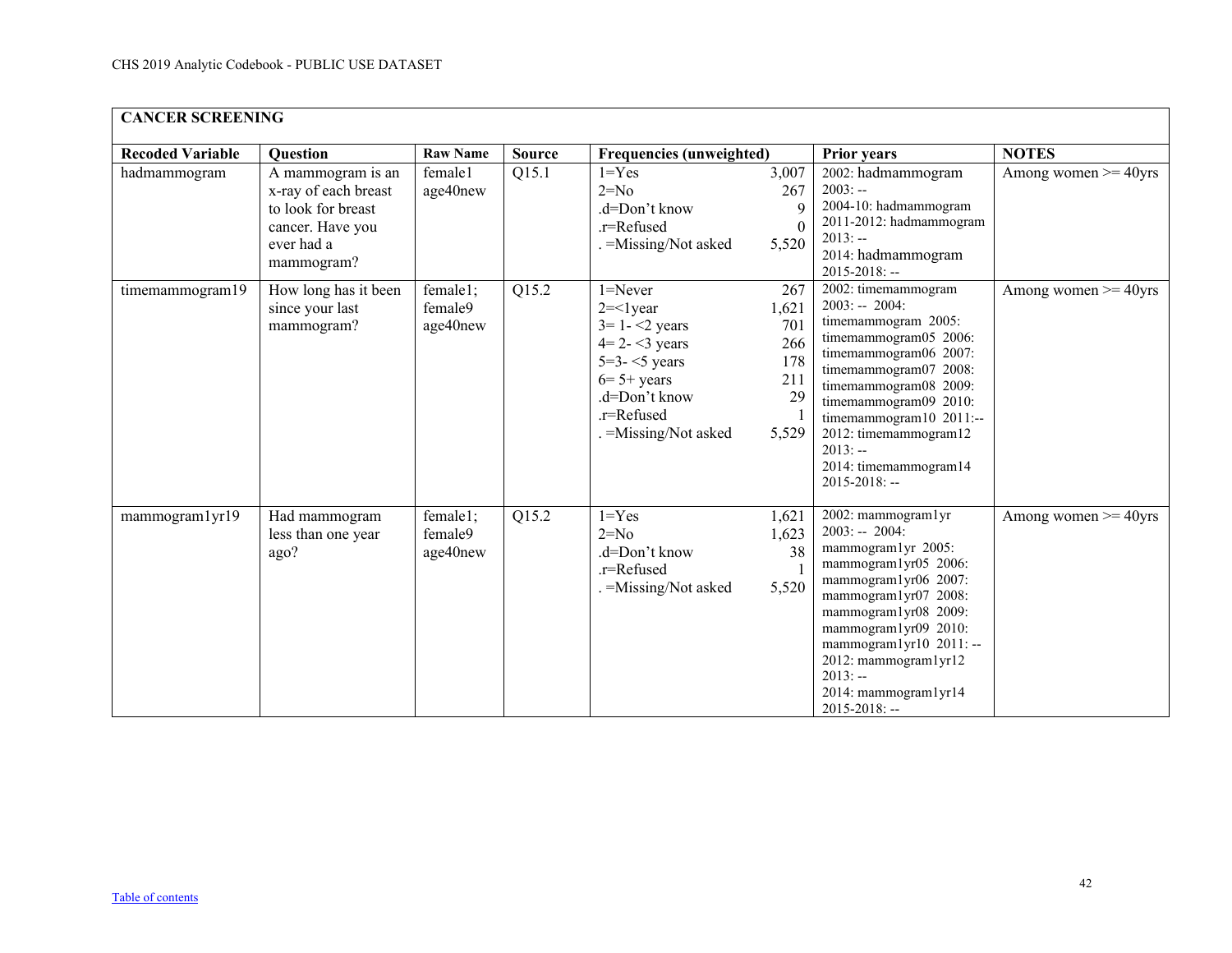<span id="page-41-0"></span>

| <b>CANCER SCREENING</b> |                                                                                                                 |                                 |               |                                                                                                                                                            |                                                         |                                                                                                                                                                                                                                                                                                            |                          |  |  |  |
|-------------------------|-----------------------------------------------------------------------------------------------------------------|---------------------------------|---------------|------------------------------------------------------------------------------------------------------------------------------------------------------------|---------------------------------------------------------|------------------------------------------------------------------------------------------------------------------------------------------------------------------------------------------------------------------------------------------------------------------------------------------------------------|--------------------------|--|--|--|
| <b>Recoded Variable</b> | Question                                                                                                        | <b>Raw Name</b>                 | <b>Source</b> | <b>Frequencies (unweighted)</b>                                                                                                                            |                                                         | <b>Prior years</b>                                                                                                                                                                                                                                                                                         | <b>NOTES</b>             |  |  |  |
| hadmammogram            | A mammogram is an<br>x-ray of each breast<br>to look for breast<br>cancer. Have you<br>ever had a<br>mammogram? | female1<br>age40new             | Q15.1         | $1 = Yes$<br>$2=N0$<br>.d=Don't know<br>.r=Refused<br>. = Missing/Not asked                                                                                | 3,007<br>267<br>9<br>$\Omega$<br>5,520                  | 2002: hadmammogram<br>$2003: -$<br>2004-10: hadmammogram<br>2011-2012: hadmammogram<br>$2013: -$<br>2014: hadmammogram<br>$2015 - 2018$ : --                                                                                                                                                               | Among women $\geq$ 40yrs |  |  |  |
| timemammogram19         | How long has it been<br>since your last<br>mammogram?                                                           | female1;<br>female9<br>age40new | Q15.2         | $1 =$ Never<br>$2 = 1$ year<br>$3 = 1 - 2$ years<br>$4=2-3$ years<br>$5=3-5$ years<br>$6=5+$ years<br>.d=Don't know<br>.r=Refused<br>. = Missing/Not asked | 267<br>1,621<br>701<br>266<br>178<br>211<br>29<br>5,529 | 2002: timemammogram<br>$2003: - 2004:$<br>timemammogram 2005:<br>timemammogram05 2006:<br>timemammogram06 2007:<br>timemammogram07 2008:<br>timemammogram08 2009:<br>timemammogram09 2010:<br>timemammogram10 2011:--<br>2012: timemammogram12<br>$2013: -$<br>2014: timemammogram14<br>$2015 - 2018$ : -- | Among women $\geq$ 40yrs |  |  |  |
| mammogram1yr19          | Had mammogram<br>less than one year<br>ago?                                                                     | female1;<br>female9<br>age40new | Q15.2         | $1 = Yes$<br>$2=N0$<br>.d=Don't know<br>.r=Refused<br>. = Missing/Not asked                                                                                | 1,621<br>1,623<br>38<br>5,520                           | 2002: mammogram1yr<br>$2003: - 2004:$<br>mammogram1yr 2005:<br>mammogram1yr05 2006:<br>mammogram1yr06 2007:<br>mammogram1yr07 2008:<br>mammogram1yr08 2009:<br>mammogram1yr09 2010:<br>mammogram1yr10 2011: --<br>2012: mammogram1yr12<br>$2013: -$<br>2014: mammogram1yr14<br>$2015 - 2018$ : --          | Among women $\geq$ 40yrs |  |  |  |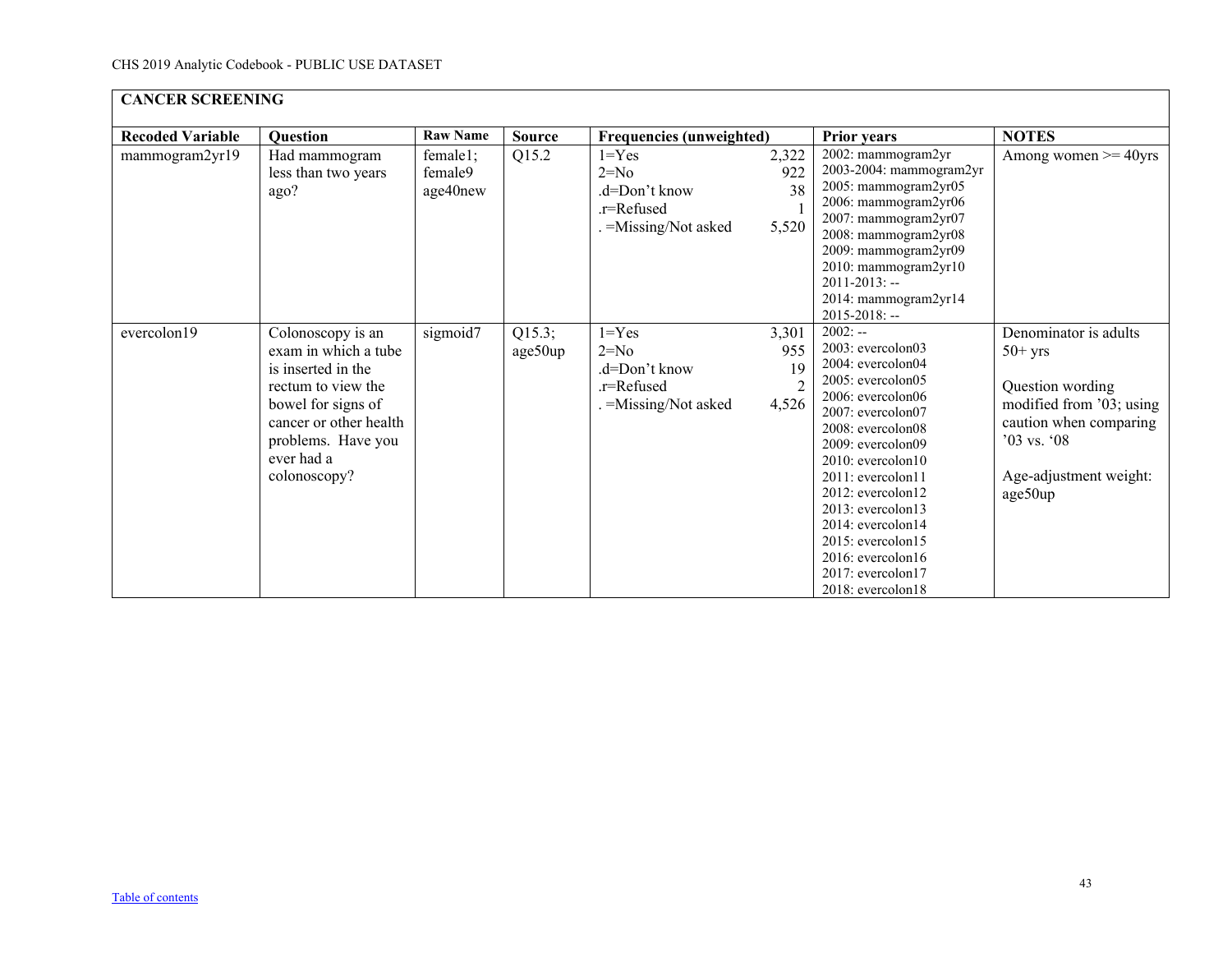|                         | <b>CANCER SCREENING</b>                                                                                                                                                                   |                                 |                   |                                                                             |                             |                                                                                                                                                                                                                                                                                                                                                                                                                       |                                                                                                                                                                      |  |  |  |  |
|-------------------------|-------------------------------------------------------------------------------------------------------------------------------------------------------------------------------------------|---------------------------------|-------------------|-----------------------------------------------------------------------------|-----------------------------|-----------------------------------------------------------------------------------------------------------------------------------------------------------------------------------------------------------------------------------------------------------------------------------------------------------------------------------------------------------------------------------------------------------------------|----------------------------------------------------------------------------------------------------------------------------------------------------------------------|--|--|--|--|
| <b>Recoded Variable</b> | <b>Question</b>                                                                                                                                                                           | <b>Raw Name</b>                 | <b>Source</b>     | <b>Frequencies (unweighted)</b>                                             |                             | <b>Prior years</b>                                                                                                                                                                                                                                                                                                                                                                                                    | <b>NOTES</b>                                                                                                                                                         |  |  |  |  |
| mammogram2yr19          | Had mammogram<br>less than two years<br>ago?                                                                                                                                              | female1;<br>female9<br>age40new | Q15.2             | $1 = Yes$<br>$2=N0$<br>.d=Don't know<br>.r=Refused<br>. = Missing/Not asked | 2,322<br>922<br>38<br>5,520 | 2002: mammogram2yr<br>2003-2004: mammogram2yr<br>2005: mammogram2yr05<br>2006: mammogram2yr06<br>2007: mammogram2yr07<br>2008: mammogram2yr08<br>2009: mammogram2yr09<br>2010: mammogram2yr10<br>$2011 - 2013$ : --<br>2014: mammogram2yr14<br>$2015 - 2018$ : --                                                                                                                                                     | Among women $\geq$ 40yrs                                                                                                                                             |  |  |  |  |
| evercolon19             | Colonoscopy is an<br>exam in which a tube<br>is inserted in the<br>rectum to view the<br>bowel for signs of<br>cancer or other health<br>problems. Have you<br>ever had a<br>colonoscopy? | sigmoid7                        | Q15.3;<br>age50up | $1 = Yes$<br>$2=N0$<br>.d=Don't know<br>.r=Refused<br>. = Missing/Not asked | 3,301<br>955<br>19<br>4,526 | $2002:$ —<br>$2003$ : evercolon $03$<br>$2004$ : evercolon $04$<br>2005: evercolon05<br>2006: evercolon06<br>2007: evercolon07<br>2008: evercolon08<br>$2009$ : evercolon $09$<br>$2010$ : evercolon $10$<br>$2011$ : evercolon $11$<br>$2012$ : evercolon $12$<br>$2013$ : evercolon $13$<br>2014: evercolon14<br>$2015$ : evercolon $15$<br>$2016$ : evercolon $16$<br>$2017$ : evercolon $17$<br>2018: evercolon18 | Denominator is adults<br>$50+$ yrs<br>Question wording<br>modified from '03; using<br>caution when comparing<br>$'03$ vs. $'08$<br>Age-adjustment weight:<br>age50up |  |  |  |  |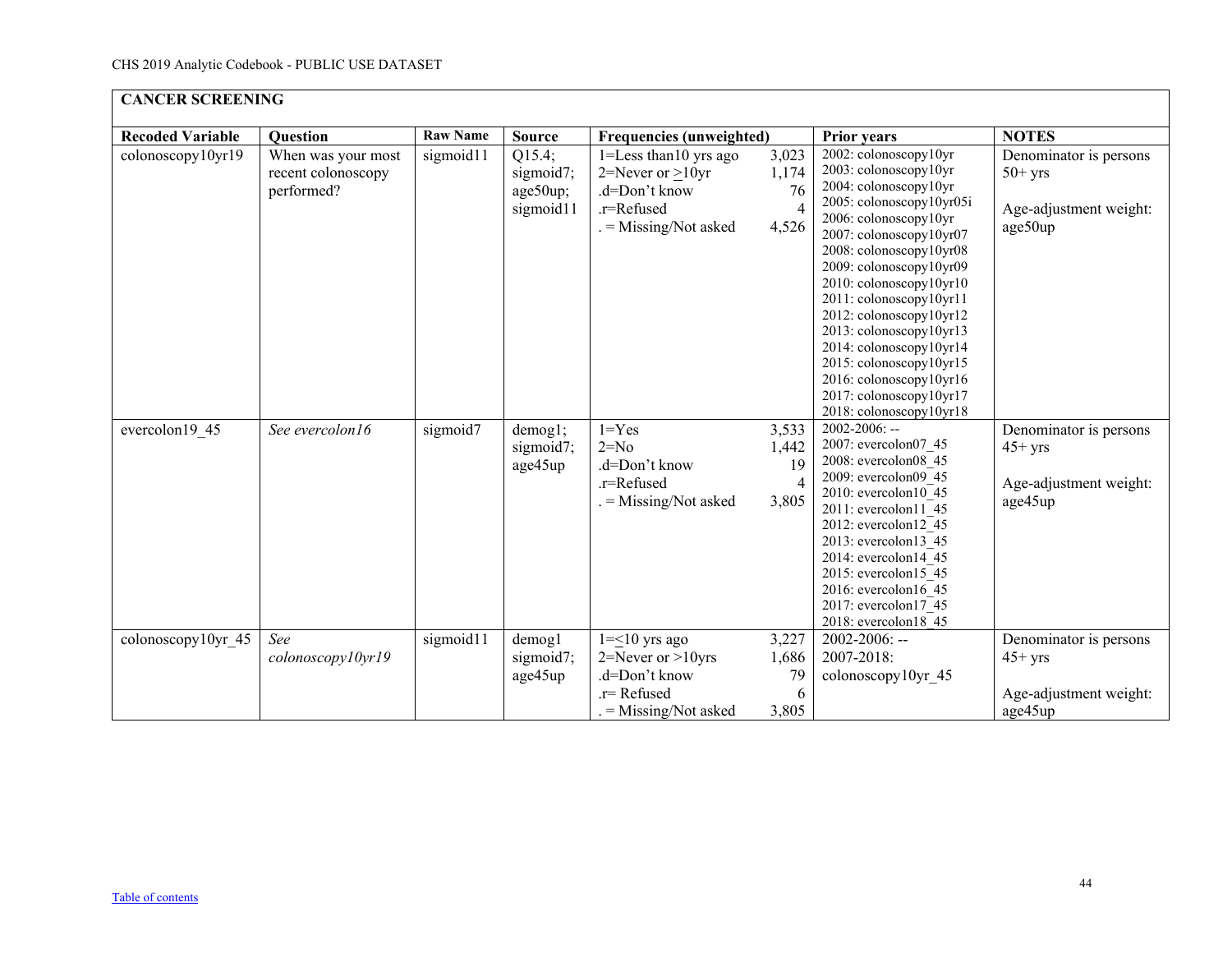| <b>CANCER SCREENING</b> |                                                        |                 |                                              |                                                                                                              |                                                 |                                                                                                                                                                                                                                                                                                                                                                                                                                                                  |                                                                          |  |  |  |
|-------------------------|--------------------------------------------------------|-----------------|----------------------------------------------|--------------------------------------------------------------------------------------------------------------|-------------------------------------------------|------------------------------------------------------------------------------------------------------------------------------------------------------------------------------------------------------------------------------------------------------------------------------------------------------------------------------------------------------------------------------------------------------------------------------------------------------------------|--------------------------------------------------------------------------|--|--|--|
| <b>Recoded Variable</b> | <b>Question</b>                                        | <b>Raw Name</b> | <b>Source</b>                                | <b>Frequencies (unweighted)</b>                                                                              |                                                 | <b>Prior years</b>                                                                                                                                                                                                                                                                                                                                                                                                                                               | <b>NOTES</b>                                                             |  |  |  |
| colonoscopy10yr19       | When was your most<br>recent colonoscopy<br>performed? | sigmoid11       | Q15.4;<br>sigmoid7;<br>age50up;<br>sigmoid11 | $1 =$ Less than 10 yrs ago<br>2=Never or $\geq$ 10yr<br>.d=Don't know<br>.r=Refused<br>$=$ Missing/Not asked | 3,023<br>1,174<br>76<br>4,526                   | 2002: colonoscopy10yr<br>2003: colonoscopy10yr<br>2004: colonoscopy10yr<br>2005: colonoscopy10yr05i<br>2006: colonoscopy10yr<br>2007: colonoscopy10yr07<br>2008: colonoscopy10yr08<br>2009: colonoscopy10yr09<br>2010: colonoscopy10yr10<br>2011: colonoscopy10yr11<br>2012: colonoscopy10yr12<br>2013: colonoscopy10yr13<br>2014: colonoscopy10yr14<br>2015: colonoscopy10yr15<br>2016: colonoscopy10yr16<br>2017: colonoscopy10yr17<br>2018: colonoscopy10yr18 | Denominator is persons<br>$50+$ yrs<br>Age-adjustment weight:<br>age50up |  |  |  |
| evercolon19 45          | See evercolon16                                        | sigmoid7        | demog1;<br>sigmoid7;<br>age45up              | $1 = Yes$<br>$2=No$<br>.d=Don't know<br>.r=Refused<br>$=$ Missing/Not asked                                  | 3,533<br>1,442<br>19<br>$\overline{4}$<br>3,805 | $2002 - 2006$ : --<br>2007: evercolon07 45<br>2008: evercolon08 45<br>2009: evercolon09 45<br>2010: evercolon10 45<br>$2011:$ evercolon $11$ 45<br>2012: evercolon12_45<br>2013: evercolon13 45<br>2014: evercolon14 45<br>2015: evercolon15 45<br>2016: evercolon16 45<br>2017: evercolon17_45<br>2018: evercolon18 45                                                                                                                                          | Denominator is persons<br>$45+$ yrs<br>Age-adjustment weight:<br>age45up |  |  |  |
| colonoscopy10yr 45      | See<br>colonoscopy10yr19                               | sigmoid11       | demog1<br>sigmoid7;<br>age45up               | $1 = \leq 10$ yrs ago<br>$2 =$ Never or $>10$ yrs<br>.d=Don't know<br>$r =$ Refused<br>$=$ Missing/Not asked | 3,227<br>1,686<br>79<br>6<br>3,805              | $2002 - 2006$ : --<br>2007-2018:<br>colonoscopy10yr 45                                                                                                                                                                                                                                                                                                                                                                                                           | Denominator is persons<br>$45+$ yrs<br>Age-adjustment weight:<br>age45up |  |  |  |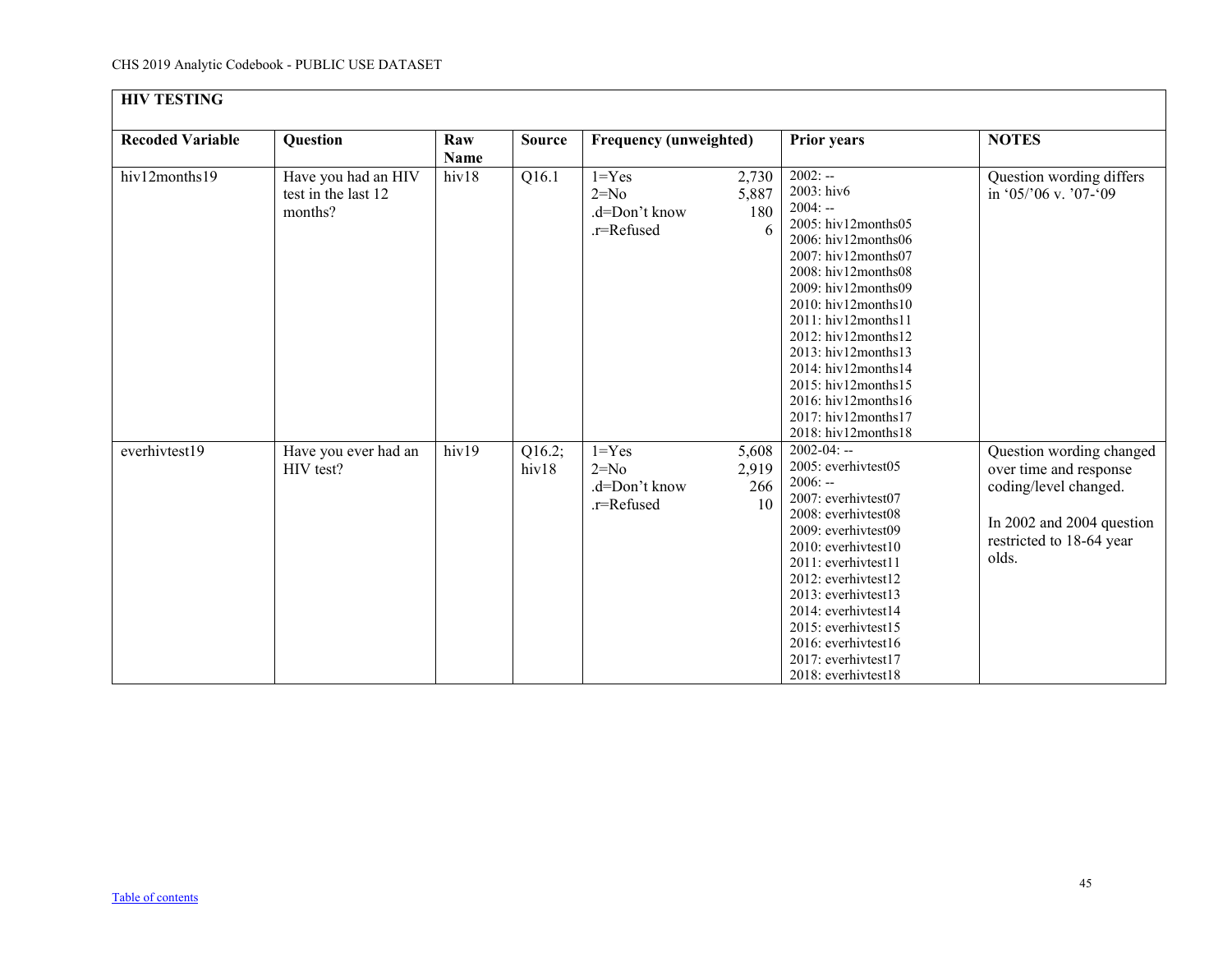<span id="page-44-0"></span>

| <b>HIV TESTING</b>      |                                                       |                    |                 |                                                    |                             |                                                                                                                                                                                                                                                                                                                                                                                                                                       |                                                                                                                                               |
|-------------------------|-------------------------------------------------------|--------------------|-----------------|----------------------------------------------------|-----------------------------|---------------------------------------------------------------------------------------------------------------------------------------------------------------------------------------------------------------------------------------------------------------------------------------------------------------------------------------------------------------------------------------------------------------------------------------|-----------------------------------------------------------------------------------------------------------------------------------------------|
| <b>Recoded Variable</b> | Question                                              | Raw<br><b>Name</b> | <b>Source</b>   | <b>Frequency (unweighted)</b>                      |                             | <b>Prior years</b>                                                                                                                                                                                                                                                                                                                                                                                                                    | <b>NOTES</b>                                                                                                                                  |
| hiv12months19           | Have you had an HIV<br>test in the last 12<br>months? | hiv18              | Q16.1           | $1 = Yes$<br>$2=N0$<br>.d=Don't know<br>.r=Refused | 2,730<br>5,887<br>180<br>6  | $2002: -$<br>2003: hiv6<br>$2004: -$<br>$2005$ : hiv12months05<br>2006: hiv12months06<br>2007: hiv12months07<br>$2008$ : hiv $12$ months $08$<br>2009: hiv12months09<br>$2010$ : hiv $12$ months $10$<br>2011: hiv12months11<br>$2012$ : hiv $12$ months $12$<br>2013: hiv12months13<br>$2014$ : hiv $12$ months $14$<br>$2015$ : hiv $12$ months $15$<br>2016: hiv12months16<br>$2017$ : hiv $12$ months $17$<br>2018: hiv12months18 | Question wording differs<br>in '05/'06 v. '07-'09                                                                                             |
| everhivtest19           | Have you ever had an<br>HIV test?                     | hiv19              | Q16.2;<br>hiv18 | $1 = Yes$<br>$2=No$<br>.d=Don't know<br>.r=Refused | 5,608<br>2,919<br>266<br>10 | $2002 - 04: -$<br>2005: everhivtest05<br>$2006: -$<br>2007: everhivtest07<br>2008: everhivtest08<br>2009: everhivtest09<br>2010: everhivtest10<br>2011: everhivtest11<br>2012: everhivtest12<br>2013: everhivtest13<br>2014: everhivtest14<br>2015: everhivtest15<br>2016: everhivtest16<br>2017: everhivtest17<br>2018: everhivtest18                                                                                                | Question wording changed<br>over time and response<br>coding/level changed.<br>In 2002 and 2004 question<br>restricted to 18-64 year<br>olds. |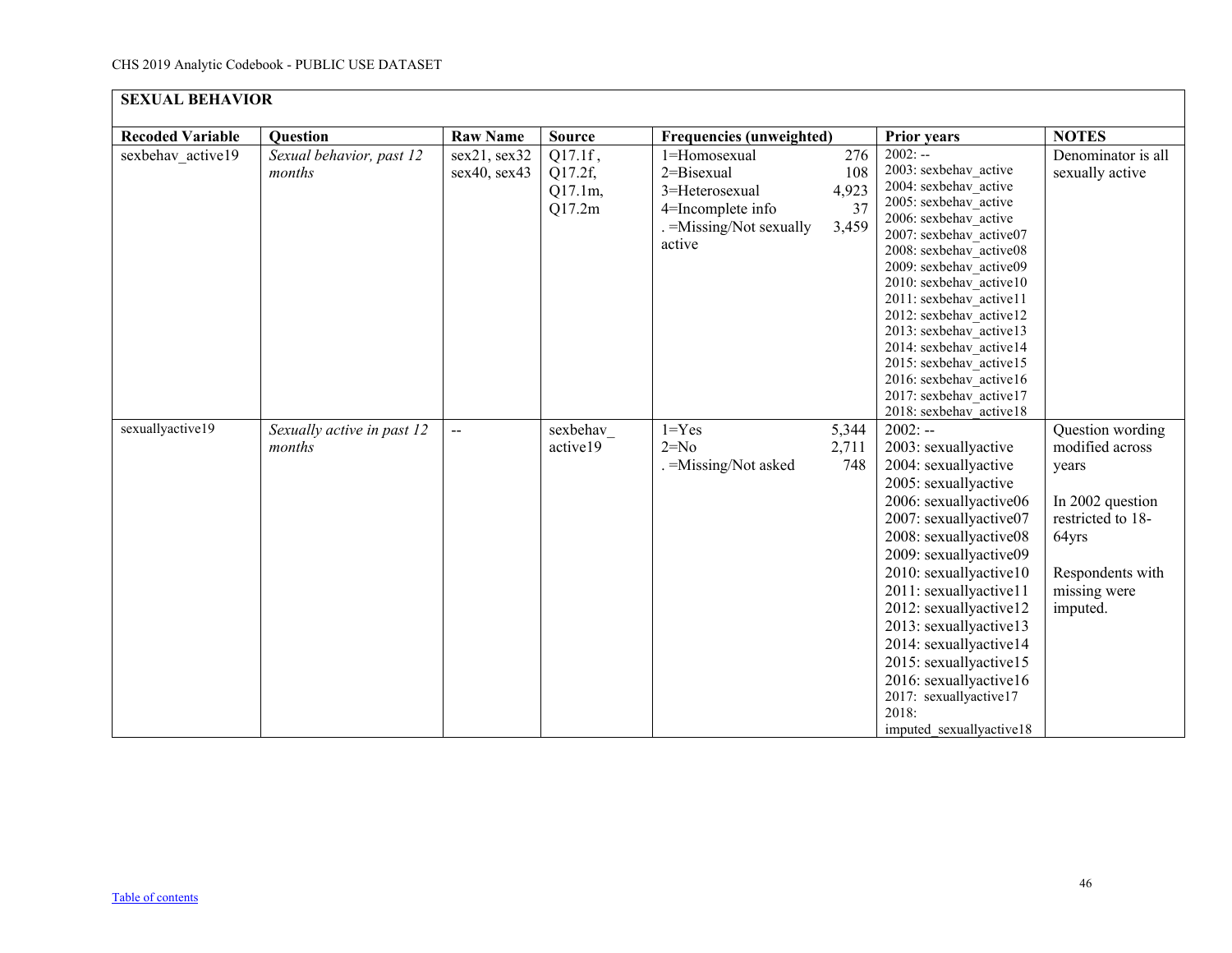<span id="page-45-0"></span>

| <b>SEXUAL BEHAVIOR</b>  |                                      |                              |                                         |                                                                                                         |                                    |                                                                                                                                                                                                                                                                                                                                                                                                                                                   |                                                                                                                                                |
|-------------------------|--------------------------------------|------------------------------|-----------------------------------------|---------------------------------------------------------------------------------------------------------|------------------------------------|---------------------------------------------------------------------------------------------------------------------------------------------------------------------------------------------------------------------------------------------------------------------------------------------------------------------------------------------------------------------------------------------------------------------------------------------------|------------------------------------------------------------------------------------------------------------------------------------------------|
| <b>Recoded Variable</b> | Question                             | <b>Raw Name</b>              | <b>Source</b>                           | <b>Frequencies (unweighted)</b>                                                                         |                                    | <b>Prior years</b>                                                                                                                                                                                                                                                                                                                                                                                                                                | <b>NOTES</b>                                                                                                                                   |
| sexbehav active19       | Sexual behavior, past 12<br>months   | sex21, sex32<br>sex40, sex43 | Q17.1f,<br>Q17.2f,<br>Q17.1m,<br>Q17.2m | 1=Homosexual<br>2=Bisexual<br>3=Heterosexual<br>4=Incomplete info<br>. = Missing/Not sexually<br>active | 276<br>108<br>4,923<br>37<br>3,459 | $2002: -$<br>2003: sexbehav active<br>2004: sexbehav active<br>2005: sexbehav active<br>2006: sexbehav active<br>2007: sexbehav active07<br>2008: sexbehav active08<br>2009: sexbehav active09<br>2010: sexbehav active10<br>2011: sexbehav active11<br>2012: sexbehav active12<br>2013: sexbehav active13<br>2014: sexbehav active14<br>2015: sexbehav active15<br>2016: sexbehav active16<br>2017: sexbehav active17<br>2018: sexbehav active18 | Denominator is all<br>sexually active                                                                                                          |
| sexuallyactive19        | Sexually active in past 12<br>months | $\overline{\phantom{a}}$     | sexbehav<br>active19                    | $1 = Yes$<br>$2=No$<br>. = Missing/Not asked                                                            | 5,344<br>2,711<br>748              | $2002: -$<br>2003: sexuallyactive<br>2004: sexuallyactive<br>2005: sexuallyactive<br>2006: sexuallyactive06<br>2007: sexuallyactive07<br>2008: sexuallyactive08<br>2009: sexuallyactive09<br>2010: sexuallyactive10<br>2011: sexuallyactive11<br>2012: sexuallyactive12<br>2013: sexuallyactive13<br>2014: sexuallyactive14<br>2015: sexuallyactive15<br>2016: sexuallyactive16<br>2017: sexuallyactive17<br>2018:<br>imputed sexually active 18  | Question wording<br>modified across<br>years<br>In 2002 question<br>restricted to 18-<br>64yrs<br>Respondents with<br>missing were<br>imputed. |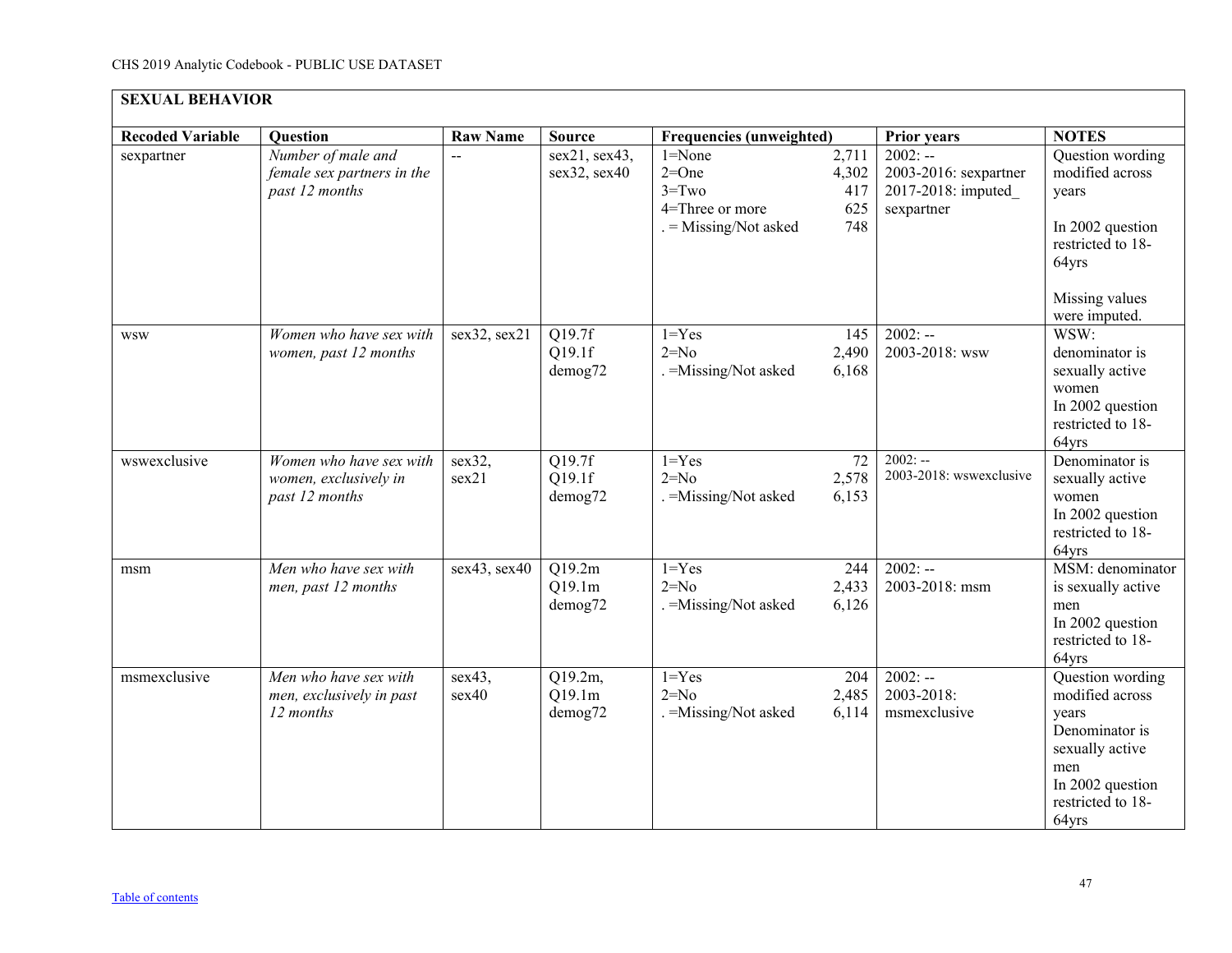| <b>SEXUAL BEHAVIOR</b>  |                                                                    |                 |                               |                                                                                |                                     |                                                                        |                                                                                                                                            |  |  |
|-------------------------|--------------------------------------------------------------------|-----------------|-------------------------------|--------------------------------------------------------------------------------|-------------------------------------|------------------------------------------------------------------------|--------------------------------------------------------------------------------------------------------------------------------------------|--|--|
| <b>Recoded Variable</b> | <b>Question</b>                                                    | <b>Raw Name</b> | <b>Source</b>                 | <b>Frequencies (unweighted)</b>                                                |                                     | <b>Prior years</b>                                                     | <b>NOTES</b>                                                                                                                               |  |  |
| sexpartner              | Number of male and<br>female sex partners in the<br>past 12 months |                 | sex21, sex43,<br>sex32, sex40 | $1 = None$<br>$2=One$<br>$3 = Two$<br>4=Three or more<br>. = Missing/Not asked | 2,711<br>4,302<br>417<br>625<br>748 | $2002: -$<br>2003-2016: sexpartner<br>2017-2018: imputed<br>sexpartner | Question wording<br>modified across<br>years<br>In 2002 question<br>restricted to 18-<br>64yrs<br>Missing values<br>were imputed.          |  |  |
| <b>WSW</b>              | Women who have sex with<br>women, past 12 months                   | sex32, sex21    | Q19.7f<br>Q19.1f<br>demog72   | $1 = Yes$<br>$2=N0$<br>. = Missing/Not asked                                   | 145<br>2,490<br>6,168               | $2002: -$<br>2003-2018: wsw                                            | WSW:<br>denominator is<br>sexually active<br>women<br>In 2002 question<br>restricted to 18-<br>64yrs                                       |  |  |
| wswexclusive            | Women who have sex with<br>women, exclusively in<br>past 12 months | sex32,<br>sex21 | Q19.7f<br>Q19.1f<br>demog72   | $1 = Yes$<br>$2=N0$<br>. = Missing/Not asked                                   | $\overline{72}$<br>2,578<br>6,153   | $2002: -$<br>2003-2018: wswexclusive                                   | Denominator is<br>sexually active<br>women<br>In 2002 question<br>restricted to 18-<br>64yrs                                               |  |  |
| msm                     | Men who have sex with<br>men, past 12 months                       | sex43, sex40    | Q19.2m<br>Q19.1m<br>demog72   | $1 = Yes$<br>$2=No$<br>. = Missing/Not asked                                   | 244<br>2,433<br>6,126               | $2002: -$<br>2003-2018: msm                                            | MSM: denominator<br>is sexually active<br>men<br>In 2002 question<br>restricted to 18-<br>64yrs                                            |  |  |
| msmexclusive            | Men who have sex with<br>men, exclusively in past<br>12 months     | sex43,<br>sex40 | Q19.2m,<br>Q19.1m<br>demog72  | $1 = Yes$<br>$2=N0$<br>. = Missing/Not asked                                   | 204<br>2,485<br>6,114               | $2002: -$<br>2003-2018:<br>msmexclusive                                | Question wording<br>modified across<br>years<br>Denominator is<br>sexually active<br>men<br>In 2002 question<br>restricted to 18-<br>64yrs |  |  |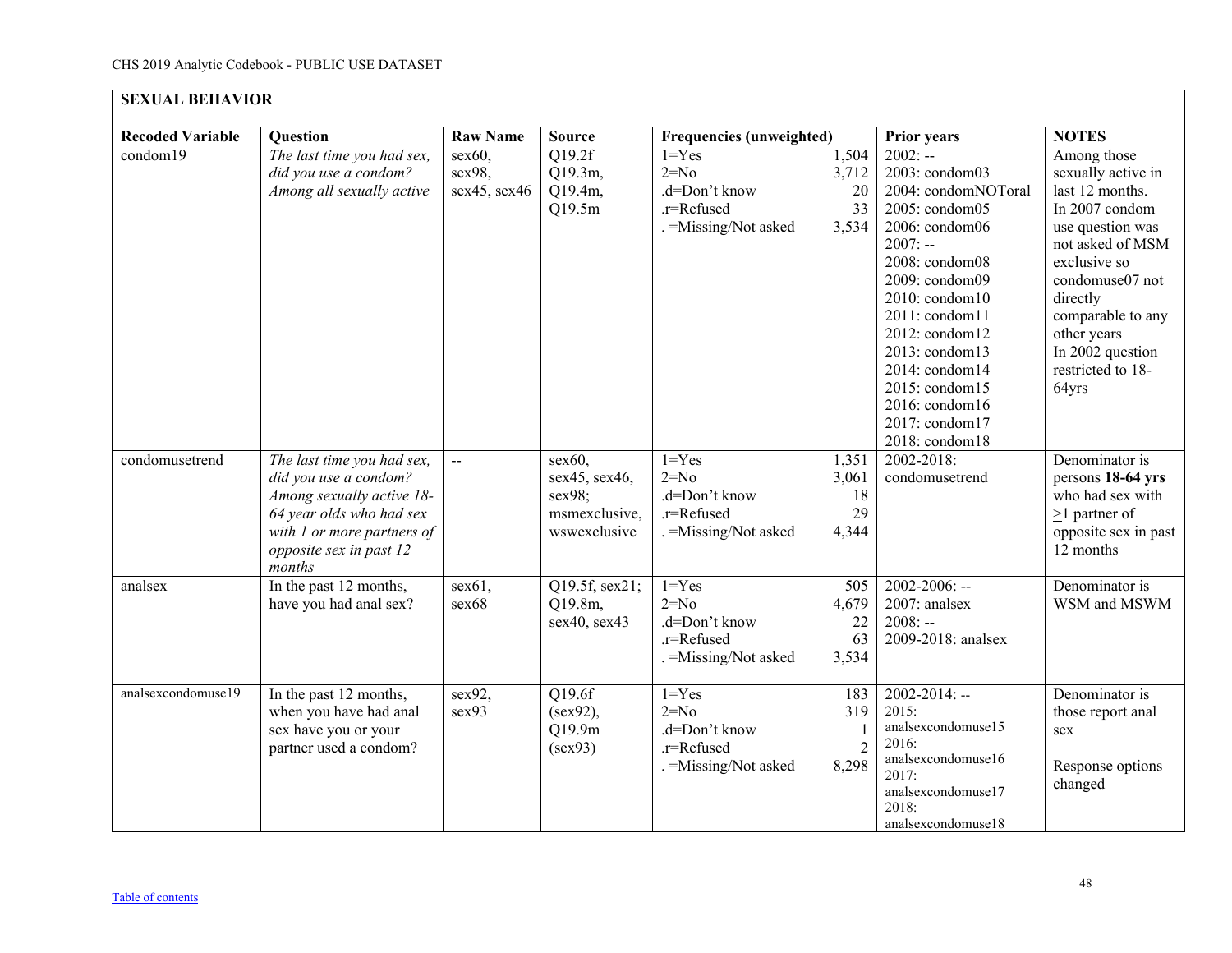| <b>SEXUAL BEHAVIOR</b>  |                                                                                                                                                                                 |                                  |                                                                       |                                                                             |                                       |                                                                                                                                                                                                                                                                                                                 |                                                                                                                                                                                                                                                     |  |  |  |
|-------------------------|---------------------------------------------------------------------------------------------------------------------------------------------------------------------------------|----------------------------------|-----------------------------------------------------------------------|-----------------------------------------------------------------------------|---------------------------------------|-----------------------------------------------------------------------------------------------------------------------------------------------------------------------------------------------------------------------------------------------------------------------------------------------------------------|-----------------------------------------------------------------------------------------------------------------------------------------------------------------------------------------------------------------------------------------------------|--|--|--|
| <b>Recoded Variable</b> | <b>Question</b>                                                                                                                                                                 | <b>Raw Name</b>                  | <b>Source</b>                                                         | <b>Frequencies (unweighted)</b>                                             |                                       | <b>Prior years</b>                                                                                                                                                                                                                                                                                              | <b>NOTES</b>                                                                                                                                                                                                                                        |  |  |  |
| condom19                | The last time you had sex,<br>did you use a condom?<br>Among all sexually active                                                                                                | sex60,<br>sex98,<br>sex45, sex46 | Q19.2f<br>Q19.3m,<br>Q19.4m,<br>Q19.5m                                | $1 = Yes$<br>$2=No$<br>.d=Don't know<br>.r=Refused<br>=Missing/Not asked    | 1,504<br>3,712<br>20<br>33<br>3,534   | $2002: -$<br>2003: condom03<br>2004: condomNOToral<br>2005: condom05<br>2006: condom06<br>$2007: -$<br>2008: condom08<br>2009: condom09<br>$2010$ : condom $10$<br>2011: condom11<br>2012: condom12<br>2013: condom13<br>2014: condom14<br>2015: condom15<br>2016: condom16<br>2017: condom17<br>2018: condom18 | Among those<br>sexually active in<br>last 12 months.<br>In 2007 condom<br>use question was<br>not asked of MSM<br>exclusive so<br>condomuse07 not<br>directly<br>comparable to any<br>other years<br>In 2002 question<br>restricted to 18-<br>64yrs |  |  |  |
| condomusetrend          | The last time you had sex,<br>did you use a condom?<br>Among sexually active 18-<br>64 year olds who had sex<br>with 1 or more partners of<br>opposite sex in past 12<br>months | $\overline{\phantom{a}}$         | $sex60$ ,<br>sex45, sex46,<br>sex98;<br>msmexclusive,<br>wswexclusive | $1 = Yes$<br>$2=N0$<br>.d=Don't know<br>.r=Refused<br>=Missing/Not asked    | 1,351<br>3,061<br>18<br>29<br>4,344   | 2002-2018:<br>condomusetrend                                                                                                                                                                                                                                                                                    | Denominator is<br>persons 18-64 yrs<br>who had sex with<br>$>1$ partner of<br>opposite sex in past<br>12 months                                                                                                                                     |  |  |  |
| analsex                 | In the past 12 months,<br>have you had anal sex?                                                                                                                                | sex61,<br>sex68                  | Q19.5f, sex21;<br>Q19.8m,<br>sex40, sex43                             | $1 = Yes$<br>$2=N0$<br>.d=Don't know<br>.r=Refused<br>$=M$ issing/Not asked | 505<br>4,679<br>22<br>63<br>3,534     | $2002 - 2006$ : --<br>2007: analsex<br>$2008: -$<br>2009-2018: analsex                                                                                                                                                                                                                                          | Denominator is<br>WSM and MSWM                                                                                                                                                                                                                      |  |  |  |
| analsexcondomuse19      | In the past 12 months,<br>when you have had anal<br>sex have you or your<br>partner used a condom?                                                                              | sex92,<br>sex93                  | Q19.6f<br>(sex92),<br>Q19.9m<br>(sex93)                               | $1 = Yes$<br>$2=No$<br>.d=Don't know<br>.r=Refused<br>=Missing/Not asked    | 183<br>319<br>$\overline{2}$<br>8,298 | $2002 - 2014$ : --<br>2015:<br>analsexcondomuse15<br>2016:<br>analsexcondomuse16<br>2017:<br>analsexcondomuse17<br>2018:<br>analsexcondomuse18                                                                                                                                                                  | Denominator is<br>those report anal<br>sex<br>Response options<br>changed                                                                                                                                                                           |  |  |  |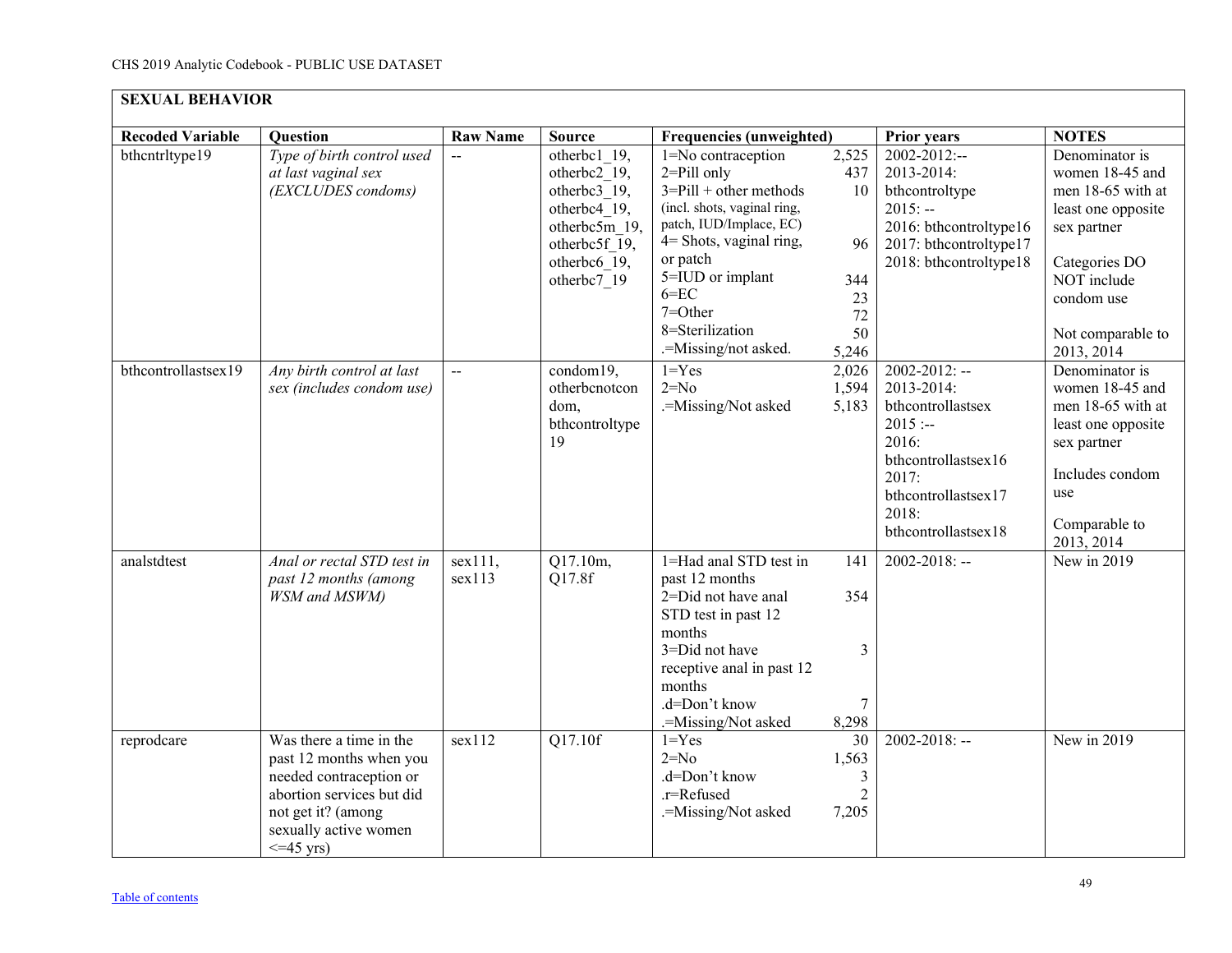| <b>SEXUAL BEHAVIOR</b>  |                                                                                                                                                                             |                   |                                                                                                                               |                                                                                                                                                                                                                                                               |                                                            |                                                                                                                                                                    |                                                                                                                                                                              |  |  |
|-------------------------|-----------------------------------------------------------------------------------------------------------------------------------------------------------------------------|-------------------|-------------------------------------------------------------------------------------------------------------------------------|---------------------------------------------------------------------------------------------------------------------------------------------------------------------------------------------------------------------------------------------------------------|------------------------------------------------------------|--------------------------------------------------------------------------------------------------------------------------------------------------------------------|------------------------------------------------------------------------------------------------------------------------------------------------------------------------------|--|--|
| <b>Recoded Variable</b> | <b>Question</b>                                                                                                                                                             | <b>Raw Name</b>   | <b>Source</b>                                                                                                                 | <b>Frequencies (unweighted)</b>                                                                                                                                                                                                                               |                                                            | <b>Prior years</b>                                                                                                                                                 | <b>NOTES</b>                                                                                                                                                                 |  |  |
| bthcntrltype19          | Type of birth control used<br>at last vaginal sex<br>(EXCLUDES condoms)                                                                                                     |                   | otherbc1 19,<br>otherbc2 19,<br>otherbc3 19,<br>otherbc4 19,<br>otherbc5m 19,<br>otherbc5f 19,<br>otherbc6 19,<br>otherbc7 19 | 1=No contraception<br>$2 =$ Pill only<br>$3 =$ Pill + other methods<br>(incl. shots, vaginal ring,<br>patch, IUD/Implace, EC)<br>$4$ = Shots, vaginal ring,<br>or patch<br>5=IUD or implant<br>$6 = EC$<br>7=Other<br>8=Sterilization<br>.=Missing/not asked. | 2,525<br>437<br>10<br>96<br>344<br>23<br>72<br>50<br>5,246 | 2002-2012:--<br>2013-2014:<br>bthcontroltype<br>$2015: -$<br>2016: bthcontroltype16<br>2017: bthcontroltype17<br>2018: bthcontroltype18                            | Denominator is<br>women 18-45 and<br>men 18-65 with at<br>least one opposite<br>sex partner<br>Categories DO<br>NOT include<br>condom use<br>Not comparable to<br>2013, 2014 |  |  |
| bthcontrollastsex19     | Any birth control at last<br>sex (includes condom use)                                                                                                                      | $\overline{a}$    | condom19,<br>otherbenotcon<br>dom,<br>bthcontroltype<br>19                                                                    | $1 = Yes$<br>$2=N0$<br>.=Missing/Not asked                                                                                                                                                                                                                    | 2,026<br>1,594<br>5,183                                    | $2002 - 2012$ : --<br>2013-2014:<br>bthcontrollastsex<br>$2015: -$<br>2016:<br>bthcontrollastsex16<br>2017:<br>bthcontrollastsex17<br>2018:<br>bthcontrollastsex18 | Denominator is<br>women 18-45 and<br>men 18-65 with at<br>least one opposite<br>sex partner<br>Includes condom<br>use<br>Comparable to<br>2013, 2014                         |  |  |
| analstdtest             | Anal or rectal STD test in<br>past 12 months (among<br><b>WSM</b> and MSWM)                                                                                                 | sex111,<br>sex113 | Q17.10m,<br>Q17.8f                                                                                                            | 1=Had anal STD test in<br>past 12 months<br>2=Did not have anal<br>STD test in past 12<br>months<br>3=Did not have<br>receptive anal in past 12<br>months<br>.d=Don't know<br>.=Missing/Not asked                                                             | 141<br>354<br>3<br>$\tau$<br>8,298                         | $2002 - 2018$ : --                                                                                                                                                 | New in 2019                                                                                                                                                                  |  |  |
| reprodcare              | Was there a time in the<br>past 12 months when you<br>needed contraception or<br>abortion services but did<br>not get it? (among<br>sexually active women<br>$\leq$ 45 vrs) | sex112            | Q17.10f                                                                                                                       | $1 = Yes$<br>$2=N0$<br>.d=Don't know<br>.r=Refused<br>.=Missing/Not asked                                                                                                                                                                                     | 30<br>1,563<br>3<br>$\overline{2}$<br>7,205                | $2002 - 2018$ : --                                                                                                                                                 | New in 2019                                                                                                                                                                  |  |  |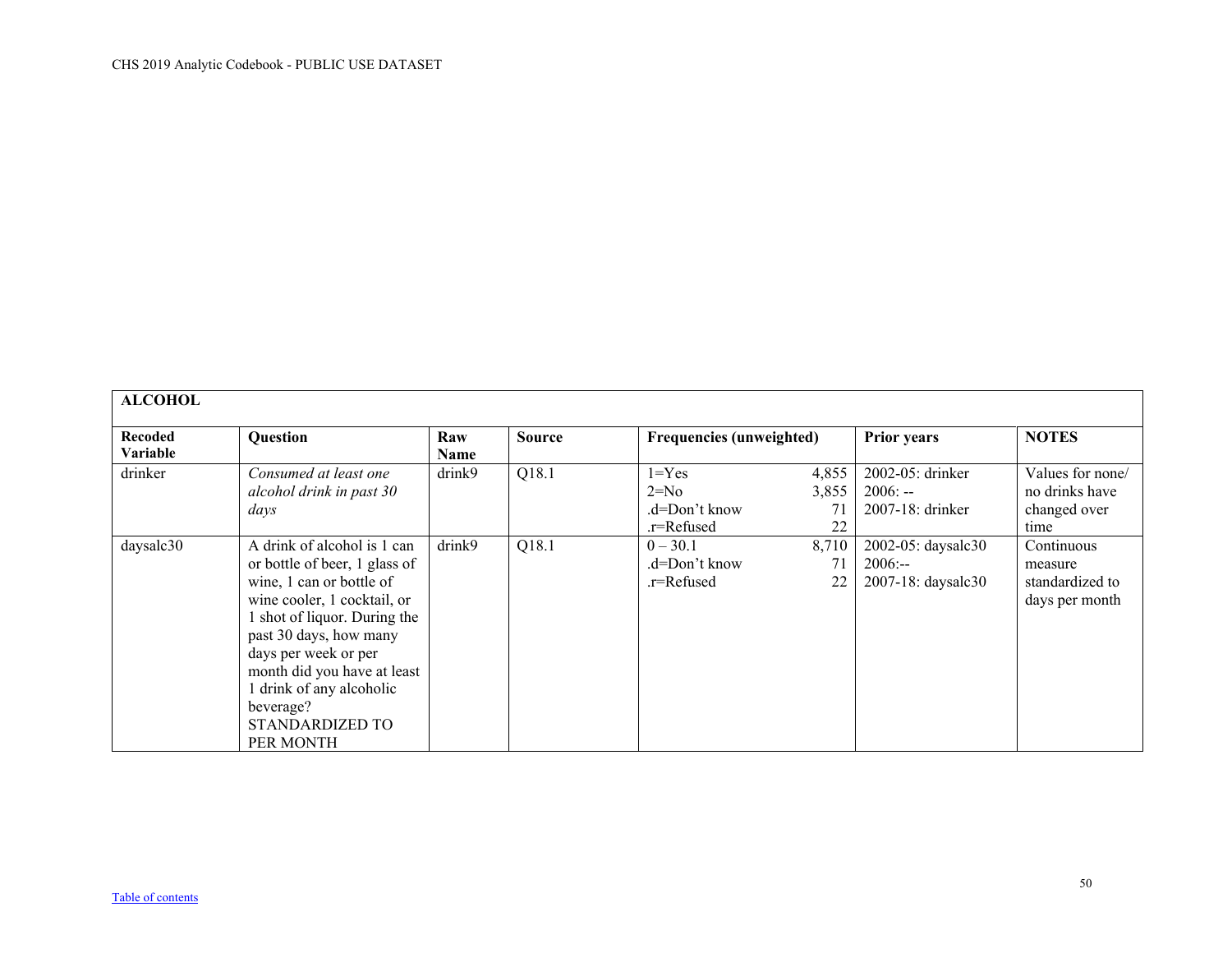<span id="page-49-0"></span>

| <b>ALCOHOL</b>                    |                                                                                                                                                                                                                                                                                                                   |             |               |                                                    |                            |                                                       |                                                            |
|-----------------------------------|-------------------------------------------------------------------------------------------------------------------------------------------------------------------------------------------------------------------------------------------------------------------------------------------------------------------|-------------|---------------|----------------------------------------------------|----------------------------|-------------------------------------------------------|------------------------------------------------------------|
| <b>Recoded</b><br><b>Variable</b> | <b>Question</b>                                                                                                                                                                                                                                                                                                   | Raw<br>Name | <b>Source</b> | <b>Frequencies (unweighted)</b>                    |                            | <b>Prior years</b>                                    | <b>NOTES</b>                                               |
| drinker                           | Consumed at least one<br>alcohol drink in past 30<br>days                                                                                                                                                                                                                                                         | drink9      | Q18.1         | $1 = Yes$<br>$2=N0$<br>.d=Don't know<br>.r=Refused | 4,855<br>3,855<br>71<br>22 | 2002-05: drinker<br>$2006: -$<br>2007-18: drinker     | Values for none/<br>no drinks have<br>changed over<br>time |
| daysalc30                         | A drink of alcohol is 1 can<br>or bottle of beer, 1 glass of<br>wine, 1 can or bottle of<br>wine cooler, 1 cocktail, or<br>1 shot of liquor. During the<br>past 30 days, how many<br>days per week or per<br>month did you have at least<br>1 drink of any alcoholic<br>beverage?<br>STANDARDIZED TO<br>PER MONTH | drink9      | Q18.1         | $0 - 30.1$<br>.d=Don't know<br>.r=Refused          | 8,710<br>71<br>22          | 2002-05: daysalc30<br>$2006: -$<br>2007-18: daysalc30 | Continuous<br>measure<br>standardized to<br>days per month |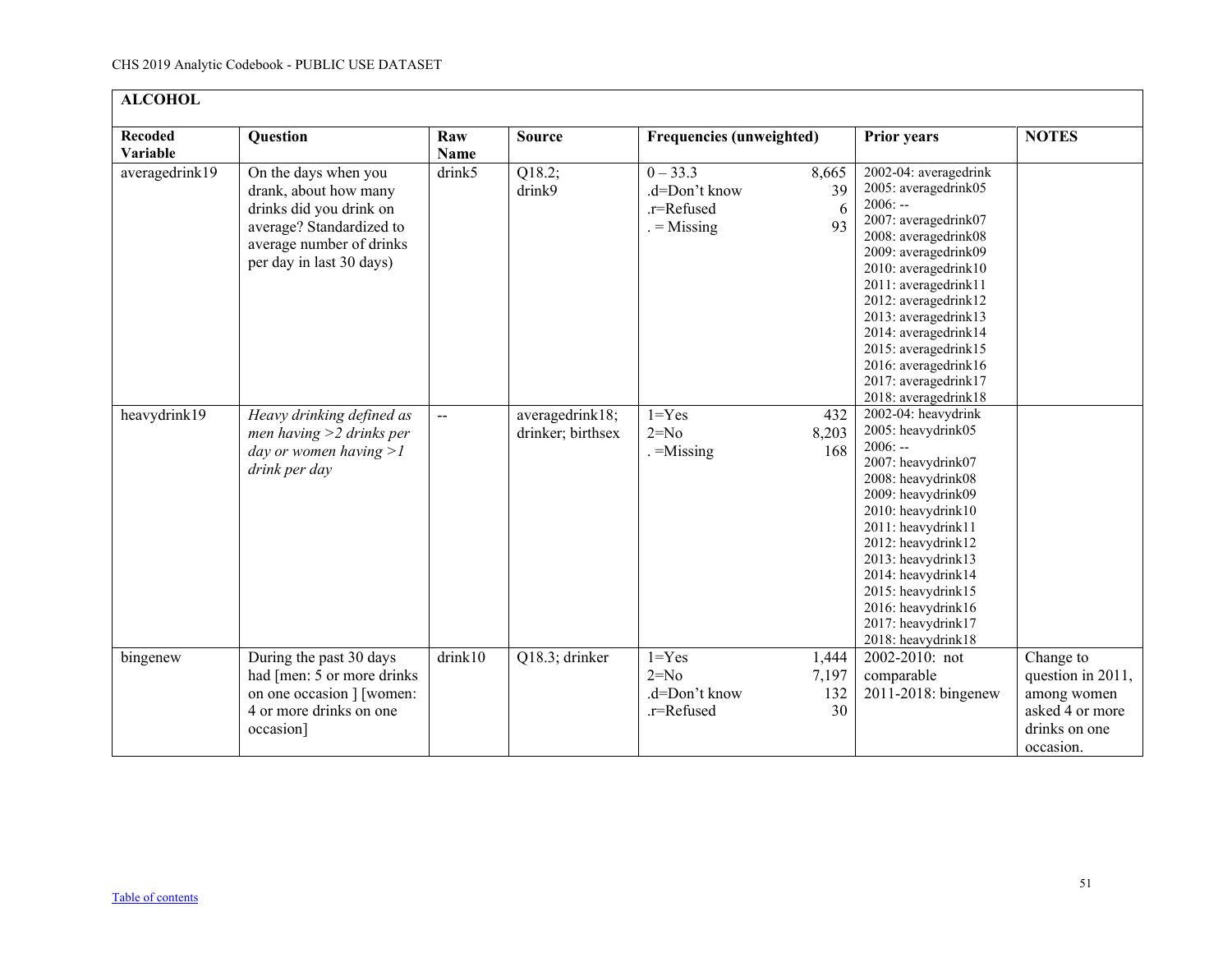| <b>ALCOHOL</b>             |                                                                                                                                                              |              |                                      |                                                          |                             |                                                                                                                                                                                                                                                                                                                                                            |                                                                                                |  |  |
|----------------------------|--------------------------------------------------------------------------------------------------------------------------------------------------------------|--------------|--------------------------------------|----------------------------------------------------------|-----------------------------|------------------------------------------------------------------------------------------------------------------------------------------------------------------------------------------------------------------------------------------------------------------------------------------------------------------------------------------------------------|------------------------------------------------------------------------------------------------|--|--|
| <b>Recoded</b><br>Variable | Question                                                                                                                                                     | Raw<br>Name  | <b>Source</b>                        | <b>Frequencies (unweighted)</b>                          |                             | <b>Prior years</b>                                                                                                                                                                                                                                                                                                                                         | <b>NOTES</b>                                                                                   |  |  |
| averagedrink19             | On the days when you<br>drank, about how many<br>drinks did you drink on<br>average? Standardized to<br>average number of drinks<br>per day in last 30 days) | drink5       | Q18.2;<br>drink9                     | $0 - 33.3$<br>.d=Don't know<br>.r=Refused<br>$=$ Missing | 8,665<br>39<br>6<br>93      | 2002-04: averagedrink<br>2005: averagedrink05<br>$2006: -$<br>2007: averagedrink07<br>2008: averagedrink08<br>2009: averagedrink09<br>2010: averagedrink10<br>2011: averagedrink11<br>2012: averagedrink12<br>2013: averagedrink13<br>2014: averagedrink14<br>2015: averagedrink15<br>2016: averagedrink16<br>2017: averagedrink17<br>2018: averagedrink18 |                                                                                                |  |  |
| heavydrink19               | Heavy drinking defined as<br>men having $>2$ drinks per<br>day or women having $>l$<br>drink per day                                                         | $\mathbf{u}$ | averagedrink18;<br>drinker; birthsex | $1 = Yes$<br>$2=N0$<br>$=$ Missing                       | 432<br>8,203<br>168         | 2002-04: heavydrink<br>2005: heavydrink05<br>$2006: -$<br>2007: heavydrink07<br>2008: heavydrink08<br>2009: heavydrink09<br>2010: heavydrink10<br>2011: heavydrink11<br>2012: heavydrink12<br>2013: heavydrink13<br>2014: heavydrink14<br>2015: heavydrink15<br>2016: heavydrink16<br>2017: heavydrink17<br>2018: heavydrink18                             |                                                                                                |  |  |
| bingenew                   | During the past 30 days<br>had [men: 5 or more drinks]<br>on one occasion ] [women:<br>4 or more drinks on one<br>occasion]                                  | drink10      | Q18.3; drinker                       | $1 = Yes$<br>$2=No$<br>.d=Don't know<br>.r=Refused       | 1,444<br>7,197<br>132<br>30 | 2002-2010: not<br>comparable<br>2011-2018: bingenew                                                                                                                                                                                                                                                                                                        | Change to<br>question in 2011,<br>among women<br>asked 4 or more<br>drinks on one<br>occasion. |  |  |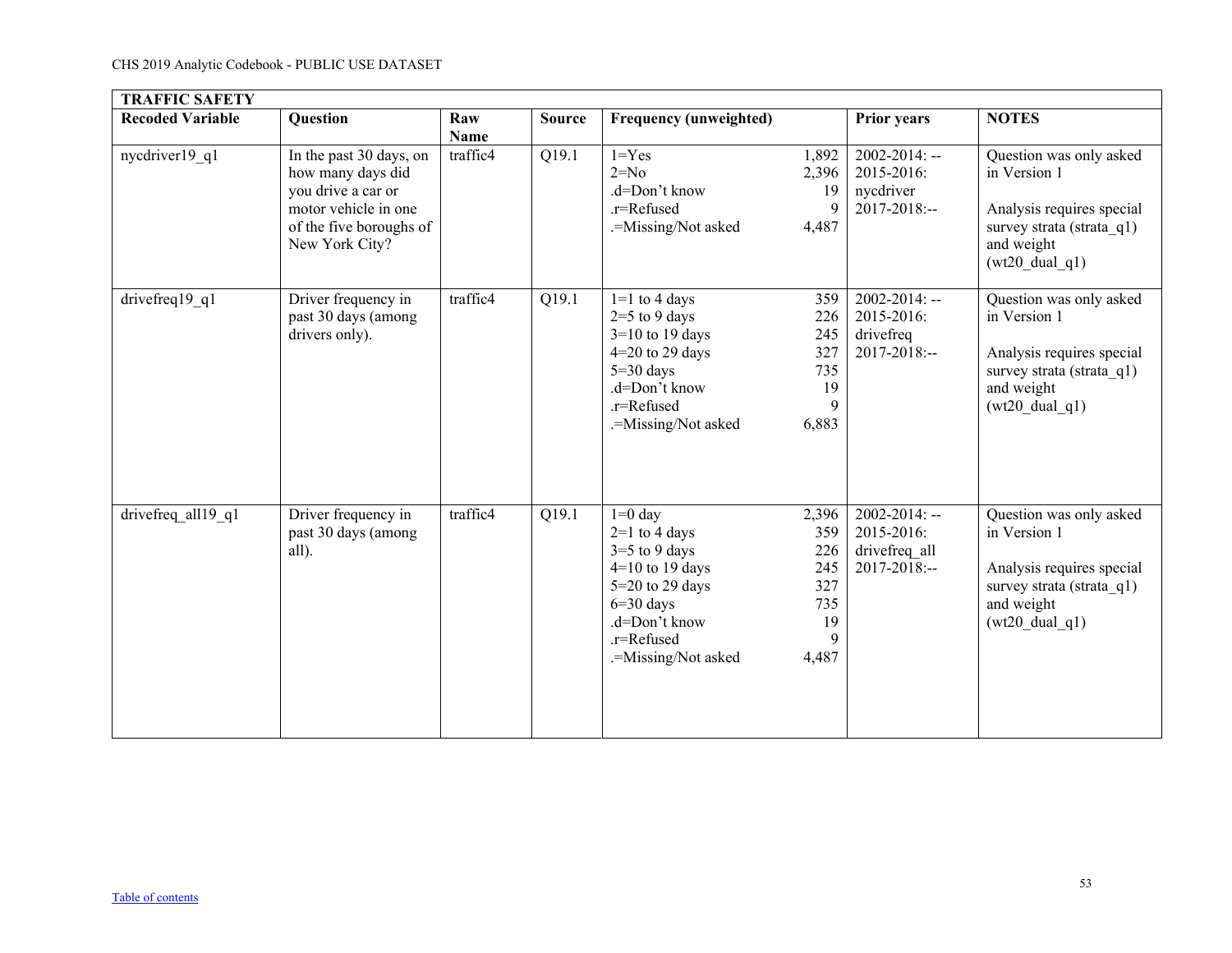<span id="page-52-0"></span>

| <b>TRAFFIC SAFETY</b>   |                                                                                                                                         |                    |                    |                                                                                                                                                                |                                                              |                                                                    |                                                                                                                                              |  |  |
|-------------------------|-----------------------------------------------------------------------------------------------------------------------------------------|--------------------|--------------------|----------------------------------------------------------------------------------------------------------------------------------------------------------------|--------------------------------------------------------------|--------------------------------------------------------------------|----------------------------------------------------------------------------------------------------------------------------------------------|--|--|
| <b>Recoded Variable</b> | Question                                                                                                                                | Raw<br><b>Name</b> | <b>Source</b>      | <b>Frequency (unweighted)</b>                                                                                                                                  |                                                              | <b>Prior years</b>                                                 | <b>NOTES</b>                                                                                                                                 |  |  |
| nycdriver19 q1          | In the past 30 days, on<br>how many days did<br>you drive a car or<br>motor vehicle in one<br>of the five boroughs of<br>New York City? | traffic4           | Q19.1              | $1 = Yes$<br>$2=No$<br>.d=Don't know<br>.r=Refused<br>.=Missing/Not asked                                                                                      | 1,892<br>2,396<br>19<br>9<br>4,487                           | $2002 - 2014$ : --<br>2015-2016:<br>nycdriver<br>$2017 - 2018$ :-- | Question was only asked<br>in Version 1<br>Analysis requires special<br>survey strata (strata q1)<br>and weight<br>$(wt20 \text{ dual } q1)$ |  |  |
| drivefreq19_q1          | Driver frequency in<br>past 30 days (among<br>drivers only).                                                                            | traffic4           | Q19.1              | $1=1$ to 4 days<br>$2=5$ to 9 days<br>$3=10$ to 19 days<br>$4=20$ to 29 days<br>$5=30$ days<br>.d=Don't know<br>.r=Refused<br>.=Missing/Not asked              | 359<br>226<br>245<br>327<br>735<br>19<br>9<br>6,883          | $2002 - 2014$ : --<br>2015-2016:<br>drivefreq<br>$2017 - 2018$ :-- | Question was only asked<br>in Version 1<br>Analysis requires special<br>survey strata (strata q1)<br>and weight<br>$(wt20_dual_q1)$          |  |  |
| drivefreq all19 q1      | Driver frequency in<br>past 30 days (among<br>all).                                                                                     | traffic4           | $\overline{Q19.1}$ | $1=0$ day<br>$2=1$ to 4 days<br>$3=5$ to 9 days<br>$4=10$ to 19 days<br>$5=20$ to 29 days<br>$6=30$ days<br>.d=Don't know<br>.r=Refused<br>.=Missing/Not asked | 2,396<br>359<br>226<br>245<br>327<br>735<br>19<br>9<br>4,487 | $2002 - 2014$ : --<br>2015-2016:<br>drivefreq all<br>2017-2018:--  | Question was only asked<br>in Version 1<br>Analysis requires special<br>survey strata (strata_q1)<br>and weight<br>$(wt20 \text{ dual } q1)$ |  |  |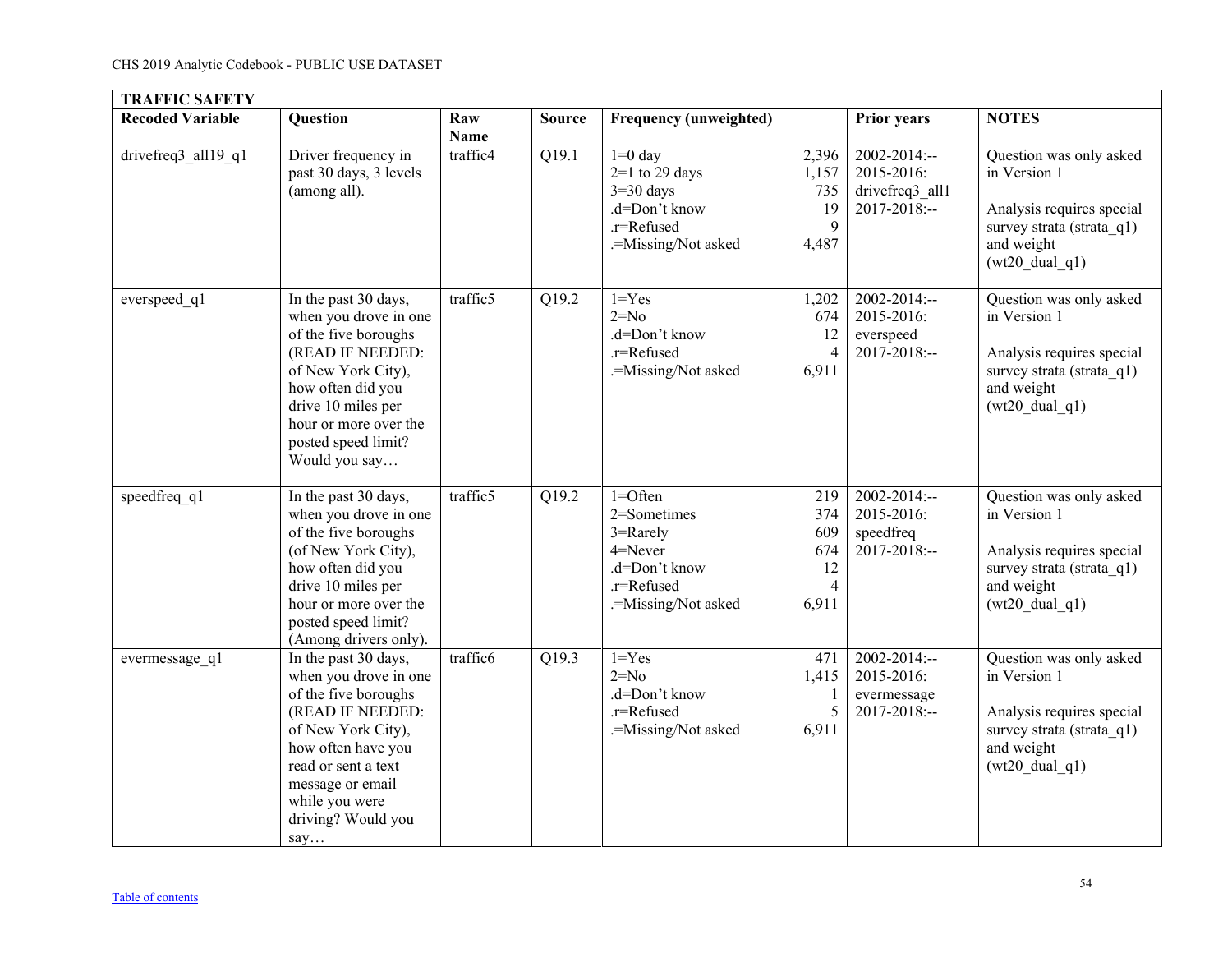| <b>TRAFFIC SAFETY</b>   |                                                                                                                                                                                                                                 |                    |               |                                                                                                         |                                                           |                                                                    |                                                                                                                                              |
|-------------------------|---------------------------------------------------------------------------------------------------------------------------------------------------------------------------------------------------------------------------------|--------------------|---------------|---------------------------------------------------------------------------------------------------------|-----------------------------------------------------------|--------------------------------------------------------------------|----------------------------------------------------------------------------------------------------------------------------------------------|
| <b>Recoded Variable</b> | <b>Question</b>                                                                                                                                                                                                                 | Raw<br><b>Name</b> | <b>Source</b> | <b>Frequency (unweighted)</b>                                                                           |                                                           | <b>Prior years</b>                                                 | <b>NOTES</b>                                                                                                                                 |
| drivefreq3_all19_q1     | Driver frequency in<br>past 30 days, 3 levels<br>(among all).                                                                                                                                                                   | traffic4           | Q19.1         | $1=0$ day<br>$2=1$ to 29 days<br>$3=30$ days<br>.d=Don't know<br>.r=Refused<br>.=Missing/Not asked      | 2,396<br>1,157<br>735<br>19<br>9<br>4,487                 | $2002 - 2014$ :--<br>2015-2016:<br>drivefreq3 all1<br>2017-2018:-- | Question was only asked<br>in Version 1<br>Analysis requires special<br>survey strata (strata q1)<br>and weight<br>$(wt20 \text{ dual } q1)$ |
| everspeed_q1            | In the past 30 days,<br>when you drove in one<br>of the five boroughs<br>(READ IF NEEDED:<br>of New York City),<br>how often did you<br>drive 10 miles per<br>hour or more over the<br>posted speed limit?<br>Would you say     | traffic5           | Q19.2         | $1 = Yes$<br>$2=No$<br>.d=Don't know<br>.r=Refused<br>.=Missing/Not asked                               | 1,202<br>674<br>12<br>$\overline{4}$<br>6,911             | 2002-2014:--<br>2015-2016:<br>everspeed<br>2017-2018:--            | Question was only asked<br>in Version 1<br>Analysis requires special<br>survey strata (strata q1)<br>and weight<br>$(wt20 \text{ dual } q1)$ |
| speedfreq q1            | In the past 30 days,<br>when you drove in one<br>of the five boroughs<br>(of New York City),<br>how often did you<br>drive 10 miles per<br>hour or more over the<br>posted speed limit?<br>(Among drivers only).                | traffic5           | Q19.2         | $1 =$ Often<br>2=Sometimes<br>3=Rarely<br>4=Never<br>.d=Don't know<br>.r=Refused<br>.=Missing/Not asked | 219<br>374<br>609<br>674<br>12<br>$\overline{4}$<br>6,911 | 2002-2014:--<br>2015-2016:<br>speedfreq<br>2017-2018:--            | Question was only asked<br>in Version 1<br>Analysis requires special<br>survey strata (strata q1)<br>and weight<br>$(wt20 \text{ dual } q1)$ |
| evermessage q1          | In the past 30 days,<br>when you drove in one<br>of the five boroughs<br>(READ IF NEEDED:<br>of New York City),<br>how often have you<br>read or sent a text<br>message or email<br>while you were<br>driving? Would you<br>say | traffic6           | Q19.3         | $1 = Yes$<br>$2=No$<br>.d=Don't know<br>.r=Refused<br>.=Missing/Not asked                               | 471<br>1,415<br>$\mathbf{1}$<br>5<br>6,911                | $2002 - 2014$ :--<br>2015-2016:<br>evermessage<br>2017-2018:--     | Question was only asked<br>in Version 1<br>Analysis requires special<br>survey strata (strata q1)<br>and weight<br>$(wt20 \text{ dual } q1)$ |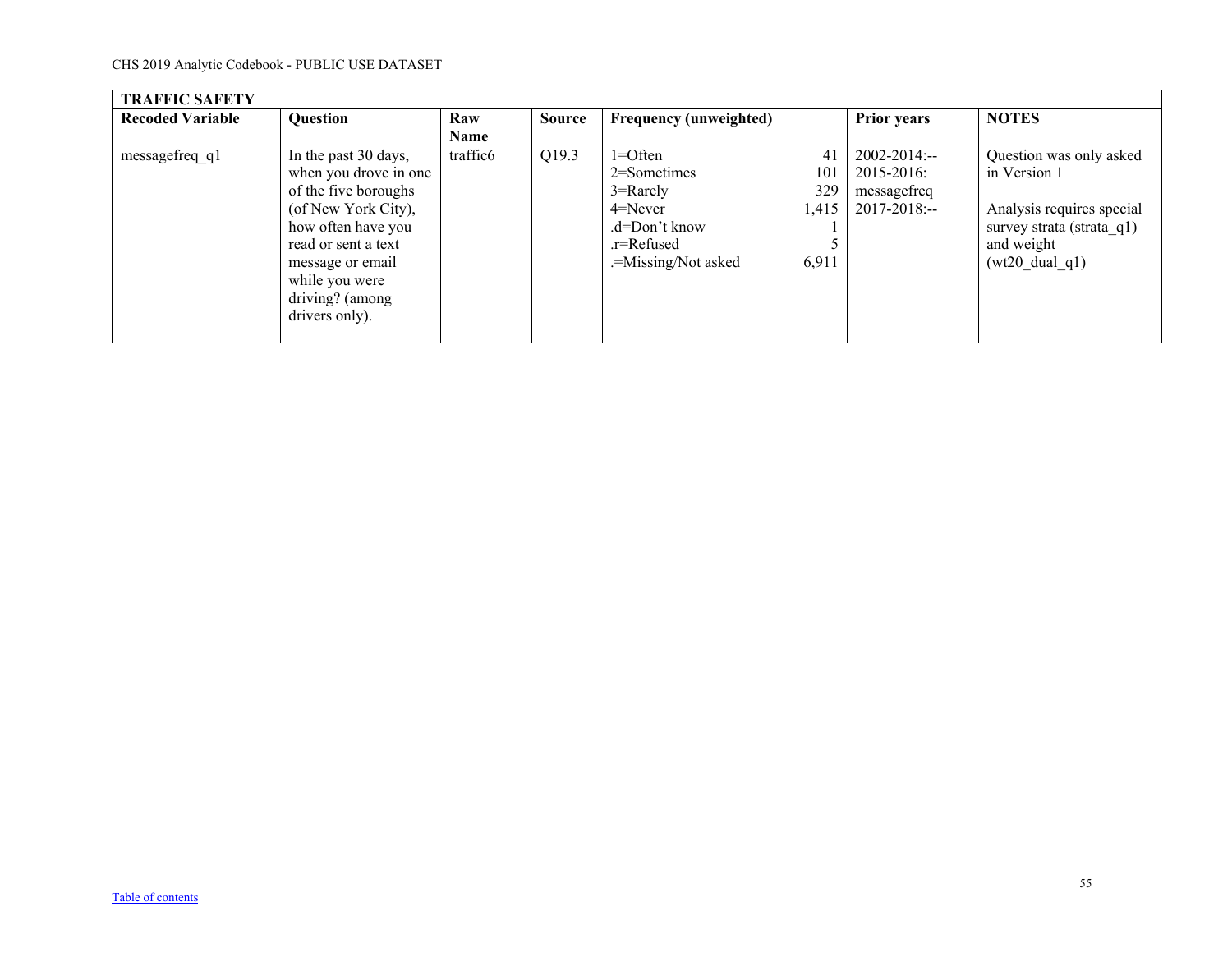| <b>TRAFFIC SAFETY</b>   |                                                                                                                                                                                                                      |                      |               |                                                                                                                    |                                    |                                                                     |                                                                                                                                              |
|-------------------------|----------------------------------------------------------------------------------------------------------------------------------------------------------------------------------------------------------------------|----------------------|---------------|--------------------------------------------------------------------------------------------------------------------|------------------------------------|---------------------------------------------------------------------|----------------------------------------------------------------------------------------------------------------------------------------------|
| <b>Recoded Variable</b> | <b>Question</b>                                                                                                                                                                                                      | Raw                  | <b>Source</b> | <b>Frequency (unweighted)</b>                                                                                      |                                    | <b>Prior years</b>                                                  | <b>NOTES</b>                                                                                                                                 |
|                         |                                                                                                                                                                                                                      | Name                 |               |                                                                                                                    |                                    |                                                                     |                                                                                                                                              |
| messagefreq q1          | In the past 30 days,<br>when you drove in one<br>of the five boroughs<br>(of New York City),<br>how often have you<br>read or sent a text<br>message or email<br>while you were<br>driving? (among<br>drivers only). | traffic <sub>6</sub> | Q19.3         | $1 =$ Often<br>$2$ =Sometimes<br>$3 =$ Rarely<br>$4 =$ Never<br>.d=Don't know<br>.r=Refused<br>.=Missing/Not asked | 41<br>101<br>329<br>1,415<br>6,911 | $2002 - 2014$ :--<br>2015-2016:<br>messagefreq<br>$2017 - 2018$ :-- | Question was only asked<br>in Version 1<br>Analysis requires special<br>survey strata (strata q1)<br>and weight<br>$(wt20 \text{ dual } q1)$ |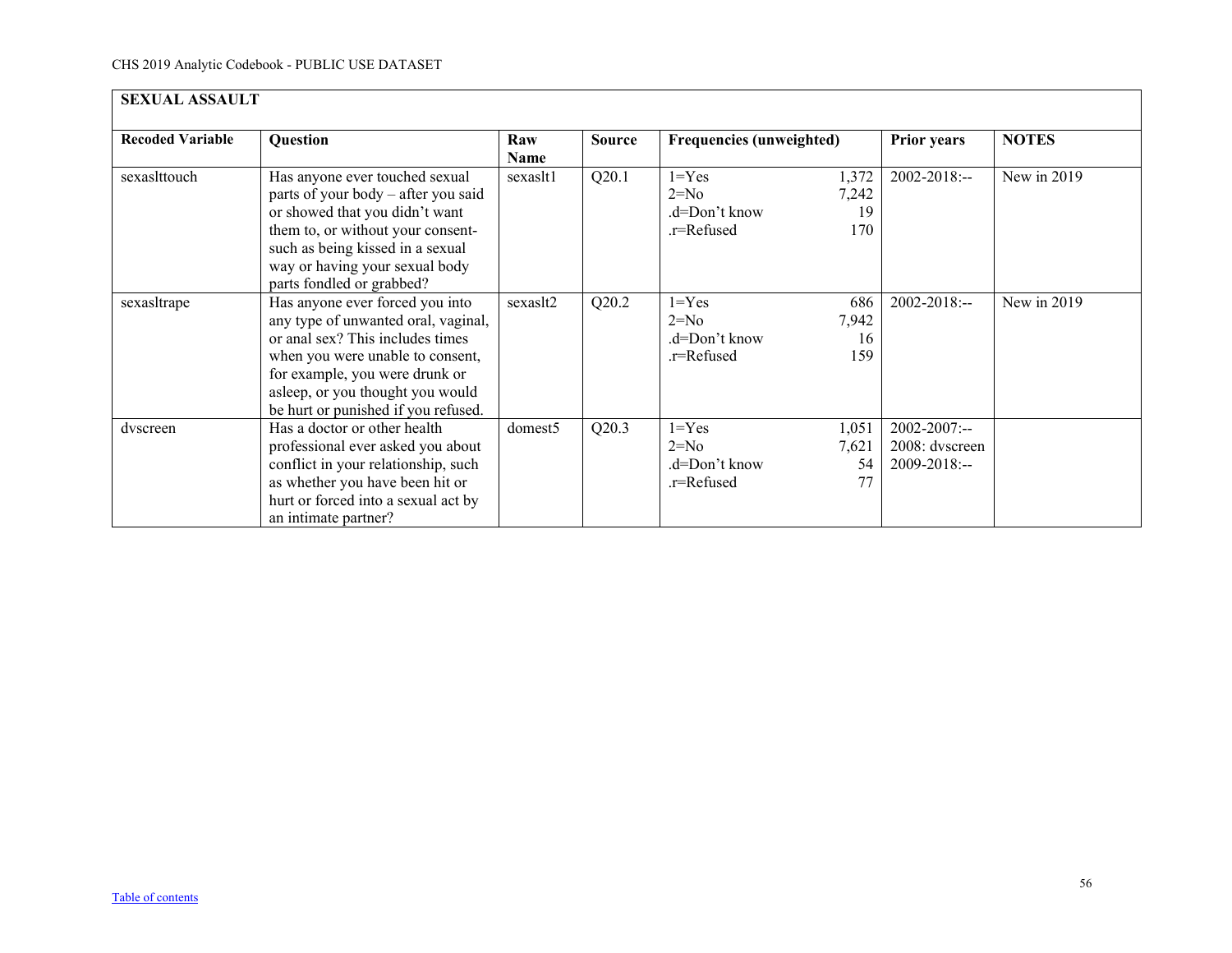<span id="page-55-0"></span>

| <b>SEXUAL ASSAULT</b>   |                                                                                                                                                                                                                                                             |                    |               |                                                    |                             |                                                     |              |  |  |
|-------------------------|-------------------------------------------------------------------------------------------------------------------------------------------------------------------------------------------------------------------------------------------------------------|--------------------|---------------|----------------------------------------------------|-----------------------------|-----------------------------------------------------|--------------|--|--|
| <b>Recoded Variable</b> | <b>Question</b>                                                                                                                                                                                                                                             | Raw<br><b>Name</b> | <b>Source</b> | <b>Frequencies (unweighted)</b>                    |                             | <b>Prior years</b>                                  | <b>NOTES</b> |  |  |
| sexaslttouch            | Has anyone ever touched sexual<br>parts of your body – after you said<br>or showed that you didn't want<br>them to, or without your consent-<br>such as being kissed in a sexual<br>way or having your sexual body<br>parts fondled or grabbed?             | sexaslt1           | Q20.1         | $1 = Yes$<br>$2=N0$<br>.d=Don't know<br>.r=Refused | 1,372<br>7,242<br>19<br>170 | 2002-2018:--                                        | New in 2019  |  |  |
| sexashtrape             | Has anyone ever forced you into<br>any type of unwanted oral, vaginal,<br>or anal sex? This includes times<br>when you were unable to consent,<br>for example, you were drunk or<br>asleep, or you thought you would<br>be hurt or punished if you refused. | sexaslt2           | Q20.2         | $1 = Yes$<br>$2=N0$<br>.d=Don't know<br>.r=Refused | 686<br>7,942<br>16<br>159   | $2002 - 2018$ :--                                   | New in 2019  |  |  |
| dvscreen                | Has a doctor or other health<br>professional ever asked you about<br>conflict in your relationship, such<br>as whether you have been hit or<br>hurt or forced into a sexual act by<br>an intimate partner?                                                  | domest5            | Q20.3         | $1 = Yes$<br>$2=N0$<br>.d=Don't know<br>.r=Refused | 1,051<br>7,621<br>54<br>77  | 2002-2007:--<br>2008: dvscreen<br>$2009 - 2018$ :-- |              |  |  |